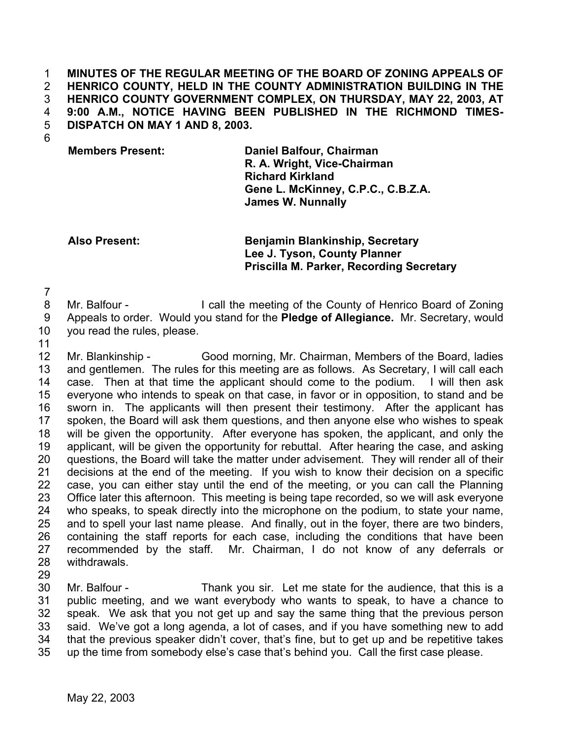**MINUTES OF THE REGULAR MEETING OF THE BOARD OF ZONING APPEALS OF HENRICO COUNTY, HELD IN THE COUNTY ADMINISTRATION BUILDING IN THE HENRICO COUNTY GOVERNMENT COMPLEX, ON THURSDAY, MAY 22, 2003, AT 9:00 A.M., NOTICE HAVING BEEN PUBLISHED IN THE RICHMOND TIMES-DISPATCH ON MAY 1 AND 8, 2003.**  1 2 3 4 5

6

**Members Present: Daniel Balfour, Chairman R. A. Wright, Vice-Chairman Richard Kirkland Gene L. McKinney, C.P.C., C.B.Z.A. James W. Nunnally**

**Also Present: Benjamin Blankinship, Secretary Lee J. Tyson, County Planner Priscilla M. Parker, Recording Secretary**

7

- 8 9 Mr. Balfour - I call the meeting of the County of Henrico Board of Zoning Appeals to order. Would you stand for the **Pledge of Allegiance.** Mr. Secretary, would
- 10 you read the rules, please.
- 11

12 13 14 15 16 17 18 19 20 21 22 23 24 25 26 27 28 Mr. Blankinship - Good morning, Mr. Chairman, Members of the Board, ladies and gentlemen. The rules for this meeting are as follows. As Secretary, I will call each case. Then at that time the applicant should come to the podium. I will then ask everyone who intends to speak on that case, in favor or in opposition, to stand and be sworn in. The applicants will then present their testimony. After the applicant has spoken, the Board will ask them questions, and then anyone else who wishes to speak will be given the opportunity. After everyone has spoken, the applicant, and only the applicant, will be given the opportunity for rebuttal. After hearing the case, and asking questions, the Board will take the matter under advisement. They will render all of their decisions at the end of the meeting. If you wish to know their decision on a specific case, you can either stay until the end of the meeting, or you can call the Planning Office later this afternoon. This meeting is being tape recorded, so we will ask everyone who speaks, to speak directly into the microphone on the podium, to state your name, and to spell your last name please. And finally, out in the foyer, there are two binders, containing the staff reports for each case, including the conditions that have been recommended by the staff. Mr. Chairman, I do not know of any deferrals or withdrawals.

29

30 31 32 33 34 35 Mr. Balfour - Thank you sir. Let me state for the audience, that this is a public meeting, and we want everybody who wants to speak, to have a chance to speak. We ask that you not get up and say the same thing that the previous person said. We've got a long agenda, a lot of cases, and if you have something new to add that the previous speaker didn't cover, that's fine, but to get up and be repetitive takes up the time from somebody else's case that's behind you. Call the first case please.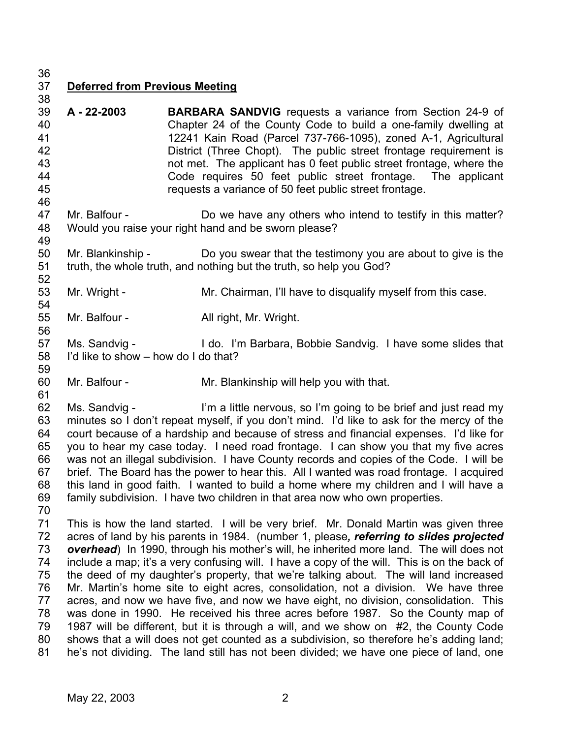36

38

46

49

52

54

56

59

61

## 37 **Deferred from Previous Meeting**

- 39 40 41 42 43 44 45 **A - 22-2003 BARBARA SANDVIG** requests a variance from Section 24-9 of Chapter 24 of the County Code to build a one-family dwelling at 12241 Kain Road (Parcel 737-766-1095), zoned A-1, Agricultural District (Three Chopt). The public street frontage requirement is not met. The applicant has 0 feet public street frontage, where the Code requires 50 feet public street frontage. The applicant requests a variance of 50 feet public street frontage.
- 47 48 Mr. Balfour - Do we have any others who intend to testify in this matter? Would you raise your right hand and be sworn please?
- 50 51 Mr. Blankinship - Do you swear that the testimony you are about to give is the truth, the whole truth, and nothing but the truth, so help you God?
- 53 Mr. Wright - Mr. Chairman, I'll have to disqualify myself from this case.
- 55 Mr. Balfour - All right, Mr. Wright.
- 57 58 Ms. Sandvig - I do. I'm Barbara, Bobbie Sandvig. I have some slides that I'd like to show – how do I do that?
- 60 Mr. Balfour - Mr. Blankinship will help you with that.
- 62 63 64 65 66 67 68 69 70 Ms. Sandvig - I'm a little nervous, so I'm going to be brief and just read my minutes so I don't repeat myself, if you don't mind. I'd like to ask for the mercy of the court because of a hardship and because of stress and financial expenses. I'd like for you to hear my case today. I need road frontage. I can show you that my five acres was not an illegal subdivision. I have County records and copies of the Code. I will be brief. The Board has the power to hear this. All I wanted was road frontage. I acquired this land in good faith. I wanted to build a home where my children and I will have a family subdivision. I have two children in that area now who own properties.
- 71 72 73 74 75 76 77 78 79 80 81 This is how the land started. I will be very brief. Mr. Donald Martin was given three acres of land by his parents in 1984. (number 1, please*, referring to slides projected overhead*) In 1990, through his mother's will, he inherited more land. The will does not include a map; it's a very confusing will. I have a copy of the will. This is on the back of the deed of my daughter's property, that we're talking about. The will land increased Mr. Martin's home site to eight acres, consolidation, not a division. We have three acres, and now we have five, and now we have eight, no division, consolidation. This was done in 1990. He received his three acres before 1987. So the County map of 1987 will be different, but it is through a will, and we show on #2, the County Code shows that a will does not get counted as a subdivision, so therefore he's adding land; he's not dividing. The land still has not been divided; we have one piece of land, one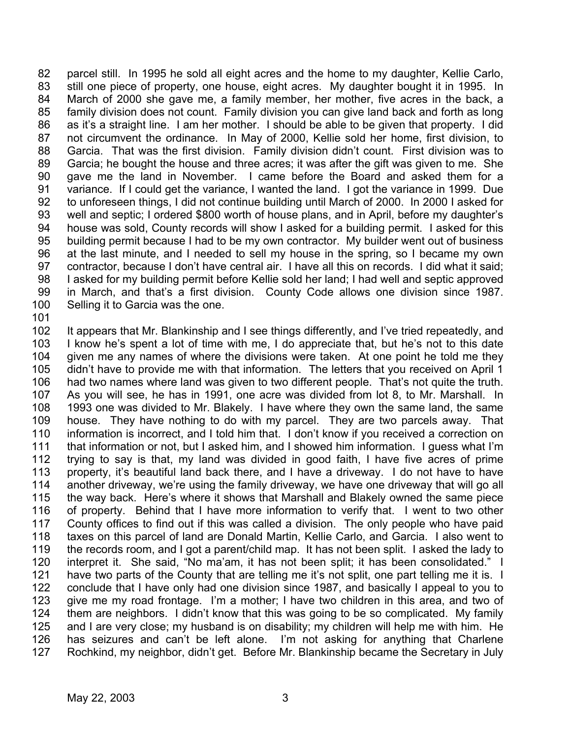82 83 84 85 86 87 88 89 90 91 92 93 94 95 96 97 98 99 100 parcel still. In 1995 he sold all eight acres and the home to my daughter, Kellie Carlo, still one piece of property, one house, eight acres. My daughter bought it in 1995. In March of 2000 she gave me, a family member, her mother, five acres in the back, a family division does not count. Family division you can give land back and forth as long as it's a straight line. I am her mother. I should be able to be given that property. I did not circumvent the ordinance. In May of 2000, Kellie sold her home, first division, to Garcia. That was the first division. Family division didn't count. First division was to Garcia; he bought the house and three acres; it was after the gift was given to me. She gave me the land in November. I came before the Board and asked them for a variance. If I could get the variance, I wanted the land. I got the variance in 1999. Due to unforeseen things, I did not continue building until March of 2000. In 2000 I asked for well and septic; I ordered \$800 worth of house plans, and in April, before my daughter's house was sold, County records will show I asked for a building permit. I asked for this building permit because I had to be my own contractor. My builder went out of business at the last minute, and I needed to sell my house in the spring, so I became my own contractor, because I don't have central air. I have all this on records. I did what it said; I asked for my building permit before Kellie sold her land; I had well and septic approved in March, and that's a first division. County Code allows one division since 1987. Selling it to Garcia was the one.

101

102 103 104 105 106 107 108 109 110 111 112 113 114 115 116 117 118 119 120 121 122 123 124 125 126 127 It appears that Mr. Blankinship and I see things differently, and I've tried repeatedly, and I know he's spent a lot of time with me, I do appreciate that, but he's not to this date given me any names of where the divisions were taken. At one point he told me they didn't have to provide me with that information. The letters that you received on April 1 had two names where land was given to two different people. That's not quite the truth. As you will see, he has in 1991, one acre was divided from lot 8, to Mr. Marshall. In 1993 one was divided to Mr. Blakely. I have where they own the same land, the same house. They have nothing to do with my parcel. They are two parcels away. That information is incorrect, and I told him that. I don't know if you received a correction on that information or not, but I asked him, and I showed him information. I guess what I'm trying to say is that, my land was divided in good faith, I have five acres of prime property, it's beautiful land back there, and I have a driveway. I do not have to have another driveway, we're using the family driveway, we have one driveway that will go all the way back. Here's where it shows that Marshall and Blakely owned the same piece of property. Behind that I have more information to verify that. I went to two other County offices to find out if this was called a division. The only people who have paid taxes on this parcel of land are Donald Martin, Kellie Carlo, and Garcia. I also went to the records room, and I got a parent/child map. It has not been split. I asked the lady to interpret it. She said, "No ma'am, it has not been split; it has been consolidated." I have two parts of the County that are telling me it's not split, one part telling me it is. I conclude that I have only had one division since 1987, and basically I appeal to you to give me my road frontage. I'm a mother; I have two children in this area, and two of them are neighbors. I didn't know that this was going to be so complicated. My family and I are very close; my husband is on disability; my children will help me with him. He has seizures and can't be left alone. I'm not asking for anything that Charlene Rochkind, my neighbor, didn't get. Before Mr. Blankinship became the Secretary in July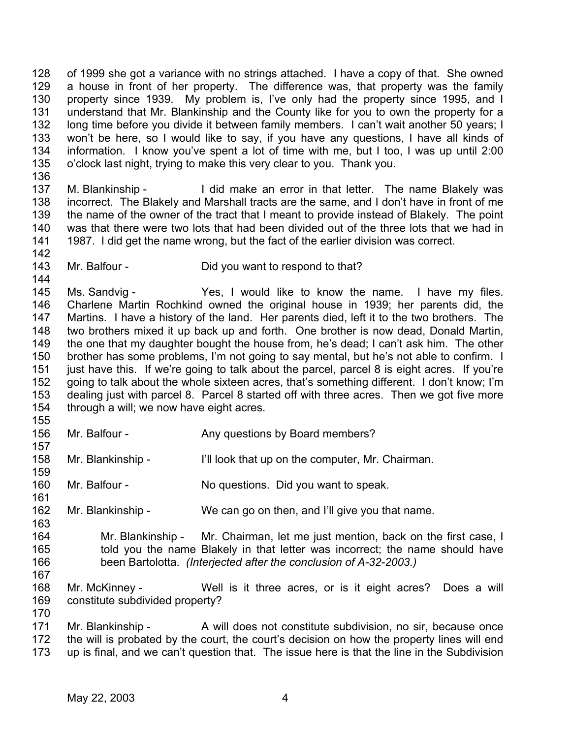128 129 130 131 132 133 134 135 of 1999 she got a variance with no strings attached. I have a copy of that. She owned a house in front of her property. The difference was, that property was the family property since 1939. My problem is, I've only had the property since 1995, and I understand that Mr. Blankinship and the County like for you to own the property for a long time before you divide it between family members. I can't wait another 50 years; I won't be here, so I would like to say, if you have any questions, I have all kinds of information. I know you've spent a lot of time with me, but I too, I was up until 2:00 o'clock last night, trying to make this very clear to you. Thank you.

136

137 138 139 140 141 M. Blankinship - I did make an error in that letter. The name Blakely was incorrect. The Blakely and Marshall tracts are the same, and I don't have in front of me the name of the owner of the tract that I meant to provide instead of Blakely. The point was that there were two lots that had been divided out of the three lots that we had in 1987. I did get the name wrong, but the fact of the earlier division was correct.

142

161

163

170

- 143
- Mr. Balfour Did you want to respond to that?

144 145 146 147 148 149 150 151 152 153 154 Ms. Sandvig - The Yes, I would like to know the name. I have my files. Charlene Martin Rochkind owned the original house in 1939; her parents did, the Martins. I have a history of the land. Her parents died, left it to the two brothers. The two brothers mixed it up back up and forth. One brother is now dead, Donald Martin, the one that my daughter bought the house from, he's dead; I can't ask him. The other brother has some problems, I'm not going to say mental, but he's not able to confirm. I just have this. If we're going to talk about the parcel, parcel 8 is eight acres. If you're going to talk about the whole sixteen acres, that's something different. I don't know; I'm dealing just with parcel 8. Parcel 8 started off with three acres. Then we got five more through a will; we now have eight acres.

- 155 156 157 Mr. Balfour - Any questions by Board members?
- 158 159 Mr. Blankinship - I'll look that up on the computer, Mr. Chairman.
- 160 Mr. Balfour - No questions. Did you want to speak.
- 162 Mr. Blankinship - We can go on then, and I'll give you that name.
- 164 165 166 167 Mr. Blankinship - Mr. Chairman, let me just mention, back on the first case, I told you the name Blakely in that letter was incorrect; the name should have been Bartolotta. *(Interjected after the conclusion of A-32-2003.)*
- 168 169 Mr. McKinney - Well is it three acres, or is it eight acres? Does a will constitute subdivided property?
- 171 172 173 Mr. Blankinship - A will does not constitute subdivision, no sir, because once the will is probated by the court, the court's decision on how the property lines will end up is final, and we can't question that. The issue here is that the line in the Subdivision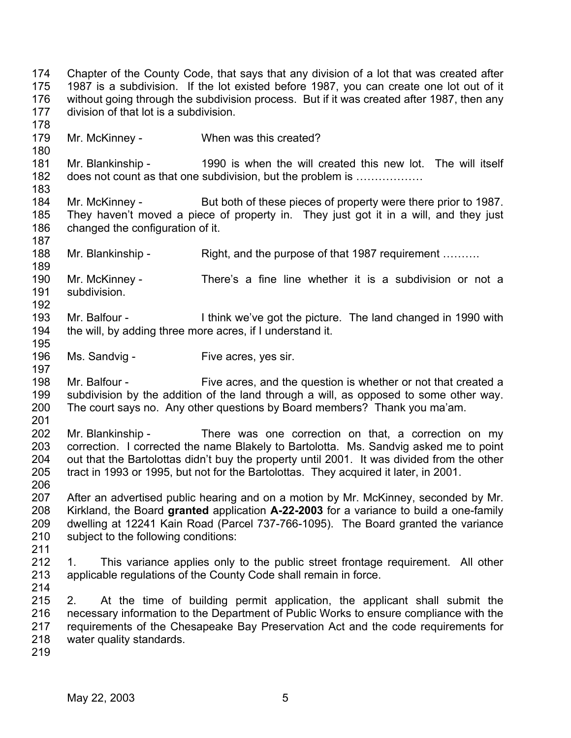174 175 176 177 178 179 180 181 182 183 184 185 186 187 188 189 190 191 192 193 194 195 196 197 198 199 200 201 202 203 204 205 206 207 208 209 210 211 212 213 214 215 216 217 218 219 Chapter of the County Code, that says that any division of a lot that was created after 1987 is a subdivision. If the lot existed before 1987, you can create one lot out of it without going through the subdivision process. But if it was created after 1987, then any division of that lot is a subdivision. Mr. McKinney - When was this created? Mr. Blankinship - 1990 is when the will created this new lot. The will itself does not count as that one subdivision, but the problem is ……………… Mr. McKinney - But both of these pieces of property were there prior to 1987. They haven't moved a piece of property in. They just got it in a will, and they just changed the configuration of it. Mr. Blankinship - Right, and the purpose of that 1987 requirement ………. Mr. McKinney - There's a fine line whether it is a subdivision or not a subdivision. Mr. Balfour - I think we've got the picture. The land changed in 1990 with the will, by adding three more acres, if I understand it. Ms. Sandvig - Five acres, yes sir. Mr. Balfour - Five acres, and the question is whether or not that created a subdivision by the addition of the land through a will, as opposed to some other way. The court says no. Any other questions by Board members? Thank you ma'am. Mr. Blankinship - There was one correction on that, a correction on my correction. I corrected the name Blakely to Bartolotta. Ms. Sandvig asked me to point out that the Bartolottas didn't buy the property until 2001. It was divided from the other tract in 1993 or 1995, but not for the Bartolottas. They acquired it later, in 2001. After an advertised public hearing and on a motion by Mr. McKinney, seconded by Mr. Kirkland, the Board **granted** application **A-22-2003** for a variance to build a one-family dwelling at 12241 Kain Road (Parcel 737-766-1095). The Board granted the variance subject to the following conditions: 1. This variance applies only to the public street frontage requirement. All other applicable regulations of the County Code shall remain in force. 2. At the time of building permit application, the applicant shall submit the necessary information to the Department of Public Works to ensure compliance with the requirements of the Chesapeake Bay Preservation Act and the code requirements for water quality standards.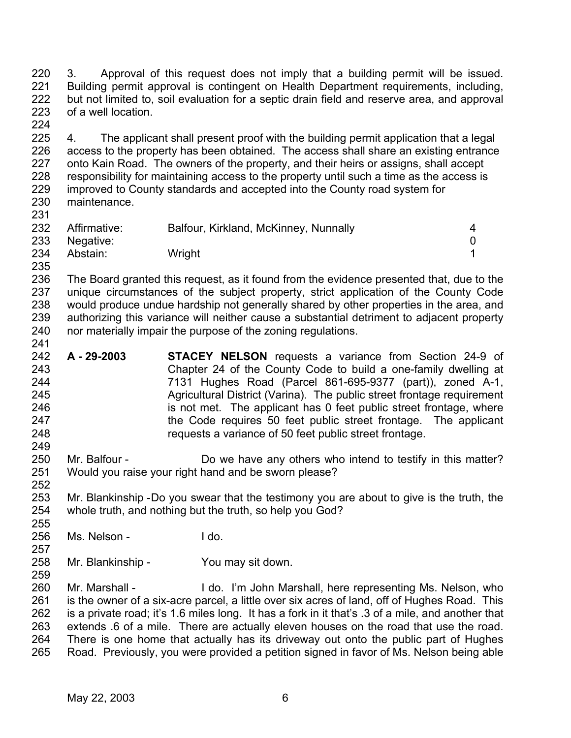220 221 222 223 224 3. Approval of this request does not imply that a building permit will be issued. Building permit approval is contingent on Health Department requirements, including, but not limited to, soil evaluation for a septic drain field and reserve area, and approval of a well location.

225 226 227 228 229 230 4. The applicant shall present proof with the building permit application that a legal access to the property has been obtained. The access shall share an existing entrance onto Kain Road. The owners of the property, and their heirs or assigns, shall accept responsibility for maintaining access to the property until such a time as the access is improved to County standards and accepted into the County road system for maintenance.

| 232 | Affirmative: | Balfour, Kirkland, McKinney, Nunnally |  |
|-----|--------------|---------------------------------------|--|
| 233 | Negative:    |                                       |  |
| 234 | Abstain:     | Wright                                |  |
| 235 |              |                                       |  |

236 237 238 239 240 The Board granted this request, as it found from the evidence presented that, due to the unique circumstances of the subject property, strict application of the County Code would produce undue hardship not generally shared by other properties in the area, and authorizing this variance will neither cause a substantial detriment to adjacent property nor materially impair the purpose of the zoning regulations.

- 242 243 244 245 246 247 248 **A - 29-2003 STACEY NELSON** requests a variance from Section 24-9 of Chapter 24 of the County Code to build a one-family dwelling at 7131 Hughes Road (Parcel 861-695-9377 (part)), zoned A-1, Agricultural District (Varina). The public street frontage requirement is not met. The applicant has 0 feet public street frontage, where the Code requires 50 feet public street frontage. The applicant requests a variance of 50 feet public street frontage.
- 250 251 Mr. Balfour - Do we have any others who intend to testify in this matter? Would you raise your right hand and be sworn please?

253 254 255 Mr. Blankinship - Do you swear that the testimony you are about to give is the truth, the whole truth, and nothing but the truth, so help you God?

256 Ms. Nelson - I do.

231

241

249

252

257

259

258 Mr. Blankinship - You may sit down.

260 261 262 263 264 265 Mr. Marshall - I do. I'm John Marshall, here representing Ms. Nelson, who is the owner of a six-acre parcel, a little over six acres of land, off of Hughes Road. This is a private road; it's 1.6 miles long. It has a fork in it that's .3 of a mile, and another that extends .6 of a mile. There are actually eleven houses on the road that use the road. There is one home that actually has its driveway out onto the public part of Hughes Road. Previously, you were provided a petition signed in favor of Ms. Nelson being able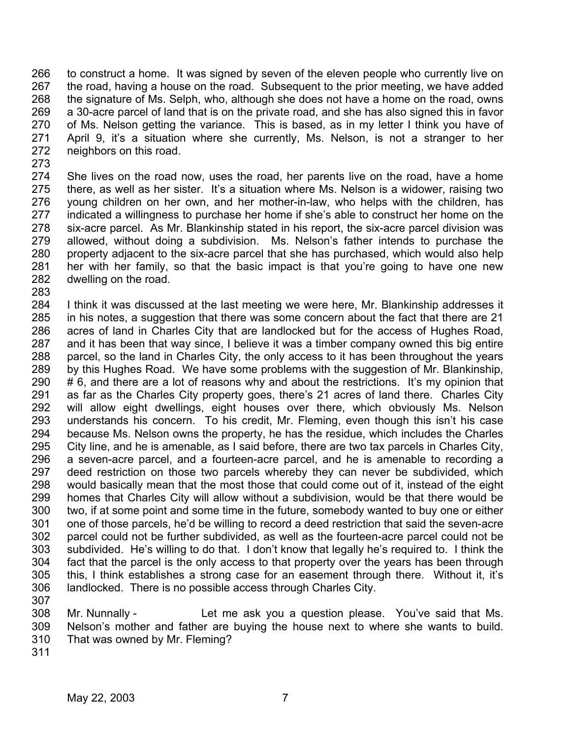266 267 268 269 270 271 272 to construct a home. It was signed by seven of the eleven people who currently live on the road, having a house on the road. Subsequent to the prior meeting, we have added the signature of Ms. Selph, who, although she does not have a home on the road, owns a 30-acre parcel of land that is on the private road, and she has also signed this in favor of Ms. Nelson getting the variance. This is based, as in my letter I think you have of April 9, it's a situation where she currently, Ms. Nelson, is not a stranger to her neighbors on this road.

273

274 275 276 277 278 279 280 281 282 She lives on the road now, uses the road, her parents live on the road, have a home there, as well as her sister. It's a situation where Ms. Nelson is a widower, raising two young children on her own, and her mother-in-law, who helps with the children, has indicated a willingness to purchase her home if she's able to construct her home on the six-acre parcel. As Mr. Blankinship stated in his report, the six-acre parcel division was allowed, without doing a subdivision. Ms. Nelson's father intends to purchase the property adjacent to the six-acre parcel that she has purchased, which would also help her with her family, so that the basic impact is that you're going to have one new dwelling on the road.

283

284 285 286 287 288 289 290 291 292 293 294 295 296 297 298 299 300 301 302 303 304 305 306 I think it was discussed at the last meeting we were here, Mr. Blankinship addresses it in his notes, a suggestion that there was some concern about the fact that there are 21 acres of land in Charles City that are landlocked but for the access of Hughes Road, and it has been that way since, I believe it was a timber company owned this big entire parcel, so the land in Charles City, the only access to it has been throughout the years by this Hughes Road. We have some problems with the suggestion of Mr. Blankinship, # 6, and there are a lot of reasons why and about the restrictions. It's my opinion that as far as the Charles City property goes, there's 21 acres of land there. Charles City will allow eight dwellings, eight houses over there, which obviously Ms. Nelson understands his concern. To his credit, Mr. Fleming, even though this isn't his case because Ms. Nelson owns the property, he has the residue, which includes the Charles City line, and he is amenable, as I said before, there are two tax parcels in Charles City, a seven-acre parcel, and a fourteen-acre parcel, and he is amenable to recording a deed restriction on those two parcels whereby they can never be subdivided, which would basically mean that the most those that could come out of it, instead of the eight homes that Charles City will allow without a subdivision, would be that there would be two, if at some point and some time in the future, somebody wanted to buy one or either one of those parcels, he'd be willing to record a deed restriction that said the seven-acre parcel could not be further subdivided, as well as the fourteen-acre parcel could not be subdivided. He's willing to do that. I don't know that legally he's required to. I think the fact that the parcel is the only access to that property over the years has been through this, I think establishes a strong case for an easement through there. Without it, it's landlocked. There is no possible access through Charles City.

307

308 309 310 Mr. Nunnally - Let me ask you a question please. You've said that Ms. Nelson's mother and father are buying the house next to where she wants to build. That was owned by Mr. Fleming?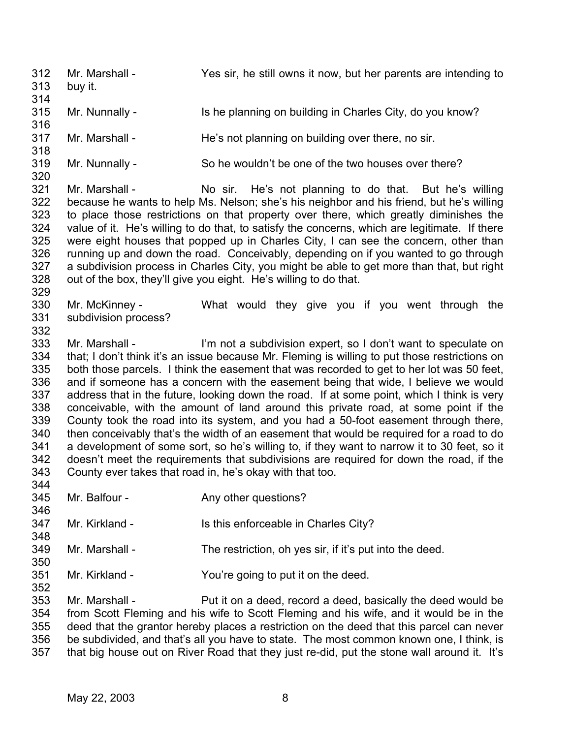312 313 314 315 316 317 318 319 320 321 322 323 324 325 326 327 328 329 330 331 332 333 334 335 336 337 338 339 340 341 342 343 344 345 346 347 348 349 350 351 352 353 Mr. Marshall - Yes sir, he still owns it now, but her parents are intending to buy it. Mr. Nunnally - Is he planning on building in Charles City, do you know? Mr. Marshall - He's not planning on building over there, no sir. Mr. Nunnally - So he wouldn't be one of the two houses over there? Mr. Marshall - No sir. He's not planning to do that. But he's willing because he wants to help Ms. Nelson; she's his neighbor and his friend, but he's willing to place those restrictions on that property over there, which greatly diminishes the value of it. He's willing to do that, to satisfy the concerns, which are legitimate. If there were eight houses that popped up in Charles City, I can see the concern, other than running up and down the road. Conceivably, depending on if you wanted to go through a subdivision process in Charles City, you might be able to get more than that, but right out of the box, they'll give you eight. He's willing to do that. Mr. McKinney - What would they give you if you went through the subdivision process? Mr. Marshall - I'm not a subdivision expert, so I don't want to speculate on that; I don't think it's an issue because Mr. Fleming is willing to put those restrictions on both those parcels. I think the easement that was recorded to get to her lot was 50 feet, and if someone has a concern with the easement being that wide, I believe we would address that in the future, looking down the road. If at some point, which I think is very conceivable, with the amount of land around this private road, at some point if the County took the road into its system, and you had a 50-foot easement through there, then conceivably that's the width of an easement that would be required for a road to do a development of some sort, so he's willing to, if they want to narrow it to 30 feet, so it doesn't meet the requirements that subdivisions are required for down the road, if the County ever takes that road in, he's okay with that too. Mr. Balfour - The Any other questions? Mr. Kirkland - Is this enforceable in Charles City? Mr. Marshall - The restriction, oh yes sir, if it's put into the deed. Mr. Kirkland - The You're going to put it on the deed. Mr. Marshall - Put it on a deed, record a deed, basically the deed would be

354 355 356 357 from Scott Fleming and his wife to Scott Fleming and his wife, and it would be in the deed that the grantor hereby places a restriction on the deed that this parcel can never be subdivided, and that's all you have to state. The most common known one, I think, is that big house out on River Road that they just re-did, put the stone wall around it. It's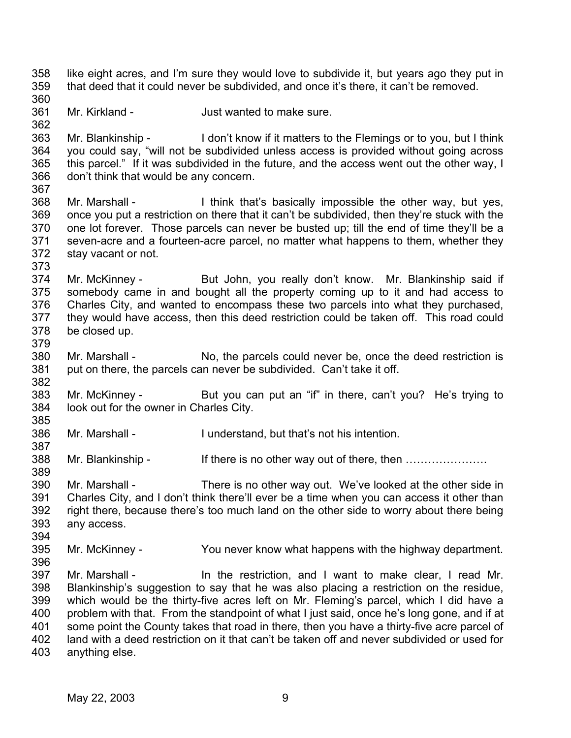358 359 360 like eight acres, and I'm sure they would love to subdivide it, but years ago they put in that deed that it could never be subdivided, and once it's there, it can't be removed.

361 Mr. Kirkland - The Just wanted to make sure.

362

373

379

394

363 364 365 366 367 Mr. Blankinship - I don't know if it matters to the Flemings or to you, but I think you could say, "will not be subdivided unless access is provided without going across this parcel." If it was subdivided in the future, and the access went out the other way, I don't think that would be any concern.

- 368 369 370 371 372 Mr. Marshall - I think that's basically impossible the other way, but yes, once you put a restriction on there that it can't be subdivided, then they're stuck with the one lot forever. Those parcels can never be busted up; till the end of time they'll be a seven-acre and a fourteen-acre parcel, no matter what happens to them, whether they stay vacant or not.
- 374 375 376 377 378 Mr. McKinney - But John, you really don't know. Mr. Blankinship said if somebody came in and bought all the property coming up to it and had access to Charles City, and wanted to encompass these two parcels into what they purchased, they would have access, then this deed restriction could be taken off. This road could be closed up.
- 380 381 382 Mr. Marshall - No, the parcels could never be, once the deed restriction is put on there, the parcels can never be subdivided. Can't take it off.
- 383 384 385 Mr. McKinney - But you can put an "if" in there, can't you? He's trying to look out for the owner in Charles City.
- 386 387 Mr. Marshall - I understand, but that's not his intention.
- 388 389 Mr. Blankinship - If there is no other way out of there, then ………………….
- 390 391 392 393 Mr. Marshall - There is no other way out. We've looked at the other side in Charles City, and I don't think there'll ever be a time when you can access it other than right there, because there's too much land on the other side to worry about there being any access.
- 395 Mr. McKinney - You never know what happens with the highway department.
- 396 397 398 399 400 401 402 403 Mr. Marshall - The the restriction, and I want to make clear, I read Mr. Blankinship's suggestion to say that he was also placing a restriction on the residue, which would be the thirty-five acres left on Mr. Fleming's parcel, which I did have a problem with that. From the standpoint of what I just said, once he's long gone, and if at some point the County takes that road in there, then you have a thirty-five acre parcel of land with a deed restriction on it that can't be taken off and never subdivided or used for anything else.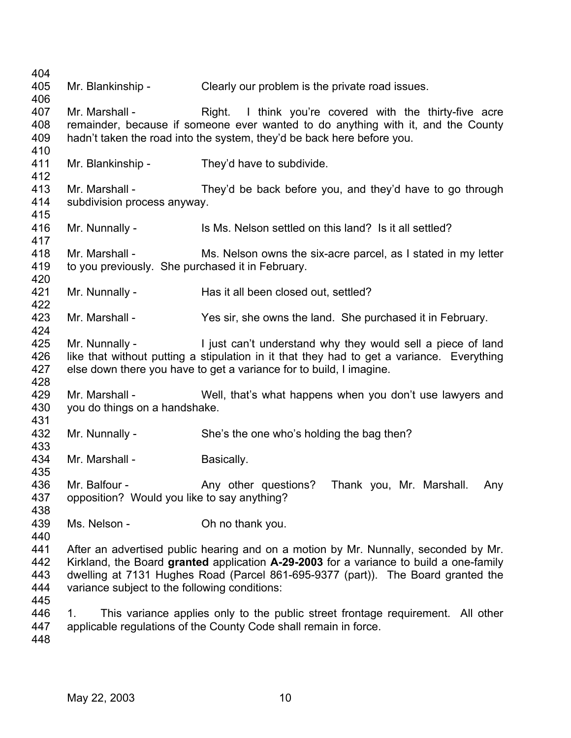Mr. Blankinship - Clearly our problem is the private road issues. Mr. Marshall - Right. I think you're covered with the thirty-five acre remainder, because if someone ever wanted to do anything with it, and the County hadn't taken the road into the system, they'd be back here before you. Mr. Blankinship - They'd have to subdivide. Mr. Marshall - They'd be back before you, and they'd have to go through subdivision process anyway. Mr. Nunnally - Is Ms. Nelson settled on this land? Is it all settled? Mr. Marshall - Ms. Nelson owns the six-acre parcel, as I stated in my letter to you previously. She purchased it in February. Mr. Nunnally - Has it all been closed out, settled? Mr. Marshall - Yes sir, she owns the land. She purchased it in February. Mr. Nunnally - The ligst can't understand why they would sell a piece of land like that without putting a stipulation in it that they had to get a variance. Everything else down there you have to get a variance for to build, I imagine. Mr. Marshall - Well, that's what happens when you don't use lawyers and you do things on a handshake. Mr. Nunnally - She's the one who's holding the bag then? Mr. Marshall - Basically. Mr. Balfour - Thank you, Mr. Marshall. Any other questions? Thank you, Mr. Marshall. Any opposition? Would you like to say anything? Ms. Nelson - Ch no thank you. After an advertised public hearing and on a motion by Mr. Nunnally, seconded by Mr. Kirkland, the Board **granted** application **A-29-2003** for a variance to build a one-family dwelling at 7131 Hughes Road (Parcel 861-695-9377 (part)). The Board granted the variance subject to the following conditions: 1. This variance applies only to the public street frontage requirement. All other applicable regulations of the County Code shall remain in force.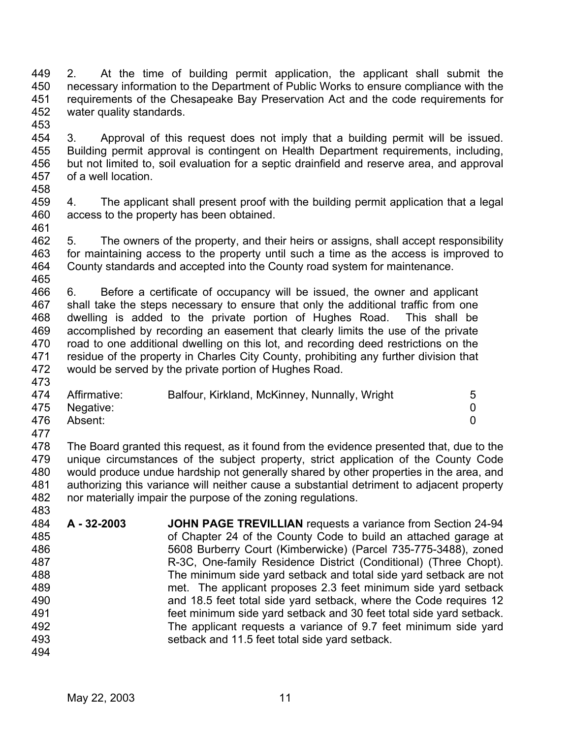449 450 451 452 2. At the time of building permit application, the applicant shall submit the necessary information to the Department of Public Works to ensure compliance with the requirements of the Chesapeake Bay Preservation Act and the code requirements for water quality standards.

453

454 455 456 457 3. Approval of this request does not imply that a building permit will be issued. Building permit approval is contingent on Health Department requirements, including, but not limited to, soil evaluation for a septic drainfield and reserve area, and approval of a well location.

458

473

483

459 460 461 4. The applicant shall present proof with the building permit application that a legal access to the property has been obtained.

462 463 464 465 5. The owners of the property, and their heirs or assigns, shall accept responsibility for maintaining access to the property until such a time as the access is improved to County standards and accepted into the County road system for maintenance.

466 467 468 469 470 471 472 6. Before a certificate of occupancy will be issued, the owner and applicant shall take the steps necessary to ensure that only the additional traffic from one dwelling is added to the private portion of Hughes Road. This shall be accomplished by recording an easement that clearly limits the use of the private road to one additional dwelling on this lot, and recording deed restrictions on the residue of the property in Charles City County, prohibiting any further division that would be served by the private portion of Hughes Road.

|     | 474 Affirmative: | Balfour, Kirkland, McKinney, Nunnally, Wright | 5 |
|-----|------------------|-----------------------------------------------|---|
|     | 475 Negative:    |                                               |   |
|     | 476 Absent:      |                                               |   |
| 477 |                  |                                               |   |

478 479 480 481 482 The Board granted this request, as it found from the evidence presented that, due to the unique circumstances of the subject property, strict application of the County Code would produce undue hardship not generally shared by other properties in the area, and authorizing this variance will neither cause a substantial detriment to adjacent property nor materially impair the purpose of the zoning regulations.

- 484 485 486 487 488 489 490 491 492 493 **A - 32-2003 JOHN PAGE TREVILLIAN** requests a variance from Section 24-94 of Chapter 24 of the County Code to build an attached garage at 5608 Burberry Court (Kimberwicke) (Parcel 735-775-3488), zoned R-3C, One-family Residence District (Conditional) (Three Chopt). The minimum side yard setback and total side yard setback are not met. The applicant proposes 2.3 feet minimum side yard setback and 18.5 feet total side yard setback, where the Code requires 12 feet minimum side yard setback and 30 feet total side yard setback. The applicant requests a variance of 9.7 feet minimum side yard setback and 11.5 feet total side yard setback.
- 494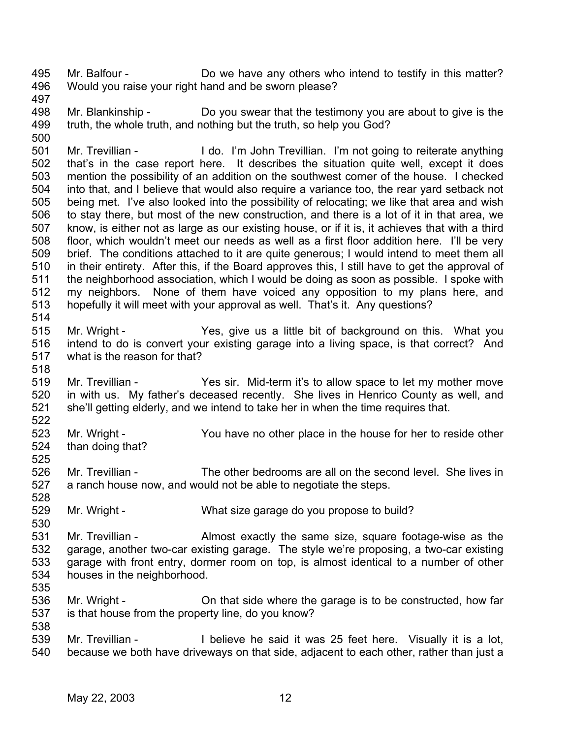495 496 Mr. Balfour - Do we have any others who intend to testify in this matter? Would you raise your right hand and be sworn please?

497

518

525

530

535

498 499 500 Mr. Blankinship - Do you swear that the testimony you are about to give is the truth, the whole truth, and nothing but the truth, so help you God?

501 502 503 504 505 506 507 508 509 510 511 512 513 514 Mr. Trevillian - I do. I'm John Trevillian. I'm not going to reiterate anything that's in the case report here. It describes the situation quite well, except it does mention the possibility of an addition on the southwest corner of the house. I checked into that, and I believe that would also require a variance too, the rear yard setback not being met. I've also looked into the possibility of relocating; we like that area and wish to stay there, but most of the new construction, and there is a lot of it in that area, we know, is either not as large as our existing house, or if it is, it achieves that with a third floor, which wouldn't meet our needs as well as a first floor addition here. I'll be very brief. The conditions attached to it are quite generous; I would intend to meet them all in their entirety. After this, if the Board approves this, I still have to get the approval of the neighborhood association, which I would be doing as soon as possible. I spoke with my neighbors. None of them have voiced any opposition to my plans here, and hopefully it will meet with your approval as well. That's it. Any questions?

515 516 517 Mr. Wright - Yes, give us a little bit of background on this. What you intend to do is convert your existing garage into a living space, is that correct? And what is the reason for that?

519 520 521 522 Mr. Trevillian - Yes sir. Mid-term it's to allow space to let my mother move in with us. My father's deceased recently. She lives in Henrico County as well, and she'll getting elderly, and we intend to take her in when the time requires that.

523 524 Mr. Wright - You have no other place in the house for her to reside other than doing that?

526 527 528 Mr. Trevillian - The other bedrooms are all on the second level. She lives in a ranch house now, and would not be able to negotiate the steps.

529 Mr. Wright - What size garage do you propose to build?

531 532 533 534 Mr. Trevillian - Almost exactly the same size, square footage-wise as the garage, another two-car existing garage. The style we're proposing, a two-car existing garage with front entry, dormer room on top, is almost identical to a number of other houses in the neighborhood.

536 537 538 Mr. Wright - Christian and the view of the garage is to be constructed, how far is that house from the property line, do you know?

539 540 Mr. Trevillian - I believe he said it was 25 feet here. Visually it is a lot, because we both have driveways on that side, adjacent to each other, rather than just a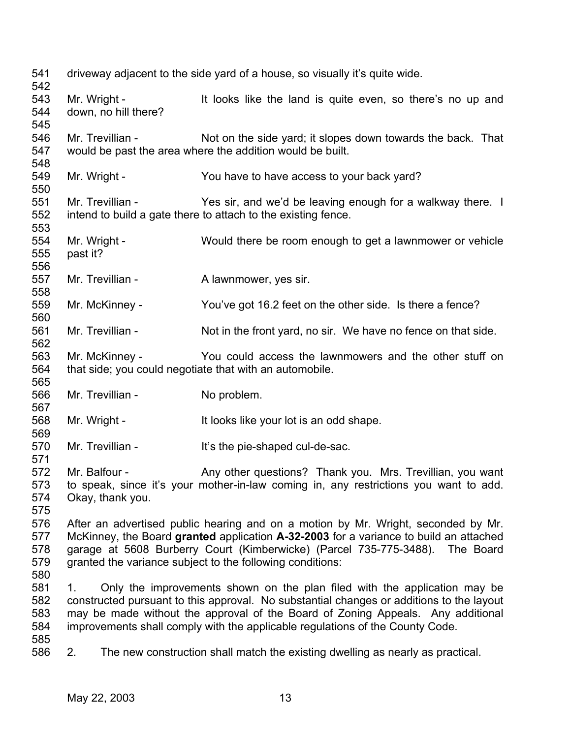| 541<br>542                      |                                      | driveway adjacent to the side yard of a house, so visually it's quite wide.                                                                                                                                                                                                                                                               |
|---------------------------------|--------------------------------------|-------------------------------------------------------------------------------------------------------------------------------------------------------------------------------------------------------------------------------------------------------------------------------------------------------------------------------------------|
| 543<br>544<br>545               | Mr. Wright -<br>down, no hill there? | It looks like the land is quite even, so there's no up and                                                                                                                                                                                                                                                                                |
| 546<br>547                      | Mr. Trevillian -                     | Not on the side yard; it slopes down towards the back. That<br>would be past the area where the addition would be built.                                                                                                                                                                                                                  |
| 548<br>549<br>550               | Mr. Wright -                         | You have to have access to your back yard?                                                                                                                                                                                                                                                                                                |
| 551<br>552<br>553               |                                      | Mr. Trevillian - Yes sir, and we'd be leaving enough for a walkway there. I<br>intend to build a gate there to attach to the existing fence.                                                                                                                                                                                              |
| 554<br>555<br>556               | Mr. Wright -<br>past it?             | Would there be room enough to get a lawnmower or vehicle                                                                                                                                                                                                                                                                                  |
| 557<br>558                      | Mr. Trevillian -                     | A lawnmower, yes sir.                                                                                                                                                                                                                                                                                                                     |
| 559<br>560                      | Mr. McKinney -                       | You've got 16.2 feet on the other side. Is there a fence?                                                                                                                                                                                                                                                                                 |
| 561<br>562                      | Mr. Trevillian -                     | Not in the front yard, no sir. We have no fence on that side.                                                                                                                                                                                                                                                                             |
| 563<br>564                      | Mr. McKinney -                       | You could access the lawnmowers and the other stuff on<br>that side; you could negotiate that with an automobile.                                                                                                                                                                                                                         |
| 565<br>566<br>567               | Mr. Trevillian -                     | No problem.                                                                                                                                                                                                                                                                                                                               |
| 568<br>569                      | Mr. Wright -                         | It looks like your lot is an odd shape.                                                                                                                                                                                                                                                                                                   |
| 570<br>571                      | Mr. Trevillian -                     | It's the pie-shaped cul-de-sac.                                                                                                                                                                                                                                                                                                           |
| 572<br>573<br>574<br>575        | Mr. Balfour -<br>Okay, thank you.    | Any other questions? Thank you. Mrs. Trevillian, you want<br>to speak, since it's your mother-in-law coming in, any restrictions you want to add.                                                                                                                                                                                         |
| 576<br>577<br>578<br>579<br>580 |                                      | After an advertised public hearing and on a motion by Mr. Wright, seconded by Mr.<br>McKinney, the Board granted application A-32-2003 for a variance to build an attached<br>garage at 5608 Burberry Court (Kimberwicke) (Parcel 735-775-3488). The Board<br>granted the variance subject to the following conditions:                   |
| 581<br>582<br>583<br>584<br>585 | 1.                                   | Only the improvements shown on the plan filed with the application may be<br>constructed pursuant to this approval. No substantial changes or additions to the layout<br>may be made without the approval of the Board of Zoning Appeals. Any additional<br>improvements shall comply with the applicable regulations of the County Code. |
| 586                             | 2.                                   | The new construction shall match the existing dwelling as nearly as practical.                                                                                                                                                                                                                                                            |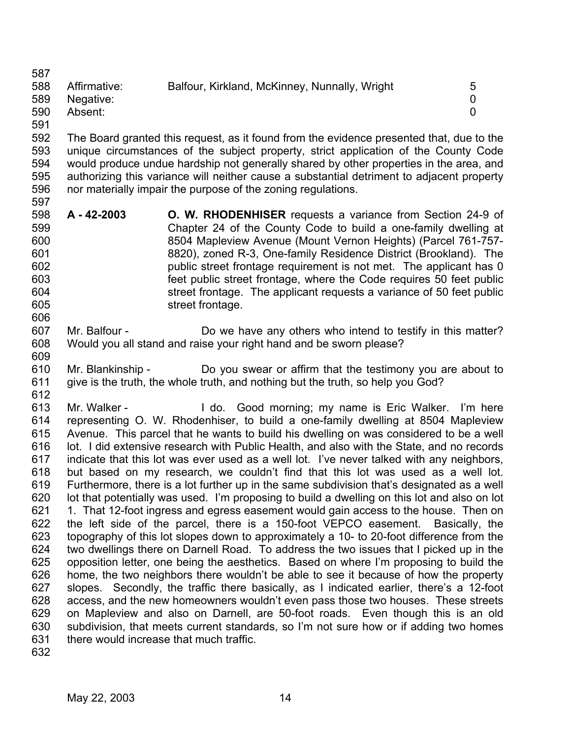587

- 588 589 590 Affirmative: Balfour, Kirkland, McKinney, Nunnally, Wright 5 Negative: 0 Absent: 0
- 591

609

592 593 594 595 596 597 The Board granted this request, as it found from the evidence presented that, due to the unique circumstances of the subject property, strict application of the County Code would produce undue hardship not generally shared by other properties in the area, and authorizing this variance will neither cause a substantial detriment to adjacent property nor materially impair the purpose of the zoning regulations.

- 598 599 600 601 602 603 604 605 606 **A - 42-2003 O. W. RHODENHISER** requests a variance from Section 24-9 of Chapter 24 of the County Code to build a one-family dwelling at 8504 Mapleview Avenue (Mount Vernon Heights) (Parcel 761-757- 8820), zoned R-3, One-family Residence District (Brookland). The public street frontage requirement is not met. The applicant has 0 feet public street frontage, where the Code requires 50 feet public street frontage. The applicant requests a variance of 50 feet public street frontage.
- 607 608 Mr. Balfour - Do we have any others who intend to testify in this matter? Would you all stand and raise your right hand and be sworn please?
- 610 611 612 Mr. Blankinship - Do you swear or affirm that the testimony you are about to give is the truth, the whole truth, and nothing but the truth, so help you God?

613 614 615 616 617 618 619 620 621 622 623 624 625 626 627 628 629 630 631 Mr. Walker - The Music Cood morning; my name is Eric Walker. I'm here representing O. W. Rhodenhiser, to build a one-family dwelling at 8504 Mapleview Avenue. This parcel that he wants to build his dwelling on was considered to be a well lot. I did extensive research with Public Health, and also with the State, and no records indicate that this lot was ever used as a well lot. I've never talked with any neighbors, but based on my research, we couldn't find that this lot was used as a well lot. Furthermore, there is a lot further up in the same subdivision that's designated as a well lot that potentially was used. I'm proposing to build a dwelling on this lot and also on lot 1. That 12-foot ingress and egress easement would gain access to the house. Then on the left side of the parcel, there is a 150-foot VEPCO easement. Basically, the topography of this lot slopes down to approximately a 10- to 20-foot difference from the two dwellings there on Darnell Road. To address the two issues that I picked up in the opposition letter, one being the aesthetics. Based on where I'm proposing to build the home, the two neighbors there wouldn't be able to see it because of how the property slopes. Secondly, the traffic there basically, as I indicated earlier, there's a 12-foot access, and the new homeowners wouldn't even pass those two houses. These streets on Mapleview and also on Darnell, are 50-foot roads. Even though this is an old subdivision, that meets current standards, so I'm not sure how or if adding two homes there would increase that much traffic.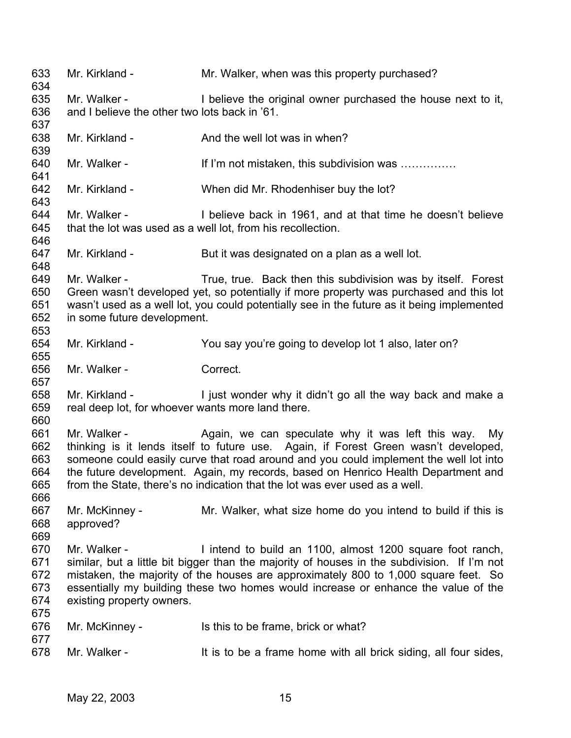633 634 635 636 637 638 639 640 641 642 643 644 645 646 647 648 649 650 651 652 653 654 655 656 657 658 659 660 661 662 663 664 665 666 667 668 669 670 671 672 673 674 675 676 677 678 Mr. Kirkland - The Mr. Walker, when was this property purchased? Mr. Walker - I believe the original owner purchased the house next to it, and I believe the other two lots back in '61. Mr. Kirkland - And the well lot was in when? Mr. Walker - If I'm not mistaken, this subdivision was ............... Mr. Kirkland - When did Mr. Rhodenhiser buy the lot? Mr. Walker - I believe back in 1961, and at that time he doesn't believe that the lot was used as a well lot, from his recollection. Mr. Kirkland - But it was designated on a plan as a well lot. Mr. Walker - True, true. Back then this subdivision was by itself. Forest Green wasn't developed yet, so potentially if more property was purchased and this lot wasn't used as a well lot, you could potentially see in the future as it being implemented in some future development. Mr. Kirkland - You say you're going to develop lot 1 also, later on? Mr. Walker - Correct. Mr. Kirkland - I just wonder why it didn't go all the way back and make a real deep lot, for whoever wants more land there. Mr. Walker - The Again, we can speculate why it was left this way. My thinking is it lends itself to future use. Again, if Forest Green wasn't developed, someone could easily curve that road around and you could implement the well lot into the future development. Again, my records, based on Henrico Health Department and from the State, there's no indication that the lot was ever used as a well. Mr. McKinney - Mr. Walker, what size home do you intend to build if this is approved? Mr. Walker - The Intend to build an 1100, almost 1200 square foot ranch, similar, but a little bit bigger than the majority of houses in the subdivision. If I'm not mistaken, the majority of the houses are approximately 800 to 1,000 square feet. So essentially my building these two homes would increase or enhance the value of the existing property owners. Mr. McKinney - Is this to be frame, brick or what? Mr. Walker - It is to be a frame home with all brick siding, all four sides,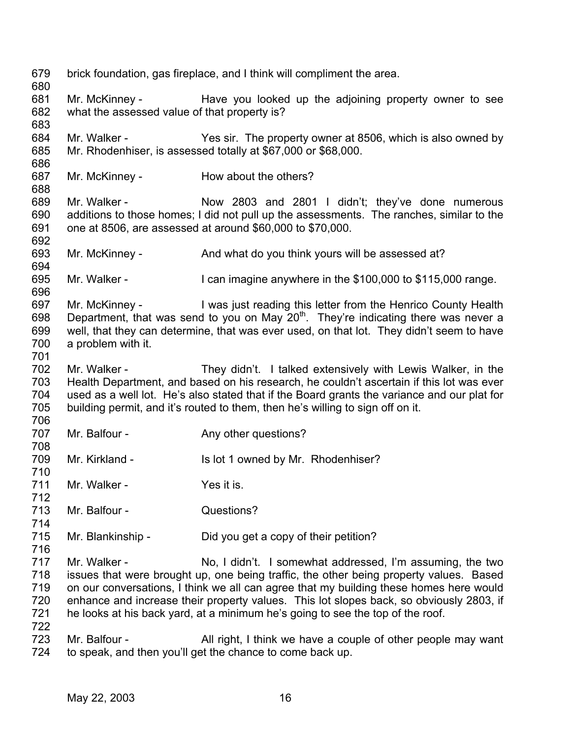679 680 681 682 683 684 685 686 687 688 689 690 691 692 693 694 695 696 697 698 699 700 701 702 703 704 705 706 707 708 709 710 711 712 713 714 715 716 717 718 719 720 721 722 723 724 brick foundation, gas fireplace, and I think will compliment the area. Mr. McKinney - The Have you looked up the adjoining property owner to see what the assessed value of that property is? Mr. Walker - Yes sir. The property owner at 8506, which is also owned by Mr. Rhodenhiser, is assessed totally at \$67,000 or \$68,000. Mr. McKinney - How about the others? Mr. Walker - Now 2803 and 2801 I didn't; they've done numerous additions to those homes; I did not pull up the assessments. The ranches, similar to the one at 8506, are assessed at around \$60,000 to \$70,000. Mr. McKinney - And what do you think yours will be assessed at? Mr. Walker - I can imagine anywhere in the \$100,000 to \$115,000 range. Mr. McKinney - I was just reading this letter from the Henrico County Health Department, that was send to you on May  $20<sup>th</sup>$ . They're indicating there was never a well, that they can determine, that was ever used, on that lot. They didn't seem to have a problem with it. Mr. Walker - They didn't. I talked extensively with Lewis Walker, in the Health Department, and based on his research, he couldn't ascertain if this lot was ever used as a well lot. He's also stated that if the Board grants the variance and our plat for building permit, and it's routed to them, then he's willing to sign off on it. Mr. Balfour - Any other questions? Mr. Kirkland - Is lot 1 owned by Mr. Rhodenhiser? Mr. Walker - The Yes it is. Mr. Balfour - **Questions?** Mr. Blankinship - Did you get a copy of their petition? Mr. Walker - No, I didn't. I somewhat addressed, I'm assuming, the two issues that were brought up, one being traffic, the other being property values. Based on our conversations, I think we all can agree that my building these homes here would enhance and increase their property values. This lot slopes back, so obviously 2803, if he looks at his back yard, at a minimum he's going to see the top of the roof. Mr. Balfour - All right, I think we have a couple of other people may want to speak, and then you'll get the chance to come back up.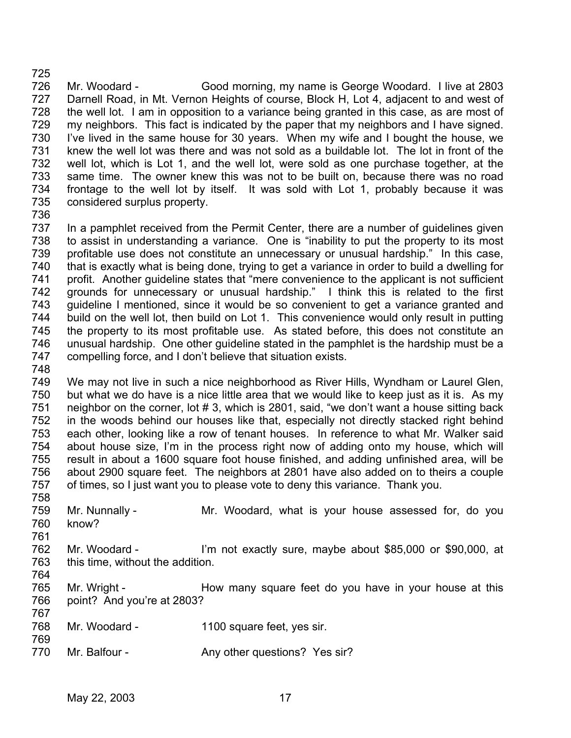726 727 728 729 730 731 732 733 734 735 Mr. Woodard - Good morning, my name is George Woodard. I live at 2803 Darnell Road, in Mt. Vernon Heights of course, Block H, Lot 4, adjacent to and west of the well lot. I am in opposition to a variance being granted in this case, as are most of my neighbors. This fact is indicated by the paper that my neighbors and I have signed. I've lived in the same house for 30 years. When my wife and I bought the house, we knew the well lot was there and was not sold as a buildable lot. The lot in front of the well lot, which is Lot 1, and the well lot, were sold as one purchase together, at the same time. The owner knew this was not to be built on, because there was no road frontage to the well lot by itself. It was sold with Lot 1, probably because it was considered surplus property.

736

725

737 738 739 740 741 742 743 744 745 746 747 In a pamphlet received from the Permit Center, there are a number of guidelines given to assist in understanding a variance. One is "inability to put the property to its most profitable use does not constitute an unnecessary or unusual hardship." In this case, that is exactly what is being done, trying to get a variance in order to build a dwelling for profit. Another guideline states that "mere convenience to the applicant is not sufficient grounds for unnecessary or unusual hardship." I think this is related to the first guideline I mentioned, since it would be so convenient to get a variance granted and build on the well lot, then build on Lot 1. This convenience would only result in putting the property to its most profitable use. As stated before, this does not constitute an unusual hardship. One other guideline stated in the pamphlet is the hardship must be a compelling force, and I don't believe that situation exists.

748

761

767

769

749 750 751 752 753 754 755 756 757 758 We may not live in such a nice neighborhood as River Hills, Wyndham or Laurel Glen, but what we do have is a nice little area that we would like to keep just as it is. As my neighbor on the corner, lot # 3, which is 2801, said, "we don't want a house sitting back in the woods behind our houses like that, especially not directly stacked right behind each other, looking like a row of tenant houses. In reference to what Mr. Walker said about house size, I'm in the process right now of adding onto my house, which will result in about a 1600 square foot house finished, and adding unfinished area, will be about 2900 square feet. The neighbors at 2801 have also added on to theirs a couple of times, so I just want you to please vote to deny this variance. Thank you.

- 759 760 Mr. Nunnally - Mr. Woodard, what is your house assessed for, do you know?
- 762 763 764 Mr. Woodard - I'm not exactly sure, maybe about \$85,000 or \$90,000, at this time, without the addition.
- 765 766 Mr. Wright - **How many square feet do you have in your house at this** point? And you're at 2803?
- 768 Mr. Woodard - 1100 square feet, yes sir.
- 770 Mr. Balfour - Any other questions? Yes sir?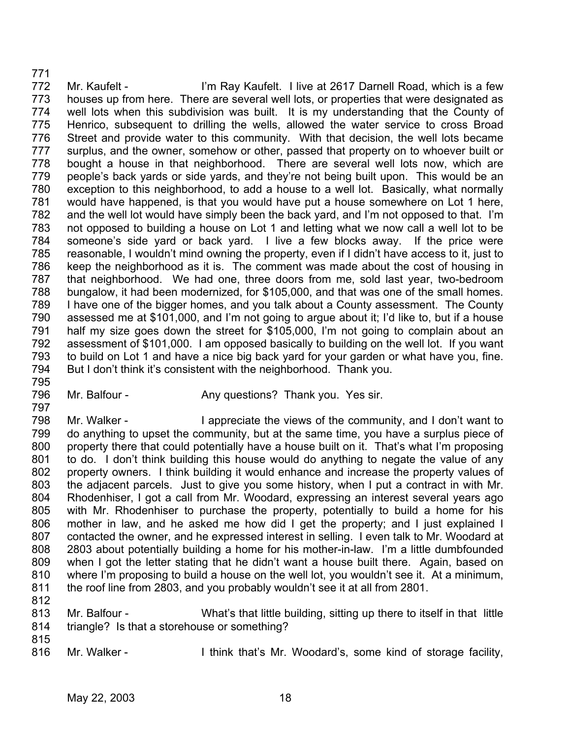771 772 773 774 775 776 777 778 779 780 781 782 783 784 785 786 787 788 789 790 791 792 793 794 795 Mr. Kaufelt - I'm Ray Kaufelt. I live at 2617 Darnell Road, which is a few houses up from here. There are several well lots, or properties that were designated as well lots when this subdivision was built. It is my understanding that the County of Henrico, subsequent to drilling the wells, allowed the water service to cross Broad Street and provide water to this community. With that decision, the well lots became surplus, and the owner, somehow or other, passed that property on to whoever built or bought a house in that neighborhood. There are several well lots now, which are people's back yards or side yards, and they're not being built upon. This would be an exception to this neighborhood, to add a house to a well lot. Basically, what normally would have happened, is that you would have put a house somewhere on Lot 1 here, and the well lot would have simply been the back yard, and I'm not opposed to that. I'm not opposed to building a house on Lot 1 and letting what we now call a well lot to be someone's side yard or back yard. I live a few blocks away. If the price were reasonable, I wouldn't mind owning the property, even if I didn't have access to it, just to keep the neighborhood as it is. The comment was made about the cost of housing in that neighborhood. We had one, three doors from me, sold last year, two-bedroom bungalow, it had been modernized, for \$105,000, and that was one of the small homes. I have one of the bigger homes, and you talk about a County assessment. The County assessed me at \$101,000, and I'm not going to argue about it; I'd like to, but if a house half my size goes down the street for \$105,000, I'm not going to complain about an assessment of \$101,000. I am opposed basically to building on the well lot. If you want to build on Lot 1 and have a nice big back yard for your garden or what have you, fine. But I don't think it's consistent with the neighborhood. Thank you.

796 Mr. Balfour - Any questions? Thank you. Yes sir.

798 799 800 801 802 803 804 805 806 807 808 809 810 811 Mr. Walker - I appreciate the views of the community, and I don't want to do anything to upset the community, but at the same time, you have a surplus piece of property there that could potentially have a house built on it. That's what I'm proposing to do. I don't think building this house would do anything to negate the value of any property owners. I think building it would enhance and increase the property values of the adjacent parcels. Just to give you some history, when I put a contract in with Mr. Rhodenhiser, I got a call from Mr. Woodard, expressing an interest several years ago with Mr. Rhodenhiser to purchase the property, potentially to build a home for his mother in law, and he asked me how did I get the property; and I just explained I contacted the owner, and he expressed interest in selling. I even talk to Mr. Woodard at 2803 about potentially building a home for his mother-in-law. I'm a little dumbfounded when I got the letter stating that he didn't want a house built there. Again, based on where I'm proposing to build a house on the well lot, you wouldn't see it. At a minimum, the roof line from 2803, and you probably wouldn't see it at all from 2801.

812

797

813 814 Mr. Balfour - What's that little building, sitting up there to itself in that little triangle? Is that a storehouse or something?

815

816 Mr. Walker - I think that's Mr. Woodard's, some kind of storage facility,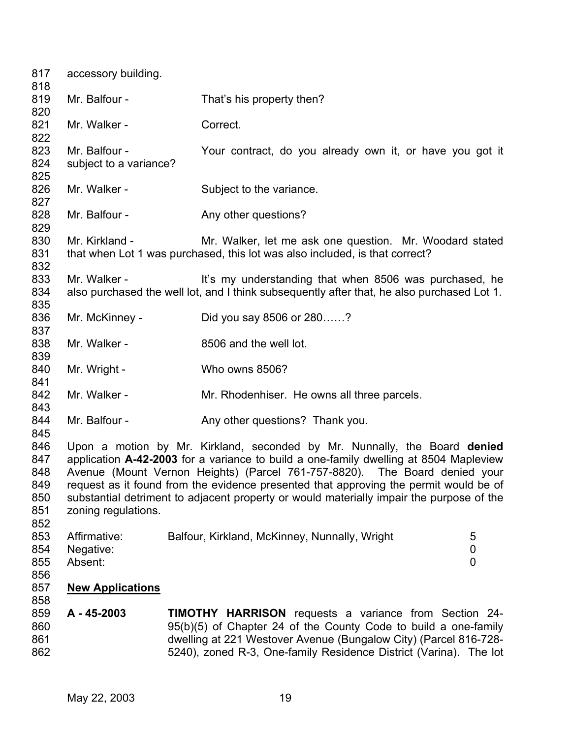| 817<br>818                                    | accessory building.                     |                                                                                                                                                                                                                                                                                                                                                                                                                                       |                          |
|-----------------------------------------------|-----------------------------------------|---------------------------------------------------------------------------------------------------------------------------------------------------------------------------------------------------------------------------------------------------------------------------------------------------------------------------------------------------------------------------------------------------------------------------------------|--------------------------|
| 819<br>820                                    | Mr. Balfour -                           | That's his property then?                                                                                                                                                                                                                                                                                                                                                                                                             |                          |
| 821<br>822                                    | Mr. Walker -                            | Correct.                                                                                                                                                                                                                                                                                                                                                                                                                              |                          |
| 823<br>824<br>825                             | Mr. Balfour -<br>subject to a variance? | Your contract, do you already own it, or have you got it                                                                                                                                                                                                                                                                                                                                                                              |                          |
| 826<br>827                                    | Mr. Walker -                            | Subject to the variance.                                                                                                                                                                                                                                                                                                                                                                                                              |                          |
| 828<br>829                                    | Mr. Balfour -                           | Any other questions?                                                                                                                                                                                                                                                                                                                                                                                                                  |                          |
| 830<br>831<br>832                             | Mr. Kirkland -                          | Mr. Walker, let me ask one question. Mr. Woodard stated<br>that when Lot 1 was purchased, this lot was also included, is that correct?                                                                                                                                                                                                                                                                                                |                          |
| 833<br>834<br>835                             | Mr. Walker -                            | It's my understanding that when 8506 was purchased, he<br>also purchased the well lot, and I think subsequently after that, he also purchased Lot 1.                                                                                                                                                                                                                                                                                  |                          |
| 836<br>837                                    | Mr. McKinney -                          | Did you say 8506 or 280?                                                                                                                                                                                                                                                                                                                                                                                                              |                          |
| 838<br>839                                    | Mr. Walker -                            | 8506 and the well lot.                                                                                                                                                                                                                                                                                                                                                                                                                |                          |
| 840<br>841                                    | Mr. Wright -                            | Who owns 8506?                                                                                                                                                                                                                                                                                                                                                                                                                        |                          |
| 842<br>843                                    | Mr. Walker -                            | Mr. Rhodenhiser. He owns all three parcels.                                                                                                                                                                                                                                                                                                                                                                                           |                          |
| 844<br>845                                    | Mr. Balfour -                           | Any other questions? Thank you.                                                                                                                                                                                                                                                                                                                                                                                                       |                          |
| 846<br>847<br>848<br>849<br>850<br>851<br>852 | zoning regulations.                     | Upon a motion by Mr. Kirkland, seconded by Mr. Nunnally, the Board denied<br>application A-42-2003 for a variance to build a one-family dwelling at 8504 Mapleview<br>Avenue (Mount Vernon Heights) (Parcel 761-757-8820). The Board denied your<br>request as it found from the evidence presented that approving the permit would be of<br>substantial detriment to adjacent property or would materially impair the purpose of the |                          |
| 853<br>854<br>855<br>856                      | Affirmative:<br>Negative:<br>Absent:    | Balfour, Kirkland, McKinney, Nunnally, Wright                                                                                                                                                                                                                                                                                                                                                                                         | 5<br>0<br>$\overline{0}$ |
| 857<br>858                                    | <b>New Applications</b>                 |                                                                                                                                                                                                                                                                                                                                                                                                                                       |                          |
| 859<br>860<br>861<br>862                      | A - 45-2003                             | <b>TIMOTHY HARRISON</b> requests a variance from Section 24-<br>95(b)(5) of Chapter 24 of the County Code to build a one-family<br>dwelling at 221 Westover Avenue (Bungalow City) (Parcel 816-728-<br>5240), zoned R-3, One-family Residence District (Varina). The lot                                                                                                                                                              |                          |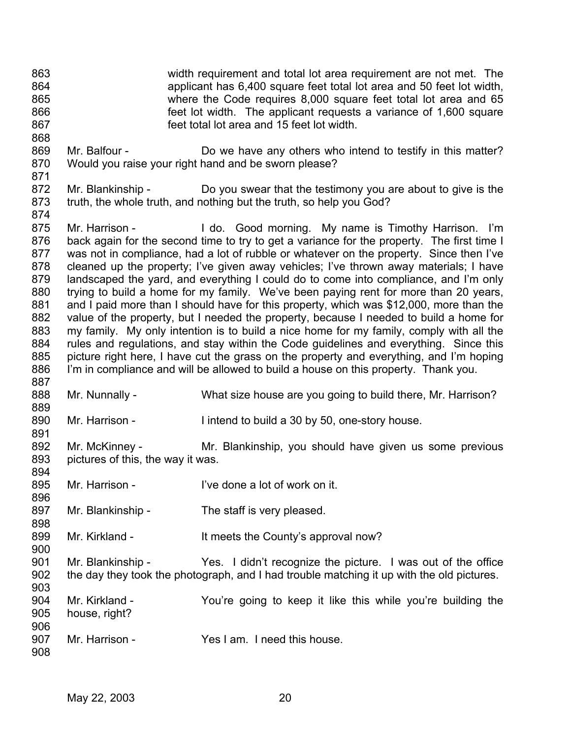863 864 865 866 867 width requirement and total lot area requirement are not met. The applicant has 6,400 square feet total lot area and 50 feet lot width, where the Code requires 8,000 square feet total lot area and 65 feet lot width. The applicant requests a variance of 1,600 square feet total lot area and 15 feet lot width.

- 869 870 871 Mr. Balfour - **Do** we have any others who intend to testify in this matter? Would you raise your right hand and be sworn please?
- 872 873 874 Mr. Blankinship - Do you swear that the testimony you are about to give is the truth, the whole truth, and nothing but the truth, so help you God?

875 876 877 878 879 880 881 882 883 884 885 886 887 Mr. Harrison - The Lido. Good morning. My name is Timothy Harrison. I'm back again for the second time to try to get a variance for the property. The first time I was not in compliance, had a lot of rubble or whatever on the property. Since then I've cleaned up the property; I've given away vehicles; I've thrown away materials; I have landscaped the yard, and everything I could do to come into compliance, and I'm only trying to build a home for my family. We've been paying rent for more than 20 years, and I paid more than I should have for this property, which was \$12,000, more than the value of the property, but I needed the property, because I needed to build a home for my family. My only intention is to build a nice home for my family, comply with all the rules and regulations, and stay within the Code guidelines and everything. Since this picture right here, I have cut the grass on the property and everything, and I'm hoping I'm in compliance and will be allowed to build a house on this property. Thank you.

- 888 Mr. Nunnally - What size house are you going to build there, Mr. Harrison?
- 890 Mr. Harrison - I intend to build a 30 by 50, one-story house.
- 892 893 894 Mr. McKinney - The Mr. Blankinship, you should have given us some previous pictures of this, the way it was.
- 895 Mr. Harrison - I've done a lot of work on it.
- 897 Mr. Blankinship - The staff is very pleased.
- 899 Mr. Kirkland - It meets the County's approval now?
- 901 902 903 Mr. Blankinship - Yes. I didn't recognize the picture. I was out of the office the day they took the photograph, and I had trouble matching it up with the old pictures.
- 904 905 906 Mr. Kirkland - You're going to keep it like this while you're building the house, right?
- 907 Mr. Harrison - Yes I am. I need this house.

868

889

891

896

898

900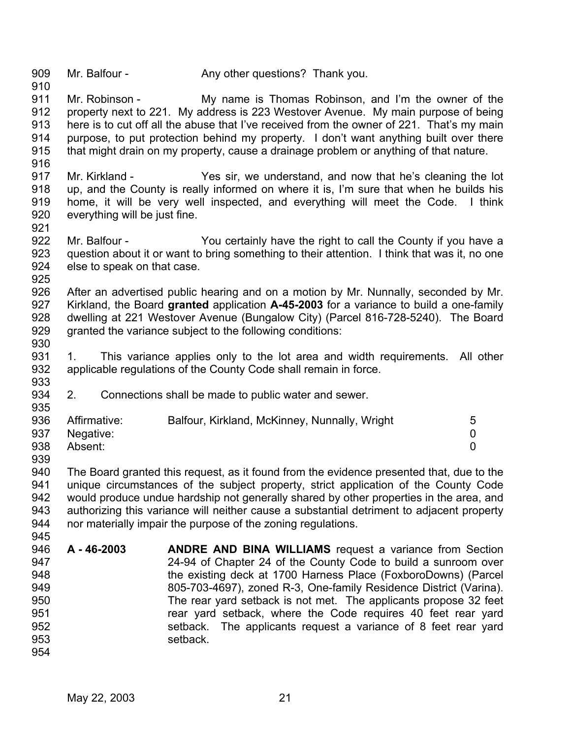909 910 Mr. Balfour - Any other questions? Thank you.

911 912 913 914 915 916 Mr. Robinson - My name is Thomas Robinson, and I'm the owner of the property next to 221. My address is 223 Westover Avenue. My main purpose of being here is to cut off all the abuse that I've received from the owner of 221. That's my main purpose, to put protection behind my property. I don't want anything built over there that might drain on my property, cause a drainage problem or anything of that nature.

- 917 918 919 920 Mr. Kirkland - Yes sir, we understand, and now that he's cleaning the lot up, and the County is really informed on where it is, I'm sure that when he builds his home, it will be very well inspected, and everything will meet the Code. I think everything will be just fine.
- 922 923 924 925 Mr. Balfour - You certainly have the right to call the County if you have a question about it or want to bring something to their attention. I think that was it, no one else to speak on that case.
- 926 927 928 929 After an advertised public hearing and on a motion by Mr. Nunnally, seconded by Mr. Kirkland, the Board **granted** application **A-45-2003** for a variance to build a one-family dwelling at 221 Westover Avenue (Bungalow City) (Parcel 816-728-5240). The Board granted the variance subject to the following conditions:
- 930

935

921

- 931 932 933 1. This variance applies only to the lot area and width requirements. All other applicable regulations of the County Code shall remain in force.
- 934 2. Connections shall be made to public water and sewer.

| 936 | Affirmative: | Balfour, Kirkland, McKinney, Nunnally, Wright |  |
|-----|--------------|-----------------------------------------------|--|
| 937 | Negative:    |                                               |  |
| 938 | Absent:      |                                               |  |

939

940 941 942 943 944 945 The Board granted this request, as it found from the evidence presented that, due to the unique circumstances of the subject property, strict application of the County Code would produce undue hardship not generally shared by other properties in the area, and authorizing this variance will neither cause a substantial detriment to adjacent property nor materially impair the purpose of the zoning regulations.

946 947 948 949 950 951 952 953 954 **A - 46-2003 ANDRE AND BINA WILLIAMS** request a variance from Section 24-94 of Chapter 24 of the County Code to build a sunroom over the existing deck at 1700 Harness Place (FoxboroDowns) (Parcel 805-703-4697), zoned R-3, One-family Residence District (Varina). The rear yard setback is not met. The applicants propose 32 feet rear yard setback, where the Code requires 40 feet rear yard setback. The applicants request a variance of 8 feet rear yard setback.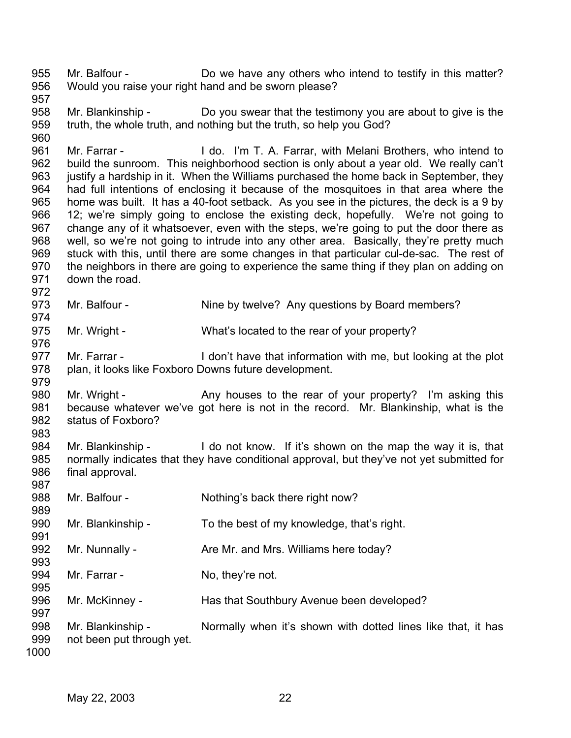955 956 957 Mr. Balfour - **Do we have any others who intend to testify in this matter?** Would you raise your right hand and be sworn please?

958 959 Mr. Blankinship - Do you swear that the testimony you are about to give is the truth, the whole truth, and nothing but the truth, so help you God?

961 962 963 964 965 966 967 968 969 970 971 Mr. Farrar - I do. I'm T. A. Farrar, with Melani Brothers, who intend to build the sunroom. This neighborhood section is only about a year old. We really can't justify a hardship in it. When the Williams purchased the home back in September, they had full intentions of enclosing it because of the mosquitoes in that area where the home was built. It has a 40-foot setback. As you see in the pictures, the deck is a 9 by 12; we're simply going to enclose the existing deck, hopefully. We're not going to change any of it whatsoever, even with the steps, we're going to put the door there as well, so we're not going to intrude into any other area. Basically, they're pretty much stuck with this, until there are some changes in that particular cul-de-sac. The rest of the neighbors in there are going to experience the same thing if they plan on adding on down the road.

973 Mr. Balfour - Nine by twelve? Any questions by Board members?

975 Mr. Wright - What's located to the rear of your property?

977 978 979 Mr. Farrar - I don't have that information with me, but looking at the plot plan, it looks like Foxboro Downs future development.

980 981 982 983 Mr. Wright - Any houses to the rear of your property? I'm asking this because whatever we've got here is not in the record. Mr. Blankinship, what is the status of Foxboro?

984 985 986 987 Mr. Blankinship - I do not know. If it's shown on the map the way it is, that normally indicates that they have conditional approval, but they've not yet submitted for final approval.

988 Mr. Balfour - Nothing's back there right now?

990 Mr. Blankinship - To the best of my knowledge, that's right.

992 993 Mr. Nunnally - Are Mr. and Mrs. Williams here today?

994 Mr. Farrar - No, they're not.

996 Mr. McKinney - Has that Southbury Avenue been developed?

998 999 Mr. Blankinship - Normally when it's shown with dotted lines like that, it has not been put through yet.

1000

989

991

995

997

960

972

974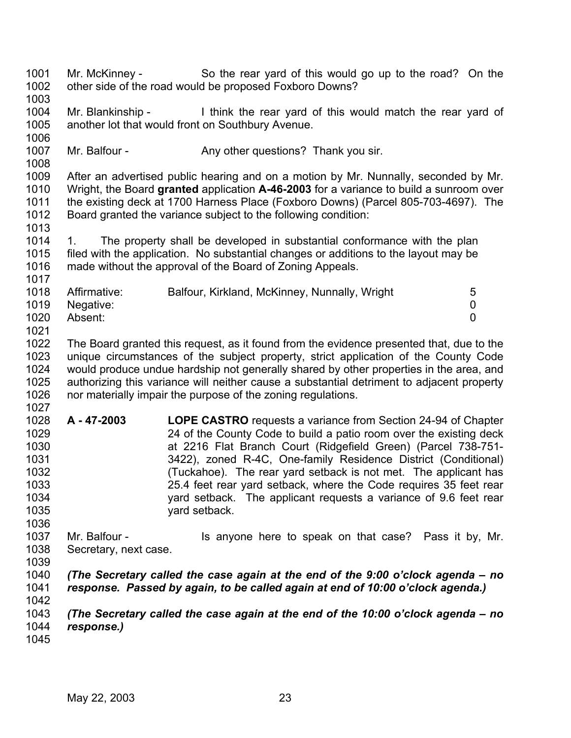1001 1002 1003 Mr. McKinney - So the rear yard of this would go up to the road? On the other side of the road would be proposed Foxboro Downs?

1004 1005 Mr. Blankinship - I think the rear yard of this would match the rear yard of another lot that would front on Southbury Avenue.

1007 Mr. Balfour - Any other questions? Thank you sir.

1009 1010 1011 1012 After an advertised public hearing and on a motion by Mr. Nunnally, seconded by Mr. Wright, the Board **granted** application **A-46-2003** for a variance to build a sunroom over the existing deck at 1700 Harness Place (Foxboro Downs) (Parcel 805-703-4697). The Board granted the variance subject to the following condition:

1014 1015 1016 1017 1. The property shall be developed in substantial conformance with the plan filed with the application. No substantial changes or additions to the layout may be made without the approval of the Board of Zoning Appeals.

| 1018 | Affirmative: | Balfour, Kirkland, McKinney, Nunnally, Wright | 5 |
|------|--------------|-----------------------------------------------|---|
| 1019 | Negative:    |                                               |   |
| 1020 | Absent:      |                                               |   |
| 1021 |              |                                               |   |

1022 1023 1024 1025 1026 The Board granted this request, as it found from the evidence presented that, due to the unique circumstances of the subject property, strict application of the County Code would produce undue hardship not generally shared by other properties in the area, and authorizing this variance will neither cause a substantial detriment to adjacent property nor materially impair the purpose of the zoning regulations.

- 1028 1029 1030 1031 1032 1033 1034 1035 **A - 47-2003 LOPE CASTRO** requests a variance from Section 24-94 of Chapter 24 of the County Code to build a patio room over the existing deck at 2216 Flat Branch Court (Ridgefield Green) (Parcel 738-751- 3422), zoned R-4C, One-family Residence District (Conditional) (Tuckahoe). The rear yard setback is not met. The applicant has 25.4 feet rear yard setback, where the Code requires 35 feet rear yard setback. The applicant requests a variance of 9.6 feet rear yard setback.
- 1036 1037 1038 Mr. Balfour - The Summan is anyone here to speak on that case? Pass it by, Mr. Secretary, next case.
- 1039

1027

1006

1008

1013

- 1040 1041 *(The Secretary called the case again at the end of the 9:00 o'clock agenda – no response. Passed by again, to be called again at end of 10:00 o'clock agenda.)*
- 1042

1043 1044 *(The Secretary called the case again at the end of the 10:00 o'clock agenda – no response.)*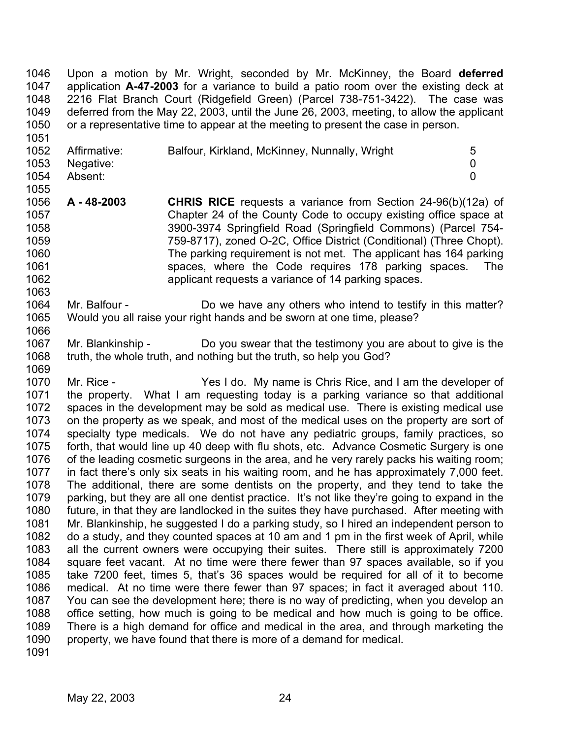Upon a motion by Mr. Wright, seconded by Mr. McKinney, the Board **deferred** application **A-47-2003** for a variance to build a patio room over the existing deck at 2216 Flat Branch Court (Ridgefield Green) (Parcel 738-751-3422). The case was deferred from the May 22, 2003, until the June 26, 2003, meeting, to allow the applicant or a representative time to appear at the meeting to present the case in person. 1046 1047 1048 1049 1050

| 1052 | Affirmative:   | Balfour, Kirkland, McKinney, Nunnally, Wright | 5 |
|------|----------------|-----------------------------------------------|---|
|      | 1053 Negative: |                                               |   |
| 1054 | Absent:        |                                               |   |
| 1055 |                |                                               |   |

1056 1057 1058 1059 1060 1061 1062 **A - 48-2003 CHRIS RICE** requests a variance from Section 24-96(b)(12a) of Chapter 24 of the County Code to occupy existing office space at 3900-3974 Springfield Road (Springfield Commons) (Parcel 754- 759-8717), zoned O-2C, Office District (Conditional) (Three Chopt). The parking requirement is not met. The applicant has 164 parking spaces, where the Code requires 178 parking spaces. The applicant requests a variance of 14 parking spaces.

1064 1065 Mr. Balfour - Do we have any others who intend to testify in this matter? Would you all raise your right hands and be sworn at one time, please?

1067 1068 1069 Mr. Blankinship - Do you swear that the testimony you are about to give is the truth, the whole truth, and nothing but the truth, so help you God?

1070 1071 1072 1073 1074 1075 1076 1077 1078 1079 1080 1081 1082 1083 1084 1085 1086 1087 1088 1089 1090 Mr. Rice - Yes I do. My name is Chris Rice, and I am the developer of the property. What I am requesting today is a parking variance so that additional spaces in the development may be sold as medical use. There is existing medical use on the property as we speak, and most of the medical uses on the property are sort of specialty type medicals. We do not have any pediatric groups, family practices, so forth, that would line up 40 deep with flu shots, etc. Advance Cosmetic Surgery is one of the leading cosmetic surgeons in the area, and he very rarely packs his waiting room; in fact there's only six seats in his waiting room, and he has approximately 7,000 feet. The additional, there are some dentists on the property, and they tend to take the parking, but they are all one dentist practice. It's not like they're going to expand in the future, in that they are landlocked in the suites they have purchased. After meeting with Mr. Blankinship, he suggested I do a parking study, so I hired an independent person to do a study, and they counted spaces at 10 am and 1 pm in the first week of April, while all the current owners were occupying their suites. There still is approximately 7200 square feet vacant. At no time were there fewer than 97 spaces available, so if you take 7200 feet, times 5, that's 36 spaces would be required for all of it to become medical. At no time were there fewer than 97 spaces; in fact it averaged about 110. You can see the development here; there is no way of predicting, when you develop an office setting, how much is going to be medical and how much is going to be office. There is a high demand for office and medical in the area, and through marketing the property, we have found that there is more of a demand for medical.

1091

1051

1063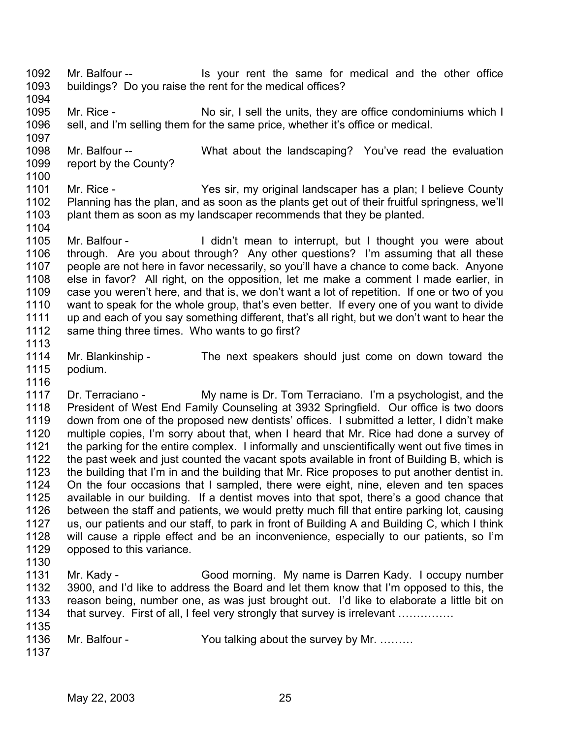- 1092 1093 Mr. Balfour -- Is your rent the same for medical and the other office buildings? Do you raise the rent for the medical offices?
- 1094

1097

1104

- 1095 1096 Mr. Rice - No sir, I sell the units, they are office condominiums which I sell, and I'm selling them for the same price, whether it's office or medical.
- 1098 1099 1100 Mr. Balfour -- What about the landscaping? You've read the evaluation report by the County?
- 1101 1102 1103 Mr. Rice - Yes sir, my original landscaper has a plan; I believe County Planning has the plan, and as soon as the plants get out of their fruitful springness, we'll plant them as soon as my landscaper recommends that they be planted.
- 1105 1106 1107 1108 1109 1110 1111 1112 1113 Mr. Balfour - I didn't mean to interrupt, but I thought you were about through. Are you about through? Any other questions? I'm assuming that all these people are not here in favor necessarily, so you'll have a chance to come back. Anyone else in favor? All right, on the opposition, let me make a comment I made earlier, in case you weren't here, and that is, we don't want a lot of repetition. If one or two of you want to speak for the whole group, that's even better. If every one of you want to divide up and each of you say something different, that's all right, but we don't want to hear the same thing three times. Who wants to go first?
- 1114 1115 Mr. Blankinship - The next speakers should just come on down toward the podium.
- 1117 1118 1119 1120 1121 1122 1123 1124 1125 1126 1127 1128 1129 Dr. Terraciano - My name is Dr. Tom Terraciano. I'm a psychologist, and the President of West End Family Counseling at 3932 Springfield. Our office is two doors down from one of the proposed new dentists' offices. I submitted a letter, I didn't make multiple copies, I'm sorry about that, when I heard that Mr. Rice had done a survey of the parking for the entire complex. I informally and unscientifically went out five times in the past week and just counted the vacant spots available in front of Building B, which is the building that I'm in and the building that Mr. Rice proposes to put another dentist in. On the four occasions that I sampled, there were eight, nine, eleven and ten spaces available in our building. If a dentist moves into that spot, there's a good chance that between the staff and patients, we would pretty much fill that entire parking lot, causing us, our patients and our staff, to park in front of Building A and Building C, which I think will cause a ripple effect and be an inconvenience, especially to our patients, so I'm opposed to this variance.
- 1130
- 1131 1132 1133 1134 1135 Mr. Kady - Good morning. My name is Darren Kady. I occupy number 3900, and I'd like to address the Board and let them know that I'm opposed to this, the reason being, number one, as was just brought out. I'd like to elaborate a little bit on that survey. First of all, I feel very strongly that survey is irrelevant ……………
- 1136 Mr. Balfour - You talking about the survey by Mr. .........
	- 1137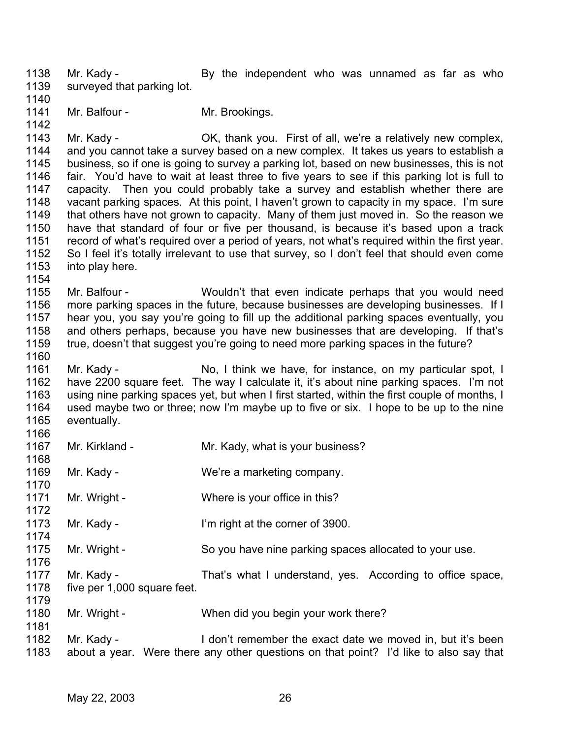1138 1139 Mr. Kady - The By the independent who was unnamed as far as who surveyed that parking lot.

1140

1141 Mr. Balfour - Mr. Brookings.

1142

1143 1144 1145 1146 1147 1148 1149 1150 1151 1152 1153 Mr. Kady - CK, thank you. First of all, we're a relatively new complex, and you cannot take a survey based on a new complex. It takes us years to establish a business, so if one is going to survey a parking lot, based on new businesses, this is not fair. You'd have to wait at least three to five years to see if this parking lot is full to capacity. Then you could probably take a survey and establish whether there are vacant parking spaces. At this point, I haven't grown to capacity in my space. I'm sure that others have not grown to capacity. Many of them just moved in. So the reason we have that standard of four or five per thousand, is because it's based upon a track record of what's required over a period of years, not what's required within the first year. So I feel it's totally irrelevant to use that survey, so I don't feel that should even come into play here.

1154

1155 1156 1157 1158 1159 1160 Mr. Balfour - Wouldn't that even indicate perhaps that you would need more parking spaces in the future, because businesses are developing businesses. If I hear you, you say you're going to fill up the additional parking spaces eventually, you and others perhaps, because you have new businesses that are developing. If that's true, doesn't that suggest you're going to need more parking spaces in the future?

1161 1162 1163 1164 1165 1166 Mr. Kady - No, I think we have, for instance, on my particular spot, I have 2200 square feet. The way I calculate it, it's about nine parking spaces. I'm not using nine parking spaces yet, but when I first started, within the first couple of months, I used maybe two or three; now I'm maybe up to five or six. I hope to be up to the nine eventually.

| 1 I V V |                             |                                                            |
|---------|-----------------------------|------------------------------------------------------------|
| 1167    | Mr. Kirkland -              | Mr. Kady, what is your business?                           |
| 1168    |                             |                                                            |
| 1169    | Mr. Kady -                  | We're a marketing company.                                 |
| 1170    |                             |                                                            |
| 1171    | Mr. Wright -                | Where is your office in this?                              |
| 1172    |                             |                                                            |
| 1173    | Mr. Kady -                  | I'm right at the corner of 3900.                           |
| 1174    |                             |                                                            |
| 1175    | Mr. Wright -                | So you have nine parking spaces allocated to your use.     |
| 1176    |                             |                                                            |
| 1177    | Mr. Kady -                  | That's what I understand, yes. According to office space,  |
| 1178    | five per 1,000 square feet. |                                                            |
| 1179    |                             |                                                            |
| 1180    | Mr. Wright -                | When did you begin your work there?                        |
| 1181    |                             |                                                            |
| 1182    | Mr. Kady -                  | I don't remember the exact date we moved in, but it's been |

1183 about a year. Were there any other questions on that point? I'd like to also say that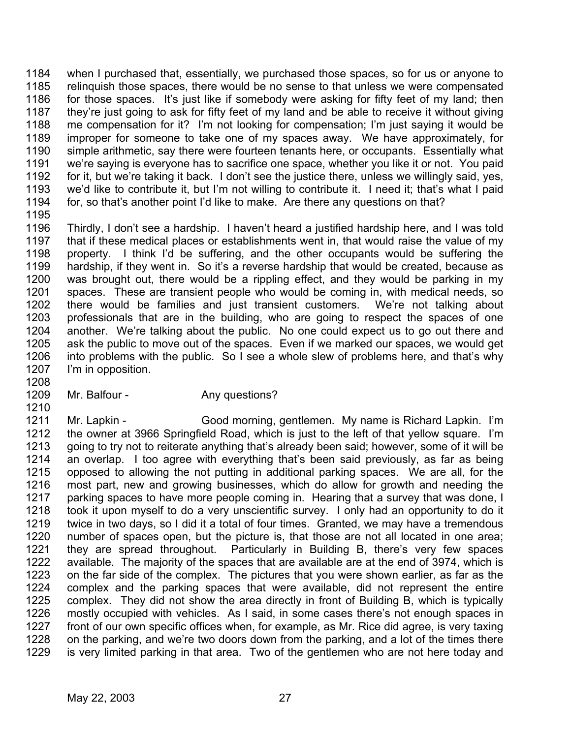1184 1185 1186 1187 1188 1189 1190 1191 1192 1193 1194 when I purchased that, essentially, we purchased those spaces, so for us or anyone to relinquish those spaces, there would be no sense to that unless we were compensated for those spaces. It's just like if somebody were asking for fifty feet of my land; then they're just going to ask for fifty feet of my land and be able to receive it without giving me compensation for it? I'm not looking for compensation; I'm just saying it would be improper for someone to take one of my spaces away. We have approximately, for simple arithmetic, say there were fourteen tenants here, or occupants. Essentially what we're saying is everyone has to sacrifice one space, whether you like it or not. You paid for it, but we're taking it back. I don't see the justice there, unless we willingly said, yes, we'd like to contribute it, but I'm not willing to contribute it. I need it; that's what I paid for, so that's another point I'd like to make. Are there any questions on that?

1195

1196 1197 1198 1199 1200 1201 1202 1203 1204 1205 1206 1207 1208 Thirdly, I don't see a hardship. I haven't heard a justified hardship here, and I was told that if these medical places or establishments went in, that would raise the value of my property. I think I'd be suffering, and the other occupants would be suffering the hardship, if they went in. So it's a reverse hardship that would be created, because as was brought out, there would be a rippling effect, and they would be parking in my spaces. These are transient people who would be coming in, with medical needs, so there would be families and just transient customers. We're not talking about professionals that are in the building, who are going to respect the spaces of one another. We're talking about the public. No one could expect us to go out there and ask the public to move out of the spaces. Even if we marked our spaces, we would get into problems with the public. So I see a whole slew of problems here, and that's why I'm in opposition.

1209

1210

## Mr. Balfour - Any questions?

1211 1212 1213 1214 1215 1216 1217 1218 1219 1220 1221 1222 1223 1224 1225 1226 1227 1228 1229 Mr. Lapkin - Good morning, gentlemen. My name is Richard Lapkin. I'm the owner at 3966 Springfield Road, which is just to the left of that yellow square. I'm going to try not to reiterate anything that's already been said; however, some of it will be an overlap. I too agree with everything that's been said previously, as far as being opposed to allowing the not putting in additional parking spaces. We are all, for the most part, new and growing businesses, which do allow for growth and needing the parking spaces to have more people coming in. Hearing that a survey that was done, I took it upon myself to do a very unscientific survey. I only had an opportunity to do it twice in two days, so I did it a total of four times. Granted, we may have a tremendous number of spaces open, but the picture is, that those are not all located in one area; they are spread throughout. Particularly in Building B, there's very few spaces available. The majority of the spaces that are available are at the end of 3974, which is on the far side of the complex. The pictures that you were shown earlier, as far as the complex and the parking spaces that were available, did not represent the entire complex. They did not show the area directly in front of Building B, which is typically mostly occupied with vehicles. As I said, in some cases there's not enough spaces in front of our own specific offices when, for example, as Mr. Rice did agree, is very taxing on the parking, and we're two doors down from the parking, and a lot of the times there is very limited parking in that area. Two of the gentlemen who are not here today and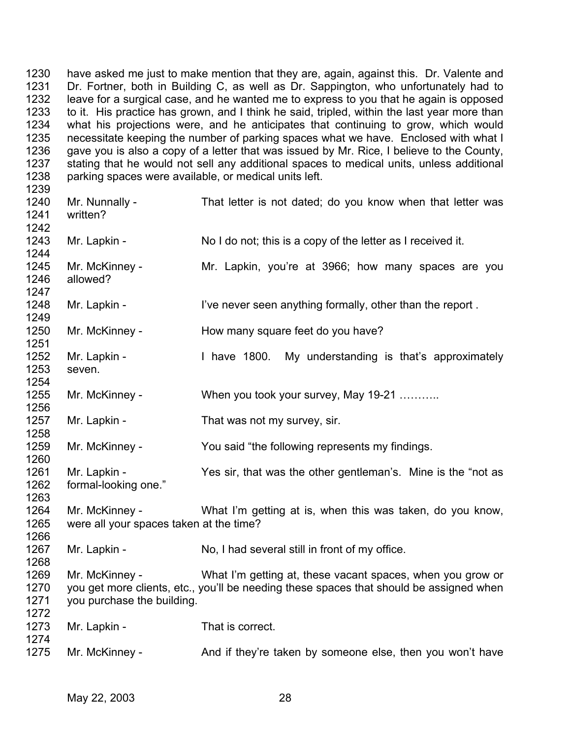1230 1231 1232 1233 1234 1235 1236 1237 1238 have asked me just to make mention that they are, again, against this. Dr. Valente and Dr. Fortner, both in Building C, as well as Dr. Sappington, who unfortunately had to leave for a surgical case, and he wanted me to express to you that he again is opposed to it. His practice has grown, and I think he said, tripled, within the last year more than what his projections were, and he anticipates that continuing to grow, which would necessitate keeping the number of parking spaces what we have. Enclosed with what I gave you is also a copy of a letter that was issued by Mr. Rice, I believe to the County, stating that he would not sell any additional spaces to medical units, unless additional parking spaces were available, or medical units left.

| 1240<br>1241<br>1242         | Mr. Nunnally -<br>written?                                | That letter is not dated; do you know when that letter was                                                                                            |
|------------------------------|-----------------------------------------------------------|-------------------------------------------------------------------------------------------------------------------------------------------------------|
| 1243<br>1244                 | Mr. Lapkin -                                              | No I do not; this is a copy of the letter as I received it.                                                                                           |
| 1245<br>1246<br>1247         | Mr. McKinney -<br>allowed?                                | Mr. Lapkin, you're at 3966; how many spaces are you                                                                                                   |
| 1248<br>1249                 | Mr. Lapkin -                                              | I've never seen anything formally, other than the report.                                                                                             |
| 1250<br>1251                 | Mr. McKinney -                                            | How many square feet do you have?                                                                                                                     |
| 1252<br>1253<br>1254         | Mr. Lapkin -<br>seven.                                    | I have 1800.<br>My understanding is that's approximately                                                                                              |
| 1255<br>1256                 | Mr. McKinney -                                            | When you took your survey, May 19-21                                                                                                                  |
| 1257<br>1258                 | Mr. Lapkin -                                              | That was not my survey, sir.                                                                                                                          |
| 1259<br>1260                 | Mr. McKinney -                                            | You said "the following represents my findings.                                                                                                       |
| 1261<br>1262<br>1263         | Mr. Lapkin -<br>formal-looking one."                      | Yes sir, that was the other gentleman's. Mine is the "not as                                                                                          |
| 1264<br>1265<br>1266         | Mr. McKinney -<br>were all your spaces taken at the time? | What I'm getting at is, when this was taken, do you know,                                                                                             |
| 1267<br>1268                 | Mr. Lapkin -                                              | No, I had several still in front of my office.                                                                                                        |
| 1269<br>1270<br>1271<br>1272 | Mr. McKinney -<br>you purchase the building.              | What I'm getting at, these vacant spaces, when you grow or<br>you get more clients, etc., you'll be needing these spaces that should be assigned when |
| 1273<br>1274                 | Mr. Lapkin -                                              | That is correct.                                                                                                                                      |
| 1275                         | Mr. McKinney -                                            | And if they're taken by someone else, then you won't have                                                                                             |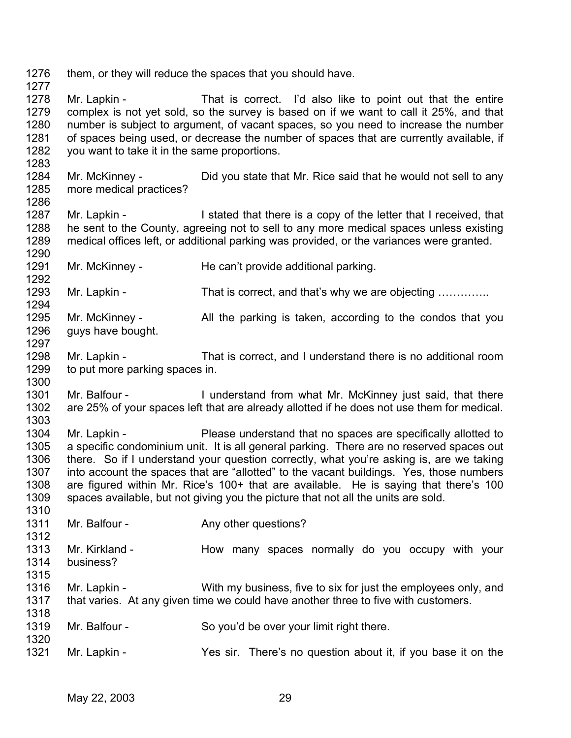1276 them, or they will reduce the spaces that you should have.

1277

1283

1286

1292

1310

- 1278 1279 1280 1281 1282 Mr. Lapkin - That is correct. I'd also like to point out that the entire complex is not yet sold, so the survey is based on if we want to call it 25%, and that number is subject to argument, of vacant spaces, so you need to increase the number of spaces being used, or decrease the number of spaces that are currently available, if you want to take it in the same proportions.
- 1284 1285 Mr. McKinney - Did you state that Mr. Rice said that he would not sell to any more medical practices?
- 1287 1288 1289 1290 Mr. Lapkin - I stated that there is a copy of the letter that I received, that he sent to the County, agreeing not to sell to any more medical spaces unless existing medical offices left, or additional parking was provided, or the variances were granted.
- 1291 Mr. McKinney - He can't provide additional parking.
- 1293 1294 Mr. Lapkin - That is correct, and that's why we are objecting ..............
- 1295 1296 1297 Mr. McKinney - All the parking is taken, according to the condos that you guys have bought.
- 1298 1299 1300 Mr. Lapkin - That is correct, and I understand there is no additional room to put more parking spaces in.
- 1301 1302 1303 Mr. Balfour - I understand from what Mr. McKinney just said, that there are 25% of your spaces left that are already allotted if he does not use them for medical.
- 1304 1305 1306 1307 1308 1309 Mr. Lapkin - Please understand that no spaces are specifically allotted to a specific condominium unit. It is all general parking. There are no reserved spaces out there. So if I understand your question correctly, what you're asking is, are we taking into account the spaces that are "allotted" to the vacant buildings. Yes, those numbers are figured within Mr. Rice's 100+ that are available. He is saying that there's 100 spaces available, but not giving you the picture that not all the units are sold.
- 1311 1312 Mr. Balfour - The Any other questions?
	- 1313 1314 1315 Mr. Kirkland - Thow many spaces normally do you occupy with your business?
	- 1316 1317 1318 Mr. Lapkin - With my business, five to six for just the employees only, and that varies. At any given time we could have another three to five with customers.
	- 1319 Mr. Balfour - So you'd be over your limit right there.
	- 1321 Mr. Lapkin - Yes sir. There's no question about it, if you base it on the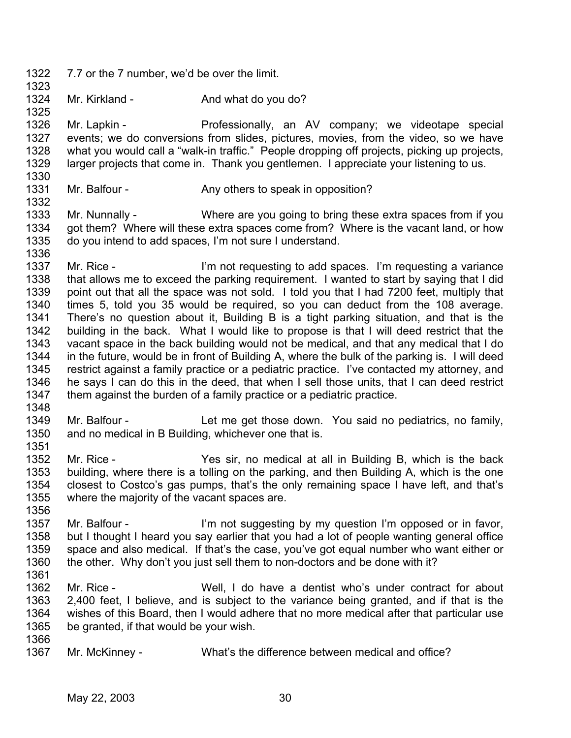- 1322 7.7 or the 7 number, we'd be over the limit.
- 1324 Mr. Kirkland - And what do you do?

1326 1327 1328 1329 1330 Mr. Lapkin - Professionally, an AV company; we videotape special events; we do conversions from slides, pictures, movies, from the video, so we have what you would call a "walk-in traffic." People dropping off projects, picking up projects, larger projects that come in. Thank you gentlemen. I appreciate your listening to us.

1331 Mr. Balfour - Any others to speak in opposition?

1333 1334 1335 1336 Mr. Nunnally - Where are you going to bring these extra spaces from if you got them? Where will these extra spaces come from? Where is the vacant land, or how do you intend to add spaces, I'm not sure I understand.

- 1337 1338 1339 1340 1341 1342 1343 1344 1345 1346 1347 Mr. Rice - I'm not requesting to add spaces. I'm requesting a variance that allows me to exceed the parking requirement. I wanted to start by saying that I did point out that all the space was not sold. I told you that I had 7200 feet, multiply that times 5, told you 35 would be required, so you can deduct from the 108 average. There's no question about it, Building B is a tight parking situation, and that is the building in the back. What I would like to propose is that I will deed restrict that the vacant space in the back building would not be medical, and that any medical that I do in the future, would be in front of Building A, where the bulk of the parking is. I will deed restrict against a family practice or a pediatric practice. I've contacted my attorney, and he says I can do this in the deed, that when I sell those units, that I can deed restrict them against the burden of a family practice or a pediatric practice.
- 1348

1323

1325

1332

1349 1350 1351 Mr. Balfour - Let me get those down. You said no pediatrics, no family, and no medical in B Building, whichever one that is.

1352 1353 1354 1355 1356 Mr. Rice - The Yes sir, no medical at all in Building B, which is the back building, where there is a tolling on the parking, and then Building A, which is the one closest to Costco's gas pumps, that's the only remaining space I have left, and that's where the majority of the vacant spaces are.

1357 1358 1359 1360 Mr. Balfour - I'm not suggesting by my question I'm opposed or in favor, but I thought I heard you say earlier that you had a lot of people wanting general office space and also medical. If that's the case, you've got equal number who want either or the other. Why don't you just sell them to non-doctors and be done with it?

1361

1362 1363 1364 1365 1366 Mr. Rice - Well, I do have a dentist who's under contract for about 2,400 feet, I believe, and is subject to the variance being granted, and if that is the wishes of this Board, then I would adhere that no more medical after that particular use be granted, if that would be your wish.

1367 Mr. McKinney - What's the difference between medical and office?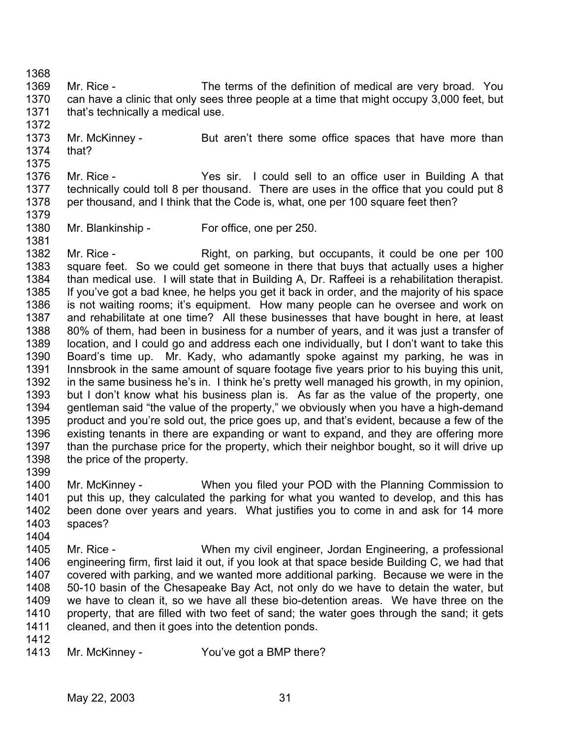1369 1370 1371 1372 Mr. Rice - The terms of the definition of medical are very broad. You can have a clinic that only sees three people at a time that might occupy 3,000 feet, but that's technically a medical use.

1373 1374 1375 Mr. McKinney - But aren't there some office spaces that have more than that?

1376 1377 1378 1379 Mr. Rice - The Yes sir. I could sell to an office user in Building A that technically could toll 8 per thousand. There are uses in the office that you could put 8 per thousand, and I think that the Code is, what, one per 100 square feet then?

1380 Mr. Blankinship - For office, one per 250.

1382 1383 1384 1385 1386 1387 1388 1389 1390 1391 1392 1393 1394 1395 1396 1397 1398 Mr. Rice - Right, on parking, but occupants, it could be one per 100 square feet. So we could get someone in there that buys that actually uses a higher than medical use. I will state that in Building A, Dr. Raffeei is a rehabilitation therapist. If you've got a bad knee, he helps you get it back in order, and the majority of his space is not waiting rooms; it's equipment. How many people can he oversee and work on and rehabilitate at one time? All these businesses that have bought in here, at least 80% of them, had been in business for a number of years, and it was just a transfer of location, and I could go and address each one individually, but I don't want to take this Board's time up. Mr. Kady, who adamantly spoke against my parking, he was in Innsbrook in the same amount of square footage five years prior to his buying this unit, in the same business he's in. I think he's pretty well managed his growth, in my opinion, but I don't know what his business plan is. As far as the value of the property, one gentleman said "the value of the property," we obviously when you have a high-demand product and you're sold out, the price goes up, and that's evident, because a few of the existing tenants in there are expanding or want to expand, and they are offering more than the purchase price for the property, which their neighbor bought, so it will drive up the price of the property.

1399

1404

1368

1381

1400 1401 1402 1403 Mr. McKinney - When you filed your POD with the Planning Commission to put this up, they calculated the parking for what you wanted to develop, and this has been done over years and years. What justifies you to come in and ask for 14 more spaces?

- 1405 1406 1407 1408 1409 1410 1411 Mr. Rice - When my civil engineer, Jordan Engineering, a professional engineering firm, first laid it out, if you look at that space beside Building C, we had that covered with parking, and we wanted more additional parking. Because we were in the 50-10 basin of the Chesapeake Bay Act, not only do we have to detain the water, but we have to clean it, so we have all these bio-detention areas. We have three on the property, that are filled with two feet of sand; the water goes through the sand; it gets cleaned, and then it goes into the detention ponds.
- 1412
- 1413 Mr. McKinney - You've got a BMP there?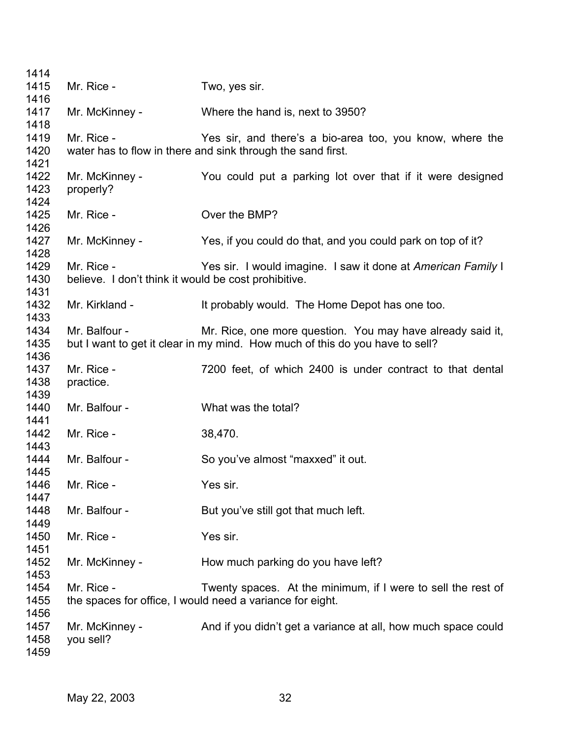| 1414         |                                                      |                                                                              |
|--------------|------------------------------------------------------|------------------------------------------------------------------------------|
| 1415         | Mr. Rice -                                           | Two, yes sir.                                                                |
| 1416         |                                                      |                                                                              |
| 1417         | Mr. McKinney -                                       | Where the hand is, next to 3950?                                             |
| 1418         |                                                      |                                                                              |
| 1419         | Mr. Rice -                                           | Yes sir, and there's a bio-area too, you know, where the                     |
| 1420         |                                                      | water has to flow in there and sink through the sand first.                  |
| 1421         |                                                      |                                                                              |
| 1422         | Mr. McKinney -                                       | You could put a parking lot over that if it were designed                    |
| 1423         | properly?                                            |                                                                              |
| 1424         |                                                      |                                                                              |
| 1425         | Mr. Rice -                                           | Over the BMP?                                                                |
| 1426         |                                                      |                                                                              |
| 1427         | Mr. McKinney -                                       | Yes, if you could do that, and you could park on top of it?                  |
| 1428         |                                                      |                                                                              |
| 1429         | Mr. Rice -                                           | Yes sir. I would imagine. I saw it done at American Family I                 |
| 1430         | believe. I don't think it would be cost prohibitive. |                                                                              |
| 1431         |                                                      |                                                                              |
| 1432         | Mr. Kirkland -                                       | It probably would. The Home Depot has one too.                               |
| 1433         |                                                      |                                                                              |
| 1434         | Mr. Balfour -                                        | Mr. Rice, one more question. You may have already said it,                   |
| 1435         |                                                      | but I want to get it clear in my mind. How much of this do you have to sell? |
| 1436         |                                                      |                                                                              |
| 1437         | Mr. Rice -                                           | 7200 feet, of which 2400 is under contract to that dental                    |
| 1438         | practice.                                            |                                                                              |
| 1439         |                                                      |                                                                              |
| 1440         | Mr. Balfour -                                        | What was the total?                                                          |
| 1441         |                                                      |                                                                              |
| 1442         | Mr. Rice -                                           | 38,470.                                                                      |
| 1443<br>1444 | Mr. Balfour -                                        |                                                                              |
| 1445         |                                                      | So you've almost "maxxed" it out.                                            |
| 1446         | Mr. Rice -                                           | Yes sir.                                                                     |
| 1447         |                                                      |                                                                              |
| 1448         | Mr. Balfour -                                        | But you've still got that much left.                                         |
| 1449         |                                                      |                                                                              |
| 1450         | Mr. Rice -                                           | Yes sir.                                                                     |
| 1451         |                                                      |                                                                              |
| 1452         | Mr. McKinney -                                       | How much parking do you have left?                                           |
| 1453         |                                                      |                                                                              |
| 1454         | Mr. Rice -                                           | Twenty spaces. At the minimum, if I were to sell the rest of                 |
| 1455         |                                                      | the spaces for office, I would need a variance for eight.                    |
| 1456         |                                                      |                                                                              |
| 1457         | Mr. McKinney -                                       | And if you didn't get a variance at all, how much space could                |
| 1458         | you sell?                                            |                                                                              |
| 1459         |                                                      |                                                                              |
|              |                                                      |                                                                              |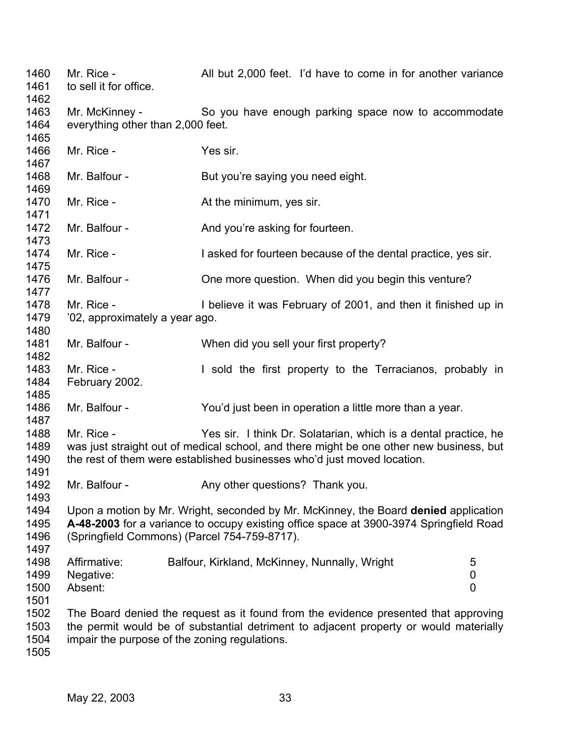Mr. Rice - All but 2,000 feet. I'd have to come in for another variance to sell it for office. Mr. McKinney - So you have enough parking space now to accommodate everything other than 2,000 feet. Mr. Rice - Yes sir. Mr. Balfour - But you're saying you need eight. Mr. Rice - At the minimum, yes sir. Mr. Balfour - And you're asking for fourteen. Mr. Rice - **I** asked for fourteen because of the dental practice, yes sir. Mr. Balfour - Che more question. When did you begin this venture? Mr. Rice - **I** believe it was February of 2001, and then it finished up in '02, approximately a year ago. Mr. Balfour - When did you sell your first property? Mr. Rice - The Sold the first property to the Terracianos, probably in February 2002. Mr. Balfour - You'd just been in operation a little more than a year. Mr. Rice - Yes sir. I think Dr. Solatarian, which is a dental practice, he was just straight out of medical school, and there might be one other new business, but the rest of them were established businesses who'd just moved location. Mr. Balfour - Any other questions? Thank you. Upon a motion by Mr. Wright, seconded by Mr. McKinney, the Board **denied** application **A-48-2003** for a variance to occupy existing office space at 3900-3974 Springfield Road (Springfield Commons) (Parcel 754-759-8717). Affirmative: Balfour, Kirkland, McKinney, Nunnally, Wright 5 Negative: 0 Absent: 0 The Board denied the request as it found from the evidence presented that approving the permit would be of substantial detriment to adjacent property or would materially impair the purpose of the zoning regulations.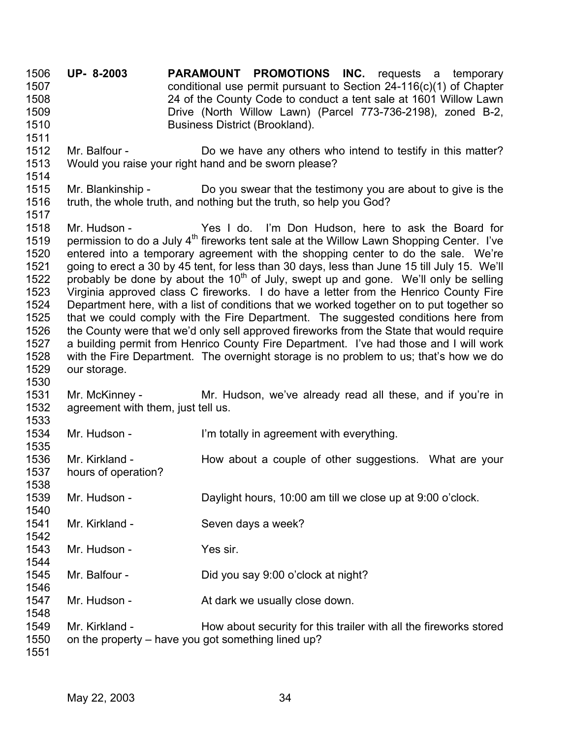**UP- 8-2003 PARAMOUNT PROMOTIONS INC.** requests a temporary conditional use permit pursuant to Section 24-116(c)(1) of Chapter 24 of the County Code to conduct a tent sale at 1601 Willow Lawn Drive (North Willow Lawn) (Parcel 773-736-2198), zoned B-2, Business District (Brookland). 1506 1507 1508 1509 1510 1511

- 1512 1513 1514 Mr. Balfour - Do we have any others who intend to testify in this matter? Would you raise your right hand and be sworn please?
- 1515 1516 1517 Mr. Blankinship - Do you swear that the testimony you are about to give is the truth, the whole truth, and nothing but the truth, so help you God?
- 1518 1519 1520 1521 1522 1523 1524 1525 1526 1527 1528 1529 Mr. Hudson - Yes I do. I'm Don Hudson, here to ask the Board for permission to do a July 4<sup>th</sup> fireworks tent sale at the Willow Lawn Shopping Center. I've entered into a temporary agreement with the shopping center to do the sale. We're going to erect a 30 by 45 tent, for less than 30 days, less than June 15 till July 15. We'll probably be done by about the  $10<sup>th</sup>$  of July, swept up and gone. We'll only be selling Virginia approved class C fireworks. I do have a letter from the Henrico County Fire Department here, with a list of conditions that we worked together on to put together so that we could comply with the Fire Department. The suggested conditions here from the County were that we'd only sell approved fireworks from the State that would require a building permit from Henrico County Fire Department. I've had those and I will work with the Fire Department. The overnight storage is no problem to us; that's how we do our storage.
- 1531 1532 1533 Mr. McKinney - The Mr. Hudson, we've already read all these, and if you're in agreement with them, just tell us.
- 1534 Mr. Hudson - I'm totally in agreement with everything.
- 1536 1537 Mr. Kirkland - The How about a couple of other suggestions. What are your hours of operation?
- 1539 1540 Mr. Hudson - Daylight hours, 10:00 am till we close up at 9:00 o'clock.
- 1541 Mr. Kirkland - Seven days a week?
- 1543 1544 Mr. Hudson - Yes sir.
- 1545 Mr. Balfour - Did you say 9:00 o'clock at night?
- 1547 Mr. Hudson - At dark we usually close down.
- 1549 1550 Mr. Kirkland - How about security for this trailer with all the fireworks stored on the property – have you got something lined up?

1551

1530

1535

1538

1542

1546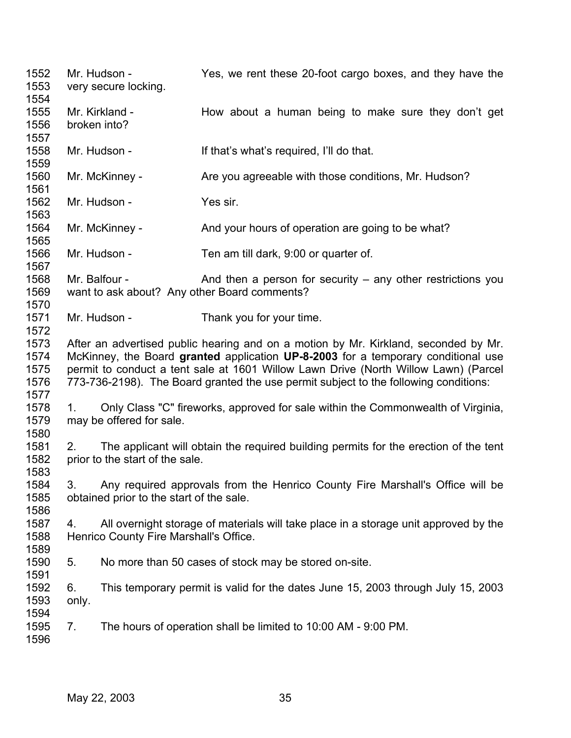Mr. Hudson - Yes, we rent these 20-foot cargo boxes, and they have the very secure locking. Mr. Kirkland - How about a human being to make sure they don't get broken into? Mr. Hudson - If that's what's required, I'll do that. Mr. McKinney - Are you agreeable with those conditions, Mr. Hudson? Mr. Hudson - Yes sir. Mr. McKinney - And your hours of operation are going to be what? Mr. Hudson - Ten am till dark, 9:00 or quarter of. Mr. Balfour - And then a person for security – any other restrictions you want to ask about? Any other Board comments? Mr. Hudson - Thank you for your time. After an advertised public hearing and on a motion by Mr. Kirkland, seconded by Mr. McKinney, the Board **granted** application **UP-8-2003** for a temporary conditional use permit to conduct a tent sale at 1601 Willow Lawn Drive (North Willow Lawn) (Parcel 773-736-2198). The Board granted the use permit subject to the following conditions: 1. Only Class "C" fireworks, approved for sale within the Commonwealth of Virginia, may be offered for sale. 2. The applicant will obtain the required building permits for the erection of the tent prior to the start of the sale. 3. Any required approvals from the Henrico County Fire Marshall's Office will be obtained prior to the start of the sale. 4. All overnight storage of materials will take place in a storage unit approved by the Henrico County Fire Marshall's Office. 5. No more than 50 cases of stock may be stored on-site. 6. This temporary permit is valid for the dates June 15, 2003 through July 15, 2003 only. 7. The hours of operation shall be limited to 10:00 AM - 9:00 PM.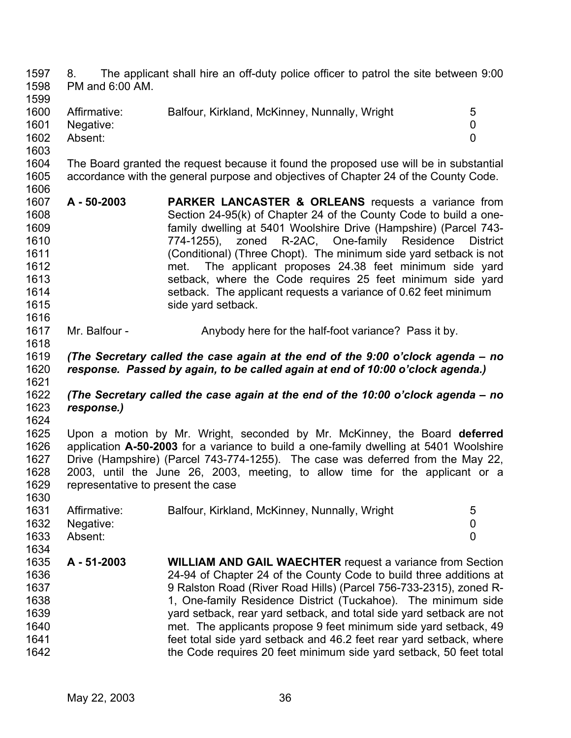1597 1598 1599 1600 1601 1602 1603 1604 1605 1606 1607 1608 1609 1610 1611 8. The applicant shall hire an off-duty police officer to patrol the site between 9:00 PM and 6:00 AM. Affirmative: Balfour, Kirkland, McKinney, Nunnally, Wright 5 Negative: 0 Absent: 0 The Board granted the request because it found the proposed use will be in substantial accordance with the general purpose and objectives of Chapter 24 of the County Code. **A - 50-2003 PARKER LANCASTER & ORLEANS** requests a variance from Section 24-95(k) of Chapter 24 of the County Code to build a onefamily dwelling at 5401 Woolshire Drive (Hampshire) (Parcel 743- 774-1255), zoned R-2AC, One-family Residence District

- 1612 1613 1614 1615 (Conditional) (Three Chopt). The minimum side yard setback is not met. The applicant proposes 24.38 feet minimum side yard setback, where the Code requires 25 feet minimum side yard setback. The applicant requests a variance of 0.62 feet minimum side yard setback.
- 1617 Mr. Balfour - Anybody here for the half-foot variance? Pass it by.

1619 1620 1621 *(The Secretary called the case again at the end of the 9:00 o'clock agenda – no response. Passed by again, to be called again at end of 10:00 o'clock agenda.)*

1622 1623 *(The Secretary called the case again at the end of the 10:00 o'clock agenda – no response.)* 

1624

1634

1616

1618

1625 1626 1627 1628 1629 1630 Upon a motion by Mr. Wright, seconded by Mr. McKinney, the Board **deferred** application **A-50-2003** for a variance to build a one-family dwelling at 5401 Woolshire Drive (Hampshire) (Parcel 743-774-1255). The case was deferred from the May 22, 2003, until the June 26, 2003, meeting, to allow time for the applicant or a representative to present the case

| 1631 | Affirmative: | Balfour, Kirkland, McKinney, Nunnally, Wright |  |
|------|--------------|-----------------------------------------------|--|
| 1632 | Negative:    |                                               |  |
| 1633 | Absent:      |                                               |  |

1635 1636 1637 1638 1639 1640 1641 1642 **A - 51-2003 WILLIAM AND GAIL WAECHTER** request a variance from Section 24-94 of Chapter 24 of the County Code to build three additions at 9 Ralston Road (River Road Hills) (Parcel 756-733-2315), zoned R-1, One-family Residence District (Tuckahoe). The minimum side yard setback, rear yard setback, and total side yard setback are not met. The applicants propose 9 feet minimum side yard setback, 49 feet total side yard setback and 46.2 feet rear yard setback, where the Code requires 20 feet minimum side yard setback, 50 feet total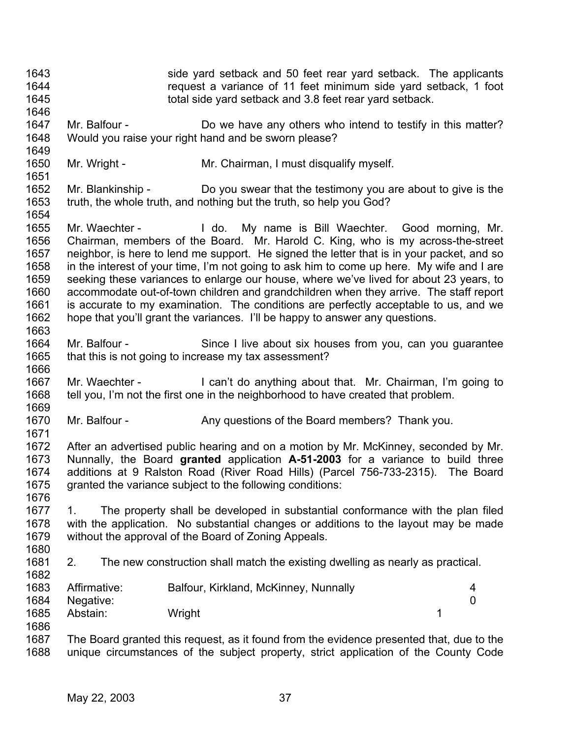1643 1644 1645 1646 1647 1648 1649 1650 1651 1652 1653 1654 1655 1656 1657 1658 1659 1660 1661 1662 1663 1664 1665 1666 1667 1668 1669 1670 1671 1672 1673 1674 1675 1676 1677 1678 1679 1680 1681 1682 1683 1684 1685 1686 1687 1688 side yard setback and 50 feet rear yard setback. The applicants request a variance of 11 feet minimum side yard setback, 1 foot total side yard setback and 3.8 feet rear yard setback. Mr. Balfour - Do we have any others who intend to testify in this matter? Would you raise your right hand and be sworn please? Mr. Wright - Mr. Chairman, I must disqualify myself. Mr. Blankinship - Do you swear that the testimony you are about to give is the truth, the whole truth, and nothing but the truth, so help you God? Mr. Waechter - I do. My name is Bill Waechter. Good morning, Mr. Chairman, members of the Board. Mr. Harold C. King, who is my across-the-street neighbor, is here to lend me support. He signed the letter that is in your packet, and so in the interest of your time, I'm not going to ask him to come up here. My wife and I are seeking these variances to enlarge our house, where we've lived for about 23 years, to accommodate out-of-town children and grandchildren when they arrive. The staff report is accurate to my examination. The conditions are perfectly acceptable to us, and we hope that you'll grant the variances. I'll be happy to answer any questions. Mr. Balfour - Since I live about six houses from you, can you guarantee that this is not going to increase my tax assessment? Mr. Waechter - I can't do anything about that. Mr. Chairman, I'm going to tell you, I'm not the first one in the neighborhood to have created that problem. Mr. Balfour - Any questions of the Board members? Thank you. After an advertised public hearing and on a motion by Mr. McKinney, seconded by Mr. Nunnally, the Board **granted** application **A-51-2003** for a variance to build three additions at 9 Ralston Road (River Road Hills) (Parcel 756-733-2315). The Board granted the variance subject to the following conditions: 1. The property shall be developed in substantial conformance with the plan filed with the application. No substantial changes or additions to the layout may be made without the approval of the Board of Zoning Appeals. 2. The new construction shall match the existing dwelling as nearly as practical. Affirmative: Balfour, Kirkland, McKinney, Nunnally and the state of 4 Negative: 0 Abstain: Wright 1 The Board granted this request, as it found from the evidence presented that, due to the unique circumstances of the subject property, strict application of the County Code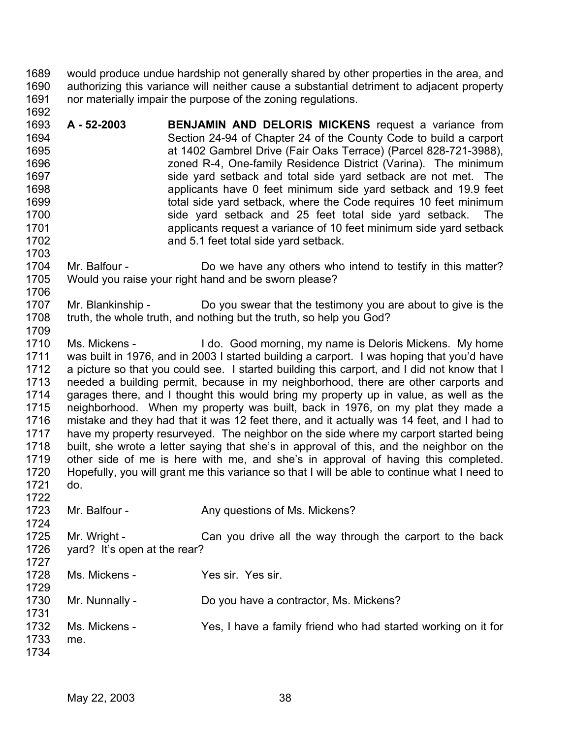1689 1690 1691 1692 would produce undue hardship not generally shared by other properties in the area, and authorizing this variance will neither cause a substantial detriment to adjacent property nor materially impair the purpose of the zoning regulations.

1693 1694 1695 1696 1697 1698 1699 1700 1701 1702 1703 **A - 52-2003 BENJAMIN AND DELORIS MICKENS** request a variance from Section 24-94 of Chapter 24 of the County Code to build a carport at 1402 Gambrel Drive (Fair Oaks Terrace) (Parcel 828-721-3988), zoned R-4, One-family Residence District (Varina). The minimum side yard setback and total side yard setback are not met. The applicants have 0 feet minimum side yard setback and 19.9 feet total side yard setback, where the Code requires 10 feet minimum side yard setback and 25 feet total side yard setback. The applicants request a variance of 10 feet minimum side yard setback and 5.1 feet total side yard setback.

## 1704 1705 1706 Mr. Balfour - Do we have any others who intend to testify in this matter? Would you raise your right hand and be sworn please?

1707 1708 1709 Mr. Blankinship - Do you swear that the testimony you are about to give is the truth, the whole truth, and nothing but the truth, so help you God?

1710 1711 1712 1713 1714 1715 1716 1717 1718 1719 1720 1721 Ms. Mickens - I do. Good morning, my name is Deloris Mickens. My home was built in 1976, and in 2003 I started building a carport. I was hoping that you'd have a picture so that you could see. I started building this carport, and I did not know that I needed a building permit, because in my neighborhood, there are other carports and garages there, and I thought this would bring my property up in value, as well as the neighborhood. When my property was built, back in 1976, on my plat they made a mistake and they had that it was 12 feet there, and it actually was 14 feet, and I had to have my property resurveyed. The neighbor on the side where my carport started being built, she wrote a letter saying that she's in approval of this, and the neighbor on the other side of me is here with me, and she's in approval of having this completed. Hopefully, you will grant me this variance so that I will be able to continue what I need to do.

1723 Mr. Balfour - Any questions of Ms. Mickens?

1725 1726 1727 Mr. Wright - Can you drive all the way through the carport to the back yard? It's open at the rear?

1728 1729 1730 1731 1732 1733 1734 Ms. Mickens - Yes sir. Yes sir. Mr. Nunnally - Do you have a contractor, Ms. Mickens? Ms. Mickens - Yes, I have a family friend who had started working on it for me.

1722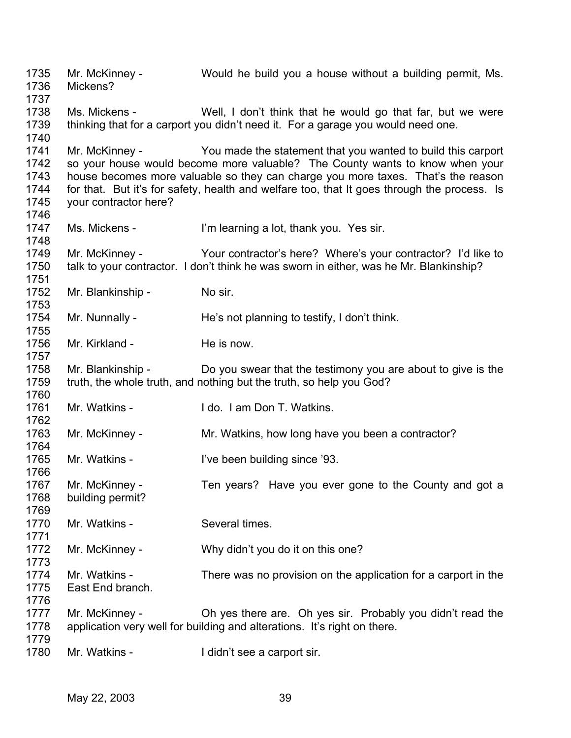Mr. McKinney - Would he build you a house without a building permit, Ms. Mickens? Ms. Mickens - Well, I don't think that he would go that far, but we were thinking that for a carport you didn't need it. For a garage you would need one. Mr. McKinney - The You made the statement that you wanted to build this carport so your house would become more valuable? The County wants to know when your house becomes more valuable so they can charge you more taxes. That's the reason for that. But it's for safety, health and welfare too, that It goes through the process. Is your contractor here? Ms. Mickens - I'm learning a lot, thank you. Yes sir. Mr. McKinney - Your contractor's here? Where's your contractor? I'd like to talk to your contractor. I don't think he was sworn in either, was he Mr. Blankinship? Mr. Blankinship - No sir. Mr. Nunnally - He's not planning to testify, I don't think. Mr. Kirkland - He is now. Mr. Blankinship - Do you swear that the testimony you are about to give is the truth, the whole truth, and nothing but the truth, so help you God? Mr. Watkins - I do. I am Don T. Watkins. Mr. McKinney - Mr. Watkins, how long have you been a contractor? Mr. Watkins - The Been building since '93. Mr. McKinney - Ten years? Have you ever gone to the County and got a building permit? Mr. Watkins - Several times. Mr. McKinney - Why didn't you do it on this one? Mr. Watkins - There was no provision on the application for a carport in the East End branch. Mr. McKinney - Ch yes there are. Oh yes sir. Probably you didn't read the application very well for building and alterations. It's right on there. Mr. Watkins - The I didn't see a carport sir.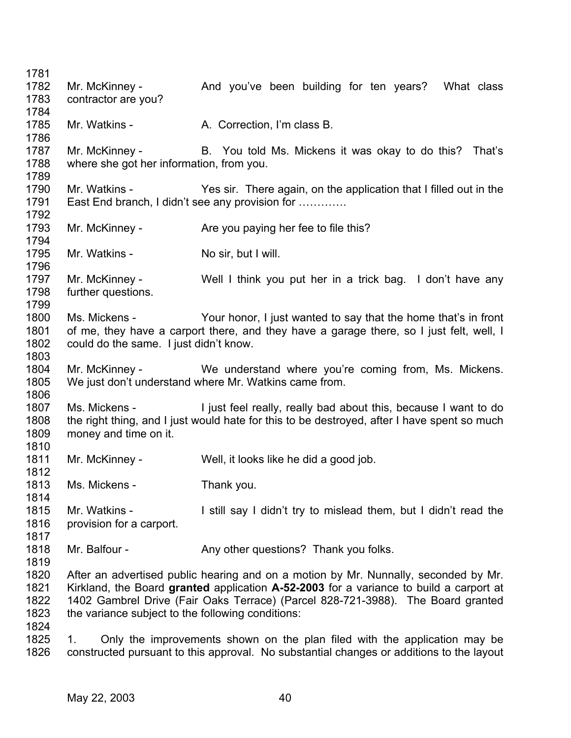1781 1782 1783 1784 1785 1786 1787 1788 1789 1790 1791 1792 1793 1794 1795 1796 1797 1798 1799 1800 1801 1802 1803 1804 1805 1806 1807 1808 1809 1810 1811 1812 1813 1814 1815 1816 1817 1818 1819 1820 1821 1822 1823 1824 1825 1826 Mr. McKinney - The And you've been building for ten years? What class contractor are you? Mr. Watkins - A. Correction, I'm class B. Mr. McKinney - B. You told Ms. Mickens it was okay to do this? That's where she got her information, from you. Mr. Watkins - Yes sir. There again, on the application that I filled out in the East End branch, I didn't see any provision for …………. Mr. McKinney - Are you paying her fee to file this? Mr. Watkins - No sir, but I will. Mr. McKinney - Well I think you put her in a trick bag. I don't have any further questions. Ms. Mickens - Your honor, I just wanted to say that the home that's in front of me, they have a carport there, and they have a garage there, so I just felt, well, I could do the same. I just didn't know. Mr. McKinney - We understand where you're coming from, Ms. Mickens. We just don't understand where Mr. Watkins came from. Ms. Mickens - I just feel really, really bad about this, because I want to do the right thing, and I just would hate for this to be destroyed, after I have spent so much money and time on it. Mr. McKinney - Well, it looks like he did a good job. Ms. Mickens - Thank you. Mr. Watkins - I still say I didn't try to mislead them, but I didn't read the provision for a carport. Mr. Balfour - Any other questions? Thank you folks. After an advertised public hearing and on a motion by Mr. Nunnally, seconded by Mr. Kirkland, the Board **granted** application **A-52-2003** for a variance to build a carport at 1402 Gambrel Drive (Fair Oaks Terrace) (Parcel 828-721-3988). The Board granted the variance subject to the following conditions: 1. Only the improvements shown on the plan filed with the application may be constructed pursuant to this approval. No substantial changes or additions to the layout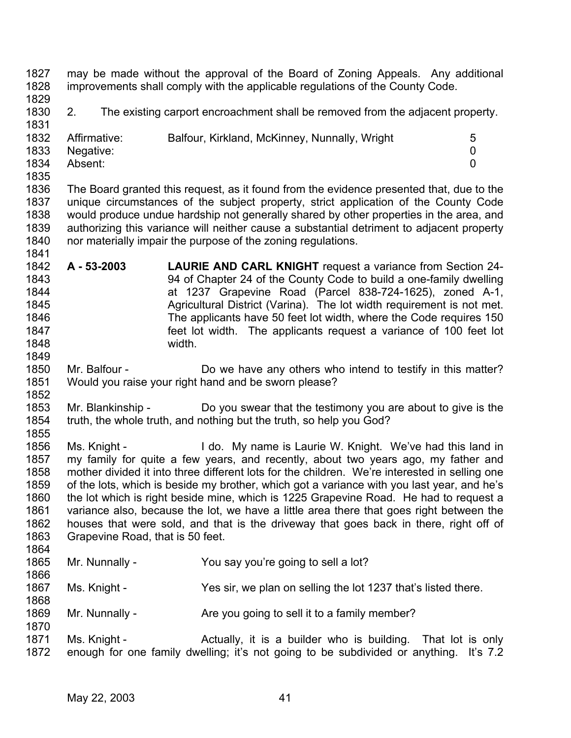1827 1828 may be made without the approval of the Board of Zoning Appeals. Any additional improvements shall comply with the applicable regulations of the County Code.

1829

1831

1830 2. The existing carport encroachment shall be removed from the adjacent property.

| $5^{\circ}$ |
|-------------|
|             |
|             |
|             |

1835

1849

1852

1870

1836 1837 1838 1839 1840 1841 The Board granted this request, as it found from the evidence presented that, due to the unique circumstances of the subject property, strict application of the County Code would produce undue hardship not generally shared by other properties in the area, and authorizing this variance will neither cause a substantial detriment to adjacent property nor materially impair the purpose of the zoning regulations.

- 1842 1843 1844 1845 1846 1847 1848 **A - 53-2003 LAURIE AND CARL KNIGHT** request a variance from Section 24- 94 of Chapter 24 of the County Code to build a one-family dwelling at 1237 Grapevine Road (Parcel 838-724-1625), zoned A-1, Agricultural District (Varina). The lot width requirement is not met. The applicants have 50 feet lot width, where the Code requires 150 feet lot width. The applicants request a variance of 100 feet lot width.
- 1850 1851 Mr. Balfour - Do we have any others who intend to testify in this matter? Would you raise your right hand and be sworn please?
- 1853 1854 1855 Mr. Blankinship - Do you swear that the testimony you are about to give is the truth, the whole truth, and nothing but the truth, so help you God?
- 1856 1857 1858 1859 1860 1861 1862 1863 1864 Ms. Knight - I do. My name is Laurie W. Knight. We've had this land in my family for quite a few years, and recently, about two years ago, my father and mother divided it into three different lots for the children. We're interested in selling one of the lots, which is beside my brother, which got a variance with you last year, and he's the lot which is right beside mine, which is 1225 Grapevine Road. He had to request a variance also, because the lot, we have a little area there that goes right between the houses that were sold, and that is the driveway that goes back in there, right off of Grapevine Road, that is 50 feet.
- 1865 1866 Mr. Nunnally - You say you're going to sell a lot?
- 1867 1868 Ms. Knight - Yes sir, we plan on selling the lot 1237 that's listed there.
- 1869 Mr. Nunnally - Are you going to sell it to a family member?
- 1871 1872 Ms. Knight - The Actually, it is a builder who is building. That lot is only enough for one family dwelling; it's not going to be subdivided or anything. It's 7.2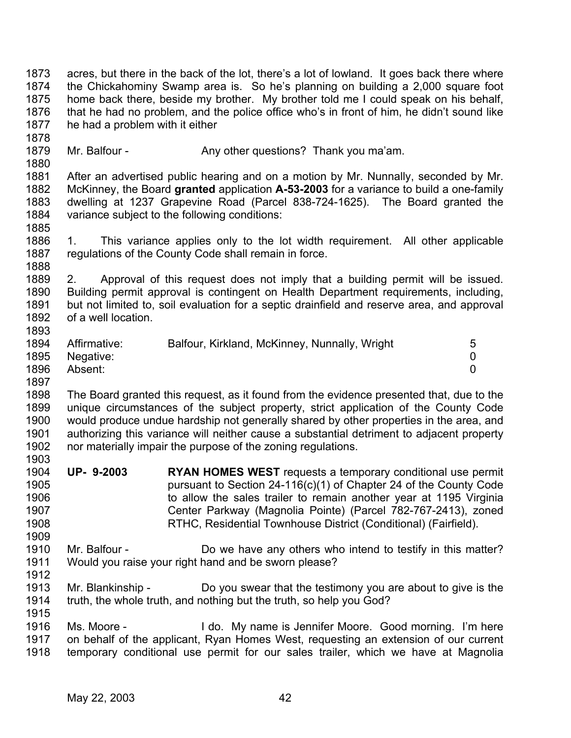1873 1874 1875 1876 1877 1878 1879 1880 1881 1882 1883 1884 1885 1886 1887 1888 1889 1890 1891 1892 1893 1894 1895 1896 1897 1898 1899 1900 1901 1902 1903 1904 1905 1906 1907 1908 1909 1910 1911 1912 1913 1914 1915 1916 1917 1918 acres, but there in the back of the lot, there's a lot of lowland. It goes back there where the Chickahominy Swamp area is. So he's planning on building a 2,000 square foot home back there, beside my brother. My brother told me I could speak on his behalf, that he had no problem, and the police office who's in front of him, he didn't sound like he had a problem with it either Mr. Balfour - Any other questions? Thank you ma'am. After an advertised public hearing and on a motion by Mr. Nunnally, seconded by Mr. McKinney, the Board **granted** application **A-53-2003** for a variance to build a one-family dwelling at 1237 Grapevine Road (Parcel 838-724-1625). The Board granted the variance subject to the following conditions: 1. This variance applies only to the lot width requirement. All other applicable regulations of the County Code shall remain in force. 2. Approval of this request does not imply that a building permit will be issued. Building permit approval is contingent on Health Department requirements, including, but not limited to, soil evaluation for a septic drainfield and reserve area, and approval of a well location. Affirmative: Balfour, Kirkland, McKinney, Nunnally, Wright 5 Negative: 0 Absent: 0 The Board granted this request, as it found from the evidence presented that, due to the unique circumstances of the subject property, strict application of the County Code would produce undue hardship not generally shared by other properties in the area, and authorizing this variance will neither cause a substantial detriment to adjacent property nor materially impair the purpose of the zoning regulations. **UP- 9-2003 RYAN HOMES WEST** requests a temporary conditional use permit pursuant to Section 24-116(c)(1) of Chapter 24 of the County Code to allow the sales trailer to remain another year at 1195 Virginia Center Parkway (Magnolia Pointe) (Parcel 782-767-2413), zoned RTHC, Residential Townhouse District (Conditional) (Fairfield). Mr. Balfour - Do we have any others who intend to testify in this matter? Would you raise your right hand and be sworn please? Mr. Blankinship - Do you swear that the testimony you are about to give is the truth, the whole truth, and nothing but the truth, so help you God? Ms. Moore - I do. My name is Jennifer Moore. Good morning. I'm here on behalf of the applicant, Ryan Homes West, requesting an extension of our current temporary conditional use permit for our sales trailer, which we have at Magnolia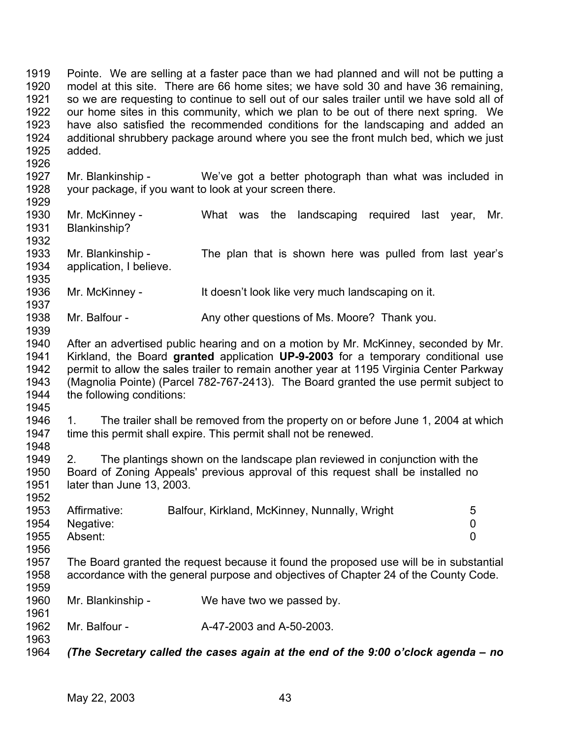1919 1920 1921 1922 1923 1924 1925 Pointe. We are selling at a faster pace than we had planned and will not be putting a model at this site. There are 66 home sites; we have sold 30 and have 36 remaining, so we are requesting to continue to sell out of our sales trailer until we have sold all of our home sites in this community, which we plan to be out of there next spring. We have also satisfied the recommended conditions for the landscaping and added an additional shrubbery package around where you see the front mulch bed, which we just added.

- 1927 1928 1929 Mr. Blankinship - We've got a better photograph than what was included in your package, if you want to look at your screen there.
- 1930 1931 1932 Mr. McKinney - The What was the landscaping required last year, Mr. Blankinship?
- 1933 1934 1935 Mr. Blankinship - The plan that is shown here was pulled from last year's application, I believe.
- 1936 1937 Mr. McKinney - It doesn't look like very much landscaping on it.
- 1938 Mr. Balfour - Any other questions of Ms. Moore? Thank you.
- 1940 1941 1942 1943 1944 After an advertised public hearing and on a motion by Mr. McKinney, seconded by Mr. Kirkland, the Board **granted** application **UP-9-2003** for a temporary conditional use permit to allow the sales trailer to remain another year at 1195 Virginia Center Parkway (Magnolia Pointe) (Parcel 782-767-2413). The Board granted the use permit subject to the following conditions:
- 1945

1952

1961

1963

1939

1926

1946 1947 1948 1. The trailer shall be removed from the property on or before June 1, 2004 at which time this permit shall expire. This permit shall not be renewed.

1949 1950 1951 2. The plantings shown on the landscape plan reviewed in conjunction with the Board of Zoning Appeals' previous approval of this request shall be installed no later than June 13, 2003.

|      | 1953 Affirmative: | Balfour, Kirkland, McKinney, Nunnally, Wright | 5 |
|------|-------------------|-----------------------------------------------|---|
|      | 1954 Negative:    |                                               |   |
| 1955 | Absent:           |                                               |   |
| 1956 |                   |                                               |   |

- 1957 1958 1959 The Board granted the request because it found the proposed use will be in substantial accordance with the general purpose and objectives of Chapter 24 of the County Code.
- 1960 Mr. Blankinship - We have two we passed by.
- 1962 Mr. Balfour - **A-47-2003** and A-50-2003.
- 1964 *(The Secretary called the cases again at the end of the 9:00 o'clock agenda – no*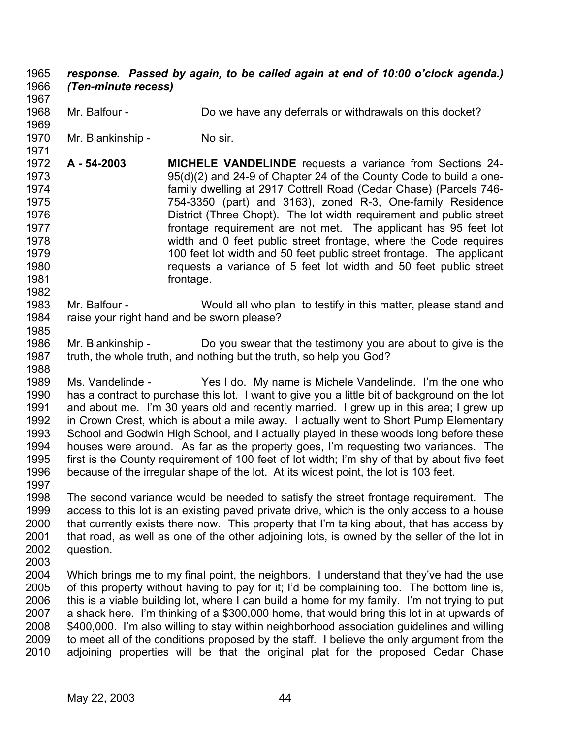## *response. Passed by again, to be called again at end of 10:00 o'clock agenda.) (Ten-minute recess)* 1965 1966

1967 1968

1969

1982

1985

Mr. Balfour - Do we have any deferrals or withdrawals on this docket?

1970 1971 Mr. Blankinship - No sir.

- 1972 1973 1974 1975 1976 1977 1978 1979 1980 1981 **A - 54-2003 MICHELE VANDELINDE** requests a variance from Sections 24- 95(d)(2) and 24-9 of Chapter 24 of the County Code to build a onefamily dwelling at 2917 Cottrell Road (Cedar Chase) (Parcels 746- 754-3350 (part) and 3163), zoned R-3, One-family Residence District (Three Chopt). The lot width requirement and public street frontage requirement are not met. The applicant has 95 feet lot width and 0 feet public street frontage, where the Code requires 100 feet lot width and 50 feet public street frontage. The applicant requests a variance of 5 feet lot width and 50 feet public street frontage.
- 1983 1984 Mr. Balfour - Would all who plan to testify in this matter, please stand and raise your right hand and be sworn please?
- 1986 1987 1988 Mr. Blankinship - Do you swear that the testimony you are about to give is the truth, the whole truth, and nothing but the truth, so help you God?
- 1989 1990 1991 1992 1993 1994 1995 1996 Ms. Vandelinde - Yes I do. My name is Michele Vandelinde. I'm the one who has a contract to purchase this lot. I want to give you a little bit of background on the lot and about me. I'm 30 years old and recently married. I grew up in this area; I grew up in Crown Crest, which is about a mile away. I actually went to Short Pump Elementary School and Godwin High School, and I actually played in these woods long before these houses were around. As far as the property goes, I'm requesting two variances. The first is the County requirement of 100 feet of lot width; I'm shy of that by about five feet because of the irregular shape of the lot. At its widest point, the lot is 103 feet.
- 1997 1998 1999 2000 2001 2002 The second variance would be needed to satisfy the street frontage requirement. The access to this lot is an existing paved private drive, which is the only access to a house that currently exists there now. This property that I'm talking about, that has access by that road, as well as one of the other adjoining lots, is owned by the seller of the lot in question.
- 2003
- 2004 2005 2006 2007 2008 2009 2010 Which brings me to my final point, the neighbors. I understand that they've had the use of this property without having to pay for it; I'd be complaining too. The bottom line is, this is a viable building lot, where I can build a home for my family. I'm not trying to put a shack here. I'm thinking of a \$300,000 home, that would bring this lot in at upwards of \$400,000. I'm also willing to stay within neighborhood association guidelines and willing to meet all of the conditions proposed by the staff. I believe the only argument from the adjoining properties will be that the original plat for the proposed Cedar Chase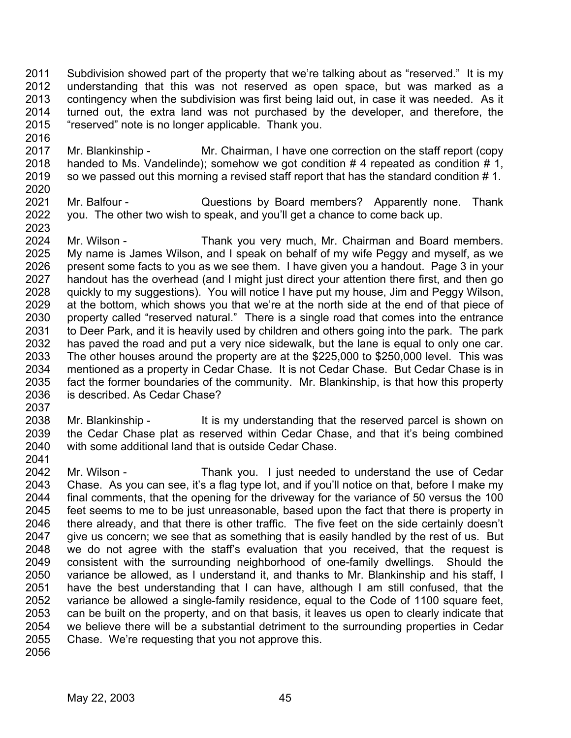2011 2012 2013 2014 2015 Subdivision showed part of the property that we're talking about as "reserved." It is my understanding that this was not reserved as open space, but was marked as a contingency when the subdivision was first being laid out, in case it was needed. As it turned out, the extra land was not purchased by the developer, and therefore, the "reserved" note is no longer applicable. Thank you.

- 2017 2018 2019 2020 Mr. Blankinship - Mr. Chairman, I have one correction on the staff report (copy handed to Ms. Vandelinde); somehow we got condition #4 repeated as condition #1, so we passed out this morning a revised staff report that has the standard condition #1.
- 2021 2022 Mr. Balfour - **Questions by Board members?** Apparently none. Thank you. The other two wish to speak, and you'll get a chance to come back up.
- 2024 2025 2026 2027 2028 2029 2030 2031 2032 2033 2034 2035 2036 Mr. Wilson - Thank you very much, Mr. Chairman and Board members. My name is James Wilson, and I speak on behalf of my wife Peggy and myself, as we present some facts to you as we see them. I have given you a handout. Page 3 in your handout has the overhead (and I might just direct your attention there first, and then go quickly to my suggestions). You will notice I have put my house, Jim and Peggy Wilson, at the bottom, which shows you that we're at the north side at the end of that piece of property called "reserved natural." There is a single road that comes into the entrance to Deer Park, and it is heavily used by children and others going into the park. The park has paved the road and put a very nice sidewalk, but the lane is equal to only one car. The other houses around the property are at the \$225,000 to \$250,000 level. This was mentioned as a property in Cedar Chase. It is not Cedar Chase. But Cedar Chase is in fact the former boundaries of the community. Mr. Blankinship, is that how this property is described. As Cedar Chase?
- 2037

2041

2016

- 2038 2039 2040 Mr. Blankinship - It is my understanding that the reserved parcel is shown on the Cedar Chase plat as reserved within Cedar Chase, and that it's being combined with some additional land that is outside Cedar Chase.
- 2042 2043 2044 2045 2046 2047 2048 2049 2050 2051 2052 2053 2054 2055 Mr. Wilson - Thank you. I just needed to understand the use of Cedar Chase. As you can see, it's a flag type lot, and if you'll notice on that, before I make my final comments, that the opening for the driveway for the variance of 50 versus the 100 feet seems to me to be just unreasonable, based upon the fact that there is property in there already, and that there is other traffic. The five feet on the side certainly doesn't give us concern; we see that as something that is easily handled by the rest of us. But we do not agree with the staff's evaluation that you received, that the request is consistent with the surrounding neighborhood of one-family dwellings. Should the variance be allowed, as I understand it, and thanks to Mr. Blankinship and his staff, I have the best understanding that I can have, although I am still confused, that the variance be allowed a single-family residence, equal to the Code of 1100 square feet, can be built on the property, and on that basis, it leaves us open to clearly indicate that we believe there will be a substantial detriment to the surrounding properties in Cedar Chase. We're requesting that you not approve this.
- 2056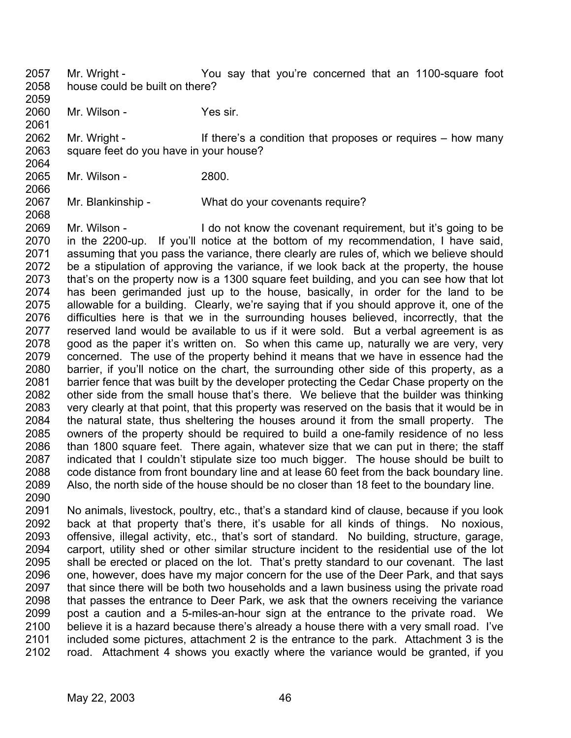2057 2058 Mr. Wright - You say that you're concerned that an 1100-square foot house could be built on there?

2059 2060 Mr. Wilson - Yes sir.

2061

2066

2068

2062 2063 2064 Mr. Wright - If there's a condition that proposes or requires – how many square feet do you have in your house?

2065 Mr. Wilson - 2800.

2067 Mr. Blankinship - What do your covenants require?

2069 2070 2071 2072 2073 2074 2075 2076 2077 2078 2079 2080 2081 2082 2083 2084 2085 2086 2087 2088 2089 2090 Mr. Wilson - I do not know the covenant requirement, but it's going to be in the 2200-up. If you'll notice at the bottom of my recommendation, I have said, assuming that you pass the variance, there clearly are rules of, which we believe should be a stipulation of approving the variance, if we look back at the property, the house that's on the property now is a 1300 square feet building, and you can see how that lot has been gerimanded just up to the house, basically, in order for the land to be allowable for a building. Clearly, we're saying that if you should approve it, one of the difficulties here is that we in the surrounding houses believed, incorrectly, that the reserved land would be available to us if it were sold. But a verbal agreement is as good as the paper it's written on. So when this came up, naturally we are very, very concerned. The use of the property behind it means that we have in essence had the barrier, if you'll notice on the chart, the surrounding other side of this property, as a barrier fence that was built by the developer protecting the Cedar Chase property on the other side from the small house that's there. We believe that the builder was thinking very clearly at that point, that this property was reserved on the basis that it would be in the natural state, thus sheltering the houses around it from the small property. The owners of the property should be required to build a one-family residence of no less than 1800 square feet. There again, whatever size that we can put in there; the staff indicated that I couldn't stipulate size too much bigger. The house should be built to code distance from front boundary line and at lease 60 feet from the back boundary line. Also, the north side of the house should be no closer than 18 feet to the boundary line.

2091 2092 2093 2094 2095 2096 2097 2098 2099 2100 2101 2102 No animals, livestock, poultry, etc., that's a standard kind of clause, because if you look back at that property that's there, it's usable for all kinds of things. No noxious, offensive, illegal activity, etc., that's sort of standard. No building, structure, garage, carport, utility shed or other similar structure incident to the residential use of the lot shall be erected or placed on the lot. That's pretty standard to our covenant. The last one, however, does have my major concern for the use of the Deer Park, and that says that since there will be both two households and a lawn business using the private road that passes the entrance to Deer Park, we ask that the owners receiving the variance post a caution and a 5-miles-an-hour sign at the entrance to the private road. We believe it is a hazard because there's already a house there with a very small road. I've included some pictures, attachment 2 is the entrance to the park. Attachment 3 is the road. Attachment 4 shows you exactly where the variance would be granted, if you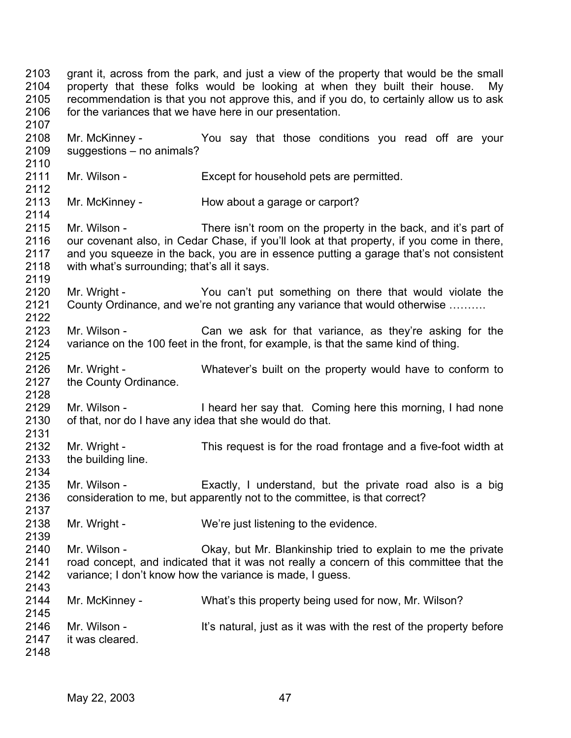2103 2104 2105 2106 2107 2108 2109 2110 2111 2112 2113 2114 2115 2116 2117 2118 2119 2120 2121 2122 2123 2124 2125 2126 2127 2128 2129 2130 2131 2132 2133 2134 2135 2136 2137 2138 2139 2140 2141 2142 2143 2144 2145 2146 2147 2148 grant it, across from the park, and just a view of the property that would be the small property that these folks would be looking at when they built their house. My recommendation is that you not approve this, and if you do, to certainly allow us to ask for the variances that we have here in our presentation. Mr. McKinney - The You say that those conditions you read off are your suggestions – no animals? Mr. Wilson - Except for household pets are permitted. Mr. McKinney - How about a garage or carport? Mr. Wilson - There isn't room on the property in the back, and it's part of our covenant also, in Cedar Chase, if you'll look at that property, if you come in there, and you squeeze in the back, you are in essence putting a garage that's not consistent with what's surrounding; that's all it says. Mr. Wright - The You can't put something on there that would violate the County Ordinance, and we're not granting any variance that would otherwise ………. Mr. Wilson - The Can we ask for that variance, as they're asking for the variance on the 100 feet in the front, for example, is that the same kind of thing. Mr. Wright - Whatever's built on the property would have to conform to the County Ordinance. Mr. Wilson - I heard her say that. Coming here this morning, I had none of that, nor do I have any idea that she would do that. Mr. Wright - This request is for the road frontage and a five-foot width at the building line. Mr. Wilson - Exactly, I understand, but the private road also is a big consideration to me, but apparently not to the committee, is that correct? Mr. Wright - We're just listening to the evidence. Mr. Wilson - Ckay, but Mr. Blankinship tried to explain to me the private road concept, and indicated that it was not really a concern of this committee that the variance; I don't know how the variance is made, I guess. Mr. McKinney - What's this property being used for now, Mr. Wilson? Mr. Wilson - It's natural, just as it was with the rest of the property before it was cleared.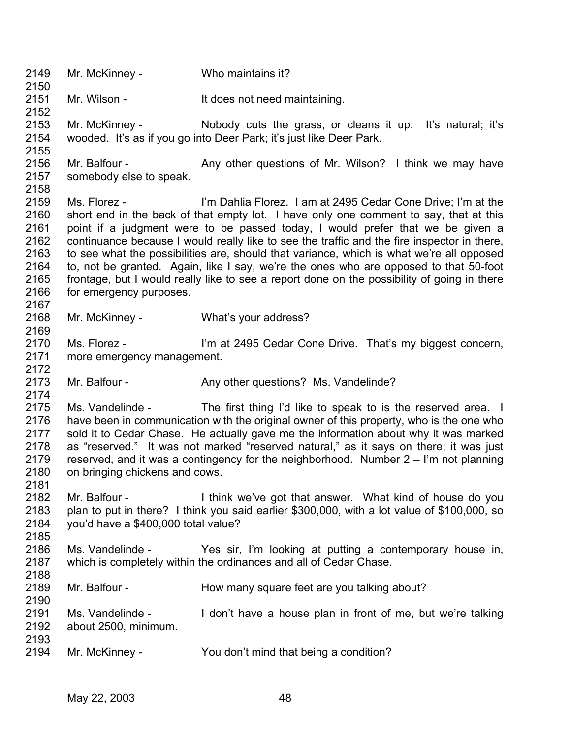2149 2150 2151 2152 2153 2154 2155 2156 2157 2158 2159 2160 2161 2162 2163 2164 2165 2166 2167 2168 2169 2170 2171 2172 2173 2174 2175 2176 2177 2178 2179 2180 2181 2182 2183 2184 2185 2186 2187 2188 2189 2190 2191 2192 2193 2194 Mr. McKinney - Who maintains it? Mr. Wilson - It does not need maintaining. Mr. McKinney - The Nobody cuts the grass, or cleans it up. It's natural; it's wooded. It's as if you go into Deer Park; it's just like Deer Park. Mr. Balfour - Any other questions of Mr. Wilson? I think we may have somebody else to speak. Ms. Florez - I'm Dahlia Florez. I am at 2495 Cedar Cone Drive; I'm at the short end in the back of that empty lot. I have only one comment to say, that at this point if a judgment were to be passed today, I would prefer that we be given a continuance because I would really like to see the traffic and the fire inspector in there, to see what the possibilities are, should that variance, which is what we're all opposed to, not be granted. Again, like I say, we're the ones who are opposed to that 50-foot frontage, but I would really like to see a report done on the possibility of going in there for emergency purposes. Mr. McKinney - What's your address? Ms. Florez - I'm at 2495 Cedar Cone Drive. That's my biggest concern, more emergency management. Mr. Balfour - Any other questions? Ms. Vandelinde? Ms. Vandelinde - The first thing I'd like to speak to is the reserved area. I have been in communication with the original owner of this property, who is the one who sold it to Cedar Chase. He actually gave me the information about why it was marked as "reserved." It was not marked "reserved natural," as it says on there; it was just reserved, and it was a contingency for the neighborhood. Number 2 – I'm not planning on bringing chickens and cows. Mr. Balfour - I think we've got that answer. What kind of house do you plan to put in there? I think you said earlier \$300,000, with a lot value of \$100,000, so you'd have a \$400,000 total value? Ms. Vandelinde - Yes sir, I'm looking at putting a contemporary house in, which is completely within the ordinances and all of Cedar Chase. Mr. Balfour - **How many square feet are you talking about?** Ms. Vandelinde - I don't have a house plan in front of me, but we're talking about 2500, minimum. Mr. McKinney - You don't mind that being a condition?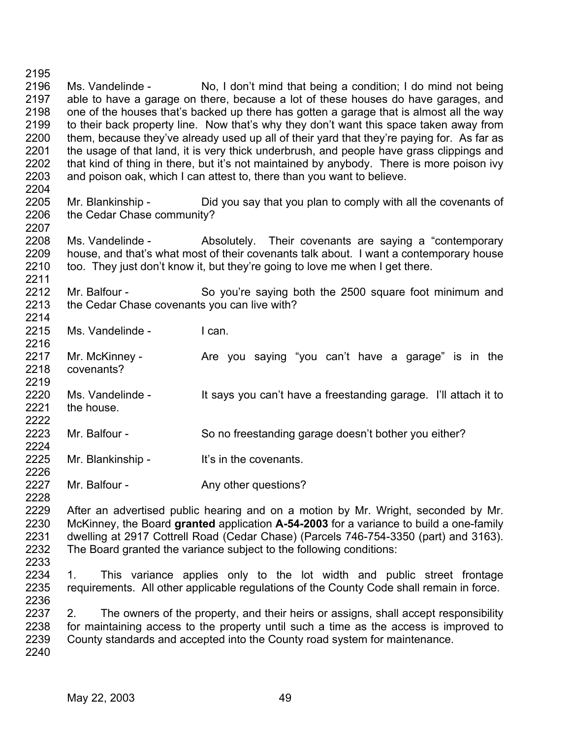2195 2196 2197 2198 2199 2200 2201 2202 2203 2204 Ms. Vandelinde - No, I don't mind that being a condition; I do mind not being able to have a garage on there, because a lot of these houses do have garages, and one of the houses that's backed up there has gotten a garage that is almost all the way to their back property line. Now that's why they don't want this space taken away from them, because they've already used up all of their yard that they're paying for. As far as the usage of that land, it is very thick underbrush, and people have grass clippings and that kind of thing in there, but it's not maintained by anybody. There is more poison ivy and poison oak, which I can attest to, there than you want to believe.

2205 2206 Mr. Blankinship - Did you say that you plan to comply with all the covenants of the Cedar Chase community?

2208 2209 2210 Ms. Vandelinde - Absolutely. Their covenants are saying a "contemporary" house, and that's what most of their covenants talk about. I want a contemporary house too. They just don't know it, but they're going to love me when I get there.

2212 2213 2214 Mr. Balfour - So you're saying both the 2500 square foot minimum and the Cedar Chase covenants you can live with?

- 2215 Ms. Vandelinde - I can.
- 2217 2218 2219 Mr. McKinney - The Sare you saying "you can't have a garage" is in the covenants?
- 2220 2221 2222 Ms. Vandelinde - It says you can't have a freestanding garage. I'll attach it to the house.
- 2223 2224 Mr. Balfour - So no freestanding garage doesn't bother you either?
- 2225 2226 Mr. Blankinship - It's in the covenants.
- 2227 Mr. Balfour - The Any other questions?

2229 2230 2231 2232 After an advertised public hearing and on a motion by Mr. Wright, seconded by Mr. McKinney, the Board **granted** application **A-54-2003** for a variance to build a one-family dwelling at 2917 Cottrell Road (Cedar Chase) (Parcels 746-754-3350 (part) and 3163). The Board granted the variance subject to the following conditions:

2233

2228

2207

2211

2216

2234 2235 2236 1. This variance applies only to the lot width and public street frontage requirements. All other applicable regulations of the County Code shall remain in force.

2237 2238 2239 2240 2. The owners of the property, and their heirs or assigns, shall accept responsibility for maintaining access to the property until such a time as the access is improved to County standards and accepted into the County road system for maintenance.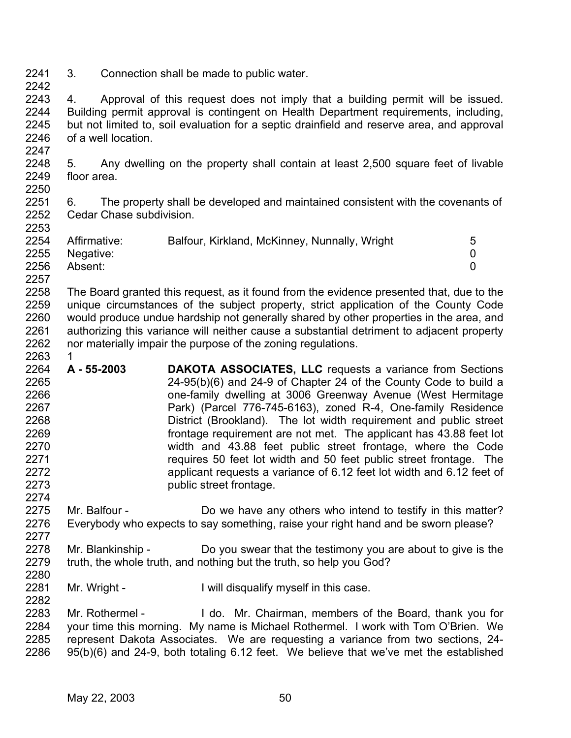2241 2242 3. Connection shall be made to public water.

2243 2244 2245 2246 2247 4. Approval of this request does not imply that a building permit will be issued. Building permit approval is contingent on Health Department requirements, including, but not limited to, soil evaluation for a septic drainfield and reserve area, and approval of a well location.

2248 2249 2250 5. Any dwelling on the property shall contain at least 2,500 square feet of livable floor area.

2251 2252 6. The property shall be developed and maintained consistent with the covenants of Cedar Chase subdivision.

| 2254 | Affirmative:   | Balfour, Kirkland, McKinney, Nunnally, Wright | 5 |
|------|----------------|-----------------------------------------------|---|
|      |                |                                               |   |
|      | 2255 Negative: |                                               |   |
| 2256 | Absent:        |                                               |   |
| 2257 |                |                                               |   |

2258 2259 2260 2261 2262 2263 The Board granted this request, as it found from the evidence presented that, due to the unique circumstances of the subject property, strict application of the County Code would produce undue hardship not generally shared by other properties in the area, and authorizing this variance will neither cause a substantial detriment to adjacent property nor materially impair the purpose of the zoning regulations.

- 2264 2265 2266 2267 2268 2269 2270 2271 2272 2273 **A - 55-2003 DAKOTA ASSOCIATES, LLC** requests a variance from Sections 24-95(b)(6) and 24-9 of Chapter 24 of the County Code to build a one-family dwelling at 3006 Greenway Avenue (West Hermitage Park) (Parcel 776-745-6163), zoned R-4, One-family Residence District (Brookland). The lot width requirement and public street frontage requirement are not met. The applicant has 43.88 feet lot width and 43.88 feet public street frontage, where the Code requires 50 feet lot width and 50 feet public street frontage. The applicant requests a variance of 6.12 feet lot width and 6.12 feet of public street frontage.
- 2275 2276 2277 Mr. Balfour - Do we have any others who intend to testify in this matter? Everybody who expects to say something, raise your right hand and be sworn please?
- 2278 2279 2280 Mr. Blankinship - Do you swear that the testimony you are about to give is the truth, the whole truth, and nothing but the truth, so help you God?
- 2281 2282 Mr. Wright - I will disqualify myself in this case.

2283 2284 2285 2286 Mr. Rothermel - I do. Mr. Chairman, members of the Board, thank you for your time this morning. My name is Michael Rothermel. I work with Tom O'Brien. We represent Dakota Associates. We are requesting a variance from two sections, 24- 95(b)(6) and 24-9, both totaling 6.12 feet. We believe that we've met the established

2253

1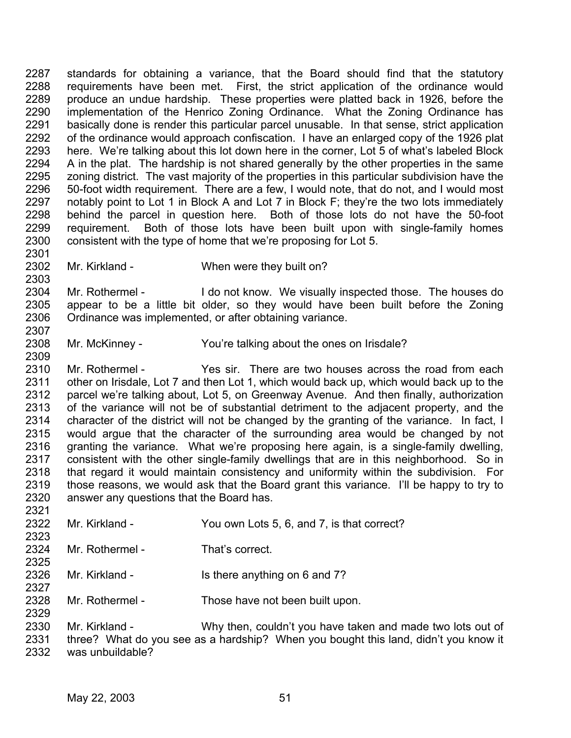2287 2288 2289 2290 2291 2292 2293 2294 2295 2296 2297 2298 2299 2300 2301 standards for obtaining a variance, that the Board should find that the statutory requirements have been met. First, the strict application of the ordinance would produce an undue hardship. These properties were platted back in 1926, before the implementation of the Henrico Zoning Ordinance. What the Zoning Ordinance has basically done is render this particular parcel unusable. In that sense, strict application of the ordinance would approach confiscation. I have an enlarged copy of the 1926 plat here. We're talking about this lot down here in the corner, Lot 5 of what's labeled Block A in the plat. The hardship is not shared generally by the other properties in the same zoning district. The vast majority of the properties in this particular subdivision have the 50-foot width requirement. There are a few, I would note, that do not, and I would most notably point to Lot 1 in Block A and Lot 7 in Block F; they're the two lots immediately behind the parcel in question here. Both of those lots do not have the 50-foot requirement. Both of those lots have been built upon with single-family homes consistent with the type of home that we're proposing for Lot 5.

2302 Mr. Kirkland - When were they built on?

2304 2305 2306 Mr. Rothermel - I do not know. We visually inspected those. The houses do appear to be a little bit older, so they would have been built before the Zoning Ordinance was implemented, or after obtaining variance.

2308 Mr. McKinney - You're talking about the ones on Irisdale?

2310 2311 2312 2313 2314 2315 2316 2317 2318 2319 2320 Mr. Rothermel - Yes sir. There are two houses across the road from each other on Irisdale, Lot 7 and then Lot 1, which would back up, which would back up to the parcel we're talking about, Lot 5, on Greenway Avenue. And then finally, authorization of the variance will not be of substantial detriment to the adjacent property, and the character of the district will not be changed by the granting of the variance. In fact, I would argue that the character of the surrounding area would be changed by not granting the variance. What we're proposing here again, is a single-family dwelling, consistent with the other single-family dwellings that are in this neighborhood. So in that regard it would maintain consistency and uniformity within the subdivision. For those reasons, we would ask that the Board grant this variance. I'll be happy to try to answer any questions that the Board has.

2322 2323 2324 2325 2326 2327 2328 2329 2330 2331 Mr. Kirkland - You own Lots 5, 6, and 7, is that correct? Mr. Rothermel - That's correct. Mr. Kirkland - Is there anything on 6 and 7? Mr. Rothermel - Those have not been built upon. Mr. Kirkland - Why then, couldn't you have taken and made two lots out of three? What do you see as a hardship? When you bought this land, didn't you know it

2332 was unbuildable?

2303

2307

2309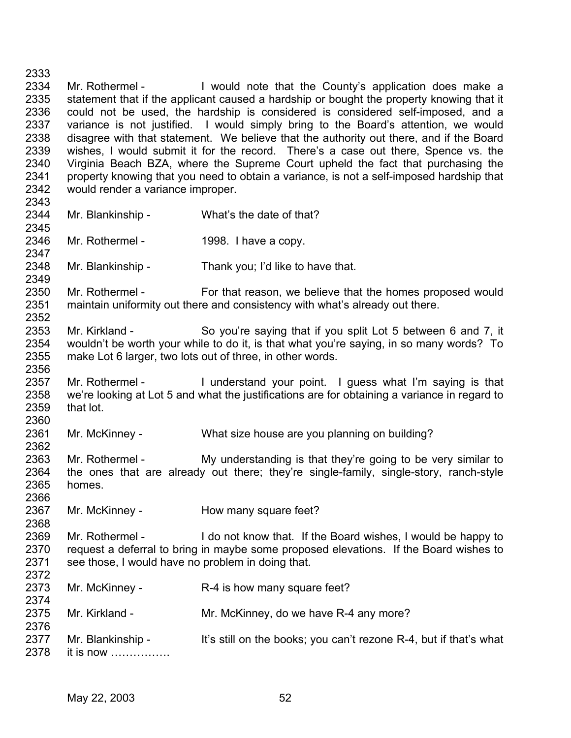2333 2334 2335 2336 2337 2338 2339 2340 2341 2342 2343 2344 2345 2346 Mr. Rothermel - I would note that the County's application does make a statement that if the applicant caused a hardship or bought the property knowing that it could not be used, the hardship is considered is considered self-imposed, and a variance is not justified. I would simply bring to the Board's attention, we would disagree with that statement. We believe that the authority out there, and if the Board wishes, I would submit it for the record. There's a case out there, Spence vs. the Virginia Beach BZA, where the Supreme Court upheld the fact that purchasing the property knowing that you need to obtain a variance, is not a self-imposed hardship that would render a variance improper. Mr. Blankinship - What's the date of that? Mr. Rothermel - 1998. I have a copy.

2348 Mr. Blankinship - Thank you; I'd like to have that.

2350 2351 2352 Mr. Rothermel - For that reason, we believe that the homes proposed would maintain uniformity out there and consistency with what's already out there.

- 2353 2354 2355 2356 Mr. Kirkland - So you're saying that if you split Lot 5 between 6 and 7, it wouldn't be worth your while to do it, is that what you're saying, in so many words? To make Lot 6 larger, two lots out of three, in other words.
- 2357 2358 2359 2360 Mr. Rothermel - I understand your point. I guess what I'm saying is that we're looking at Lot 5 and what the justifications are for obtaining a variance in regard to that lot.
- 2361 Mr. McKinney - What size house are you planning on building?
- 2363 2364 2365 2366 Mr. Rothermel - My understanding is that they're going to be very similar to the ones that are already out there; they're single-family, single-story, ranch-style homes.
- 2367 Mr. McKinney - How many square feet?
- 2369 2370 2371 2372 Mr. Rothermel - I do not know that. If the Board wishes, I would be happy to request a deferral to bring in maybe some proposed elevations. If the Board wishes to see those, I would have no problem in doing that.
- 2373 2374 2375 2376 Mr. McKinney - R-4 is how many square feet? Mr. Kirkland - Mr. McKinney, do we have R-4 any more?
- 2377 2378 Mr. Blankinship - It's still on the books; you can't rezone R-4, but if that's what it is now …………….
	- May 22, 2003 52

2347

2349

2362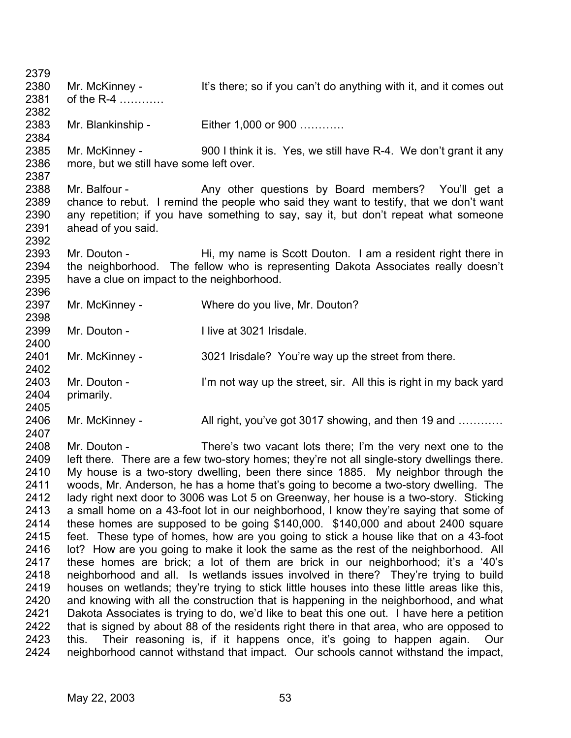2379 2380 2381 2382 2383 2384 2385 2386 2387 2388 2389 2390 2391 2392 2393 2394 2395 2396 2397 2398 2399 2400 2401 2402 2403 2404 2405 2406 2407 2408 2409 2410 2411 2412 2413 2414 2415 2416 2417 2418 2419 2420 2421 2422 2423 2424 Mr. McKinney - It's there; so if you can't do anything with it, and it comes out of the R-4 ………… Mr. Blankinship - Either 1,000 or 900 ............ Mr. McKinney - 900 I think it is. Yes, we still have R-4. We don't grant it any more, but we still have some left over. Mr. Balfour - Any other questions by Board members? You'll get a chance to rebut. I remind the people who said they want to testify, that we don't want any repetition; if you have something to say, say it, but don't repeat what someone ahead of you said. Mr. Douton - Hi, my name is Scott Douton. I am a resident right there in the neighborhood. The fellow who is representing Dakota Associates really doesn't have a clue on impact to the neighborhood. Mr. McKinney - Where do you live, Mr. Douton? Mr. Douton - **I live at 3021 Irisdale.** Mr. McKinney - 3021 Irisdale? You're way up the street from there. Mr. Douton - I'm not way up the street, sir. All this is right in my back yard primarily. Mr. McKinney - All right, you've got 3017 showing, and then 19 and ………… Mr. Douton - There's two vacant lots there; I'm the very next one to the left there. There are a few two-story homes; they're not all single-story dwellings there. My house is a two-story dwelling, been there since 1885. My neighbor through the woods, Mr. Anderson, he has a home that's going to become a two-story dwelling. The lady right next door to 3006 was Lot 5 on Greenway, her house is a two-story. Sticking a small home on a 43-foot lot in our neighborhood, I know they're saying that some of these homes are supposed to be going \$140,000. \$140,000 and about 2400 square feet. These type of homes, how are you going to stick a house like that on a 43-foot lot? How are you going to make it look the same as the rest of the neighborhood. All these homes are brick; a lot of them are brick in our neighborhood; it's a '40's neighborhood and all. Is wetlands issues involved in there? They're trying to build houses on wetlands; they're trying to stick little houses into these little areas like this, and knowing with all the construction that is happening in the neighborhood, and what Dakota Associates is trying to do, we'd like to beat this one out. I have here a petition that is signed by about 88 of the residents right there in that area, who are opposed to this. Their reasoning is, if it happens once, it's going to happen again. Our neighborhood cannot withstand that impact. Our schools cannot withstand the impact,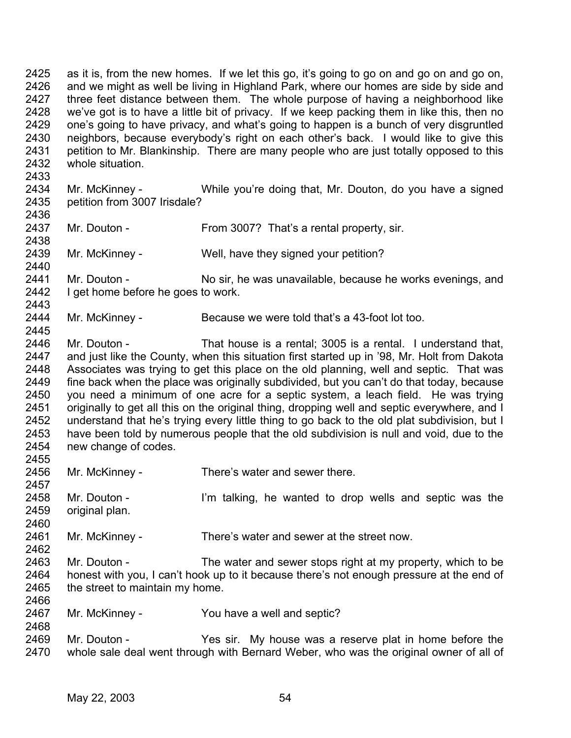2425 2426 2427 2428 2429 2430 2431 2432 2433 2434 2435 2436 2437 2438 2439 2440 2441 2442 2443 2444 as it is, from the new homes. If we let this go, it's going to go on and go on and go on, and we might as well be living in Highland Park, where our homes are side by side and three feet distance between them. The whole purpose of having a neighborhood like we've got is to have a little bit of privacy. If we keep packing them in like this, then no one's going to have privacy, and what's going to happen is a bunch of very disgruntled neighbors, because everybody's right on each other's back. I would like to give this petition to Mr. Blankinship. There are many people who are just totally opposed to this whole situation. Mr. McKinney - While you're doing that, Mr. Douton, do you have a signed petition from 3007 Irisdale? Mr. Douton - From 3007? That's a rental property, sir. Mr. McKinney - Well, have they signed your petition? Mr. Douton - No sir, he was unavailable, because he works evenings, and I get home before he goes to work. Mr. McKinney - Because we were told that's a 43-foot lot too.

2446 2447 2448 2449 2450 2451 2452 2453 2454 Mr. Douton - That house is a rental; 3005 is a rental. I understand that, and just like the County, when this situation first started up in '98, Mr. Holt from Dakota Associates was trying to get this place on the old planning, well and septic. That was fine back when the place was originally subdivided, but you can't do that today, because you need a minimum of one acre for a septic system, a leach field. He was trying originally to get all this on the original thing, dropping well and septic everywhere, and I understand that he's trying every little thing to go back to the old plat subdivision, but I have been told by numerous people that the old subdivision is null and void, due to the new change of codes.

- 2455 2456 2457 2458 2459 2460 2461 2462 2463 2464 2465 2466 2467 2468 2469 Mr. McKinney - There's water and sewer there. Mr. Douton - I'm talking, he wanted to drop wells and septic was the original plan. Mr. McKinney - There's water and sewer at the street now. Mr. Douton - The water and sewer stops right at my property, which to be honest with you, I can't hook up to it because there's not enough pressure at the end of the street to maintain my home. Mr. McKinney - You have a well and septic?
- 2470 Mr. Douton - Yes sir. My house was a reserve plat in home before the whole sale deal went through with Bernard Weber, who was the original owner of all of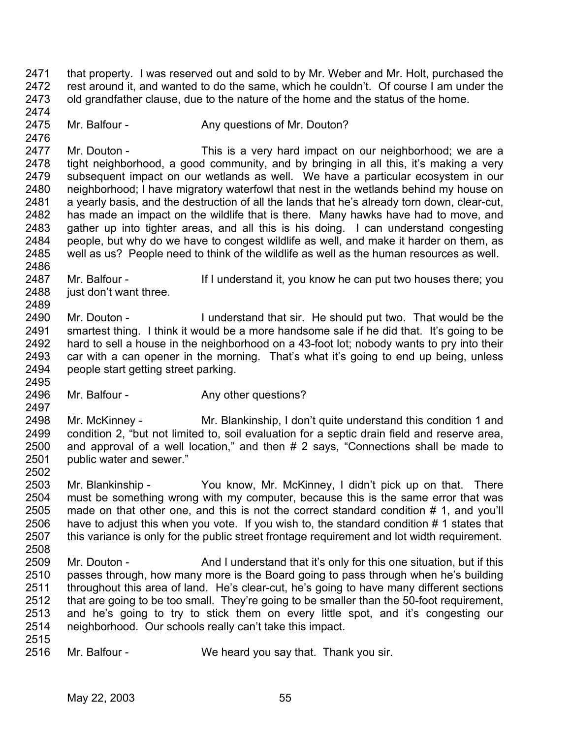2471 2472 2473 2474 that property. I was reserved out and sold to by Mr. Weber and Mr. Holt, purchased the rest around it, and wanted to do the same, which he couldn't. Of course I am under the old grandfather clause, due to the nature of the home and the status of the home.

2475 Mr. Balfour - Any questions of Mr. Douton?

2477 2478 2479 2480 2481 2482 2483 2484 2485 Mr. Douton - This is a very hard impact on our neighborhood; we are a tight neighborhood, a good community, and by bringing in all this, it's making a very subsequent impact on our wetlands as well. We have a particular ecosystem in our neighborhood; I have migratory waterfowl that nest in the wetlands behind my house on a yearly basis, and the destruction of all the lands that he's already torn down, clear-cut, has made an impact on the wildlife that is there. Many hawks have had to move, and gather up into tighter areas, and all this is his doing. I can understand congesting people, but why do we have to congest wildlife as well, and make it harder on them, as well as us? People need to think of the wildlife as well as the human resources as well.

2487 2488 Mr. Balfour - If I understand it, you know he can put two houses there; you just don't want three.

2490 2491 2492 2493 2494 Mr. Douton - I understand that sir. He should put two. That would be the smartest thing. I think it would be a more handsome sale if he did that. It's going to be hard to sell a house in the neighborhood on a 43-foot lot; nobody wants to pry into their car with a can opener in the morning. That's what it's going to end up being, unless people start getting street parking.

2496 Mr. Balfour - Any other questions?

2498 2499 2500 2501 2502 Mr. McKinney - Mr. Blankinship, I don't quite understand this condition 1 and condition 2, "but not limited to, soil evaluation for a septic drain field and reserve area, and approval of a well location," and then # 2 says, "Connections shall be made to public water and sewer."

2503 2504 2505 2506 2507 2508 Mr. Blankinship - You know, Mr. McKinney, I didn't pick up on that. There must be something wrong with my computer, because this is the same error that was made on that other one, and this is not the correct standard condition # 1, and you'll have to adjust this when you vote. If you wish to, the standard condition # 1 states that this variance is only for the public street frontage requirement and lot width requirement.

- 2509 2510 2511 2512 2513 2514 Mr. Douton - And I understand that it's only for this one situation, but if this passes through, how many more is the Board going to pass through when he's building throughout this area of land. He's clear-cut, he's going to have many different sections that are going to be too small. They're going to be smaller than the 50-foot requirement, and he's going to try to stick them on every little spot, and it's congesting our neighborhood. Our schools really can't take this impact.
- 2515

2476

2486

2489

2495

2497

2516 Mr. Balfour - We heard you say that. Thank you sir.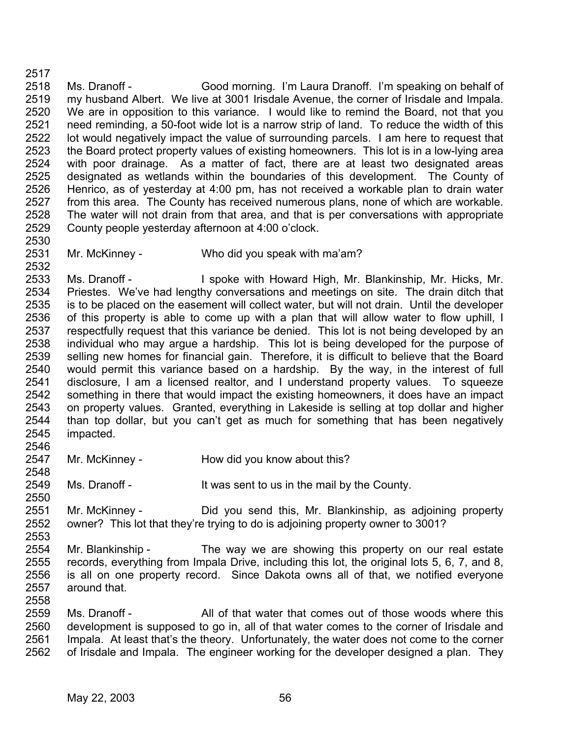2518 2519 2520 2521 2522 2523 2524 2525 2526 2527 2528 2529 2530 Ms. Dranoff - Good morning. I'm Laura Dranoff. I'm speaking on behalf of my husband Albert. We live at 3001 Irisdale Avenue, the corner of Irisdale and Impala. We are in opposition to this variance. I would like to remind the Board, not that you need reminding, a 50-foot wide lot is a narrow strip of land. To reduce the width of this lot would negatively impact the value of surrounding parcels. I am here to request that the Board protect property values of existing homeowners. This lot is in a low-lying area with poor drainage. As a matter of fact, there are at least two designated areas designated as wetlands within the boundaries of this development. The County of Henrico, as of yesterday at 4:00 pm, has not received a workable plan to drain water from this area. The County has received numerous plans, none of which are workable. The water will not drain from that area, and that is per conversations with appropriate County people yesterday afternoon at 4:00 o'clock.

2531 Mr. McKinney - Who did you speak with ma'am?

2533 2534 2535 2536 2537 2538 2539 2540 2541 2542 2543 2544 2545 Ms. Dranoff - **I** spoke with Howard High, Mr. Blankinship, Mr. Hicks, Mr. Priestes. We've had lengthy conversations and meetings on site. The drain ditch that is to be placed on the easement will collect water, but will not drain. Until the developer of this property is able to come up with a plan that will allow water to flow uphill, I respectfully request that this variance be denied. This lot is not being developed by an individual who may argue a hardship. This lot is being developed for the purpose of selling new homes for financial gain. Therefore, it is difficult to believe that the Board would permit this variance based on a hardship. By the way, in the interest of full disclosure, I am a licensed realtor, and I understand property values. To squeeze something in there that would impact the existing homeowners, it does have an impact on property values. Granted, everything in Lakeside is selling at top dollar and higher than top dollar, but you can't get as much for something that has been negatively impacted.

2547 2548 Mr. McKinney - How did you know about this?

2549 2550 Ms. Dranoff - It was sent to us in the mail by the County.

2551 2552 Mr. McKinney - Third you send this, Mr. Blankinship, as adjoining property owner? This lot that they're trying to do is adjoining property owner to 3001?

2554 2555 2556 2557 2558 Mr. Blankinship - The way we are showing this property on our real estate records, everything from Impala Drive, including this lot, the original lots 5, 6, 7, and 8, is all on one property record. Since Dakota owns all of that, we notified everyone around that.

2559 2560 2561 2562 Ms. Dranoff - All of that water that comes out of those woods where this development is supposed to go in, all of that water comes to the corner of Irisdale and Impala. At least that's the theory. Unfortunately, the water does not come to the corner of Irisdale and Impala. The engineer working for the developer designed a plan. They

2517

2532

2546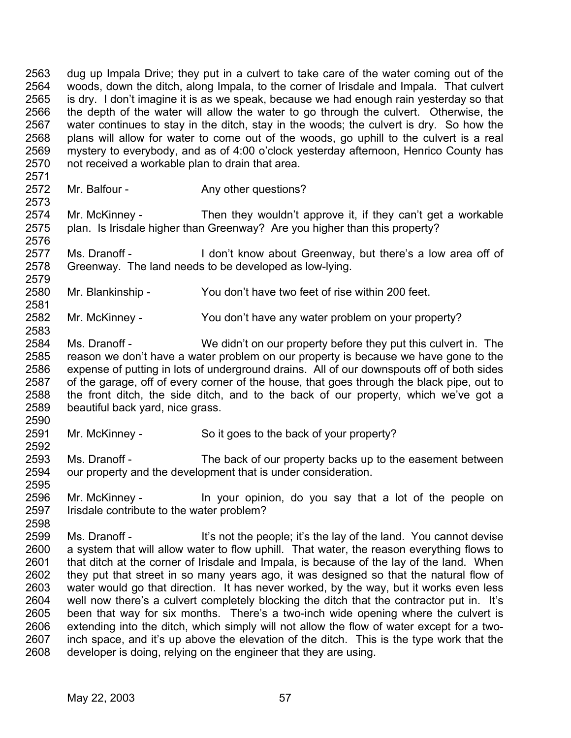2563 2564 2565 2566 2567 2568 2569 2570 dug up Impala Drive; they put in a culvert to take care of the water coming out of the woods, down the ditch, along Impala, to the corner of Irisdale and Impala. That culvert is dry. I don't imagine it is as we speak, because we had enough rain yesterday so that the depth of the water will allow the water to go through the culvert. Otherwise, the water continues to stay in the ditch, stay in the woods; the culvert is dry. So how the plans will allow for water to come out of the woods, go uphill to the culvert is a real mystery to everybody, and as of 4:00 o'clock yesterday afternoon, Henrico County has not received a workable plan to drain that area.

2572 Mr. Balfour - Any other questions?

2571

2573

2583

2590

2592

2595

2598

2574 2575 2576 Mr. McKinney - Then they wouldn't approve it, if they can't get a workable plan. Is Irisdale higher than Greenway? Are you higher than this property?

2577 2578 2579 Ms. Dranoff - I don't know about Greenway, but there's a low area off of Greenway. The land needs to be developed as low-lying.

- 2580 2581 Mr. Blankinship - You don't have two feet of rise within 200 feet.
- 2582 Mr. McKinney - You don't have any water problem on your property?
- 2584 2585 2586 2587 2588 2589 Ms. Dranoff - We didn't on our property before they put this culvert in. The reason we don't have a water problem on our property is because we have gone to the expense of putting in lots of underground drains. All of our downspouts off of both sides of the garage, off of every corner of the house, that goes through the black pipe, out to the front ditch, the side ditch, and to the back of our property, which we've got a beautiful back yard, nice grass.
- 2591 Mr. McKinney - So it goes to the back of your property?
- 2593 2594 Ms. Dranoff - The back of our property backs up to the easement between our property and the development that is under consideration.
- 2596 2597 Mr. McKinney - In your opinion, do you say that a lot of the people on Irisdale contribute to the water problem?
- 2599 2600 2601 2602 2603 2604 2605 2606 2607 2608 Ms. Dranoff - It's not the people; it's the lay of the land. You cannot devise a system that will allow water to flow uphill. That water, the reason everything flows to that ditch at the corner of Irisdale and Impala, is because of the lay of the land. When they put that street in so many years ago, it was designed so that the natural flow of water would go that direction. It has never worked, by the way, but it works even less well now there's a culvert completely blocking the ditch that the contractor put in. It's been that way for six months. There's a two-inch wide opening where the culvert is extending into the ditch, which simply will not allow the flow of water except for a twoinch space, and it's up above the elevation of the ditch. This is the type work that the developer is doing, relying on the engineer that they are using.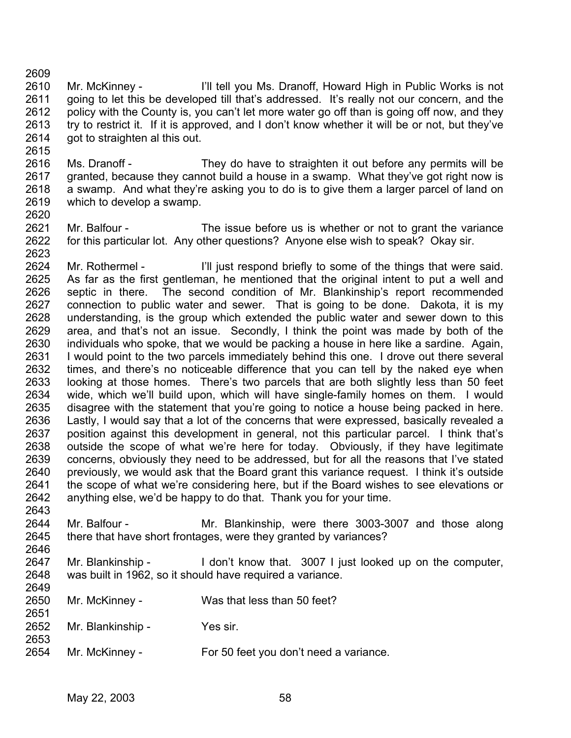2609

2615

- 2610 2611 2612 2613 2614 Mr. McKinney - I'll tell you Ms. Dranoff, Howard High in Public Works is not going to let this be developed till that's addressed. It's really not our concern, and the policy with the County is, you can't let more water go off than is going off now, and they try to restrict it. If it is approved, and I don't know whether it will be or not, but they've got to straighten al this out.
- 2616 2617 2618 2619 Ms. Dranoff - They do have to straighten it out before any permits will be granted, because they cannot build a house in a swamp. What they've got right now is a swamp. And what they're asking you to do is to give them a larger parcel of land on which to develop a swamp.
- 2620 2621 2622 Mr. Balfour - The issue before us is whether or not to grant the variance for this particular lot. Any other questions? Anyone else wish to speak? Okay sir.
- 2623 2624 2625 2626 2627 2628 2629 2630 2631 2632 2633 2634 2635 2636 2637 2638 2639 2640 2641 2642 2643 Mr. Rothermel - I'll just respond briefly to some of the things that were said. As far as the first gentleman, he mentioned that the original intent to put a well and septic in there. The second condition of Mr. Blankinship's report recommended connection to public water and sewer. That is going to be done. Dakota, it is my understanding, is the group which extended the public water and sewer down to this area, and that's not an issue. Secondly, I think the point was made by both of the individuals who spoke, that we would be packing a house in here like a sardine. Again, I would point to the two parcels immediately behind this one. I drove out there several times, and there's no noticeable difference that you can tell by the naked eye when looking at those homes. There's two parcels that are both slightly less than 50 feet wide, which we'll build upon, which will have single-family homes on them. I would disagree with the statement that you're going to notice a house being packed in here. Lastly, I would say that a lot of the concerns that were expressed, basically revealed a position against this development in general, not this particular parcel. I think that's outside the scope of what we're here for today. Obviously, if they have legitimate concerns, obviously they need to be addressed, but for all the reasons that I've stated previously, we would ask that the Board grant this variance request. I think it's outside the scope of what we're considering here, but if the Board wishes to see elevations or anything else, we'd be happy to do that. Thank you for your time.
- 2644 2645 2646 Mr. Balfour - The Mr. Blankinship, were there 3003-3007 and those along there that have short frontages, were they granted by variances?
- 2647 2648 Mr. Blankinship - I don't know that. 3007 I just looked up on the computer, was built in 1962, so it should have required a variance.
- 2650 2651 Mr. McKinney - Was that less than 50 feet?
- 2652 2653 Mr. Blankinship - Yes sir.
- 2654 Mr. McKinney - For 50 feet you don't need a variance.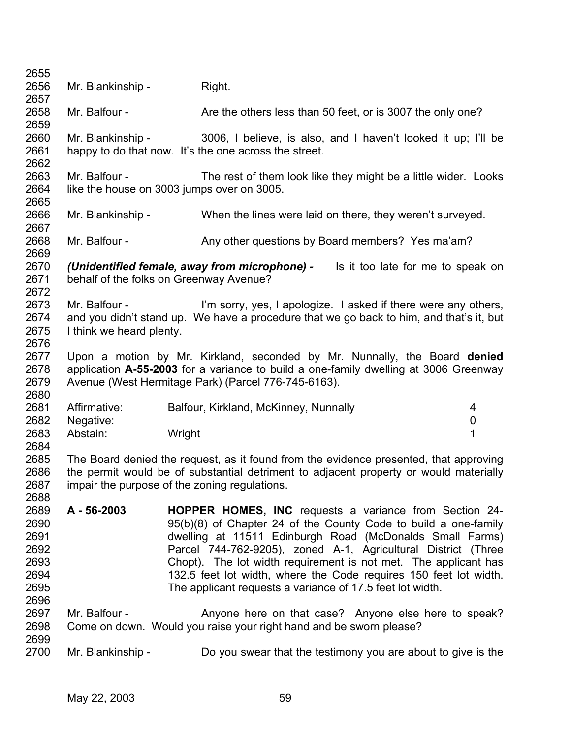| 2655         |                                                                                                                     |                                                                                       |                  |
|--------------|---------------------------------------------------------------------------------------------------------------------|---------------------------------------------------------------------------------------|------------------|
| 2656         | Mr. Blankinship -                                                                                                   | Right.                                                                                |                  |
| 2657         |                                                                                                                     |                                                                                       |                  |
| 2658         | Mr. Balfour -                                                                                                       | Are the others less than 50 feet, or is 3007 the only one?                            |                  |
| 2659         |                                                                                                                     |                                                                                       |                  |
| 2660         | Mr. Blankinship -                                                                                                   | 3006, I believe, is also, and I haven't looked it up; I'll be                         |                  |
| 2661         |                                                                                                                     | happy to do that now. It's the one across the street.                                 |                  |
| 2662         |                                                                                                                     |                                                                                       |                  |
| 2663         | Mr. Balfour -                                                                                                       | The rest of them look like they might be a little wider. Looks                        |                  |
| 2664         |                                                                                                                     | like the house on 3003 jumps over on 3005.                                            |                  |
| 2665         |                                                                                                                     |                                                                                       |                  |
| 2666         | Mr. Blankinship -                                                                                                   | When the lines were laid on there, they weren't surveyed.                             |                  |
| 2667         |                                                                                                                     |                                                                                       |                  |
| 2668         | Mr. Balfour -                                                                                                       | Any other questions by Board members? Yes ma'am?                                      |                  |
| 2669         |                                                                                                                     |                                                                                       |                  |
| 2670         |                                                                                                                     | (Unidentified female, away from microphone) -<br>Is it too late for me to speak on    |                  |
| 2671         |                                                                                                                     | behalf of the folks on Greenway Avenue?                                               |                  |
| 2672         |                                                                                                                     |                                                                                       |                  |
| 2673         | Mr. Balfour -                                                                                                       | I'm sorry, yes, I apologize. I asked if there were any others,                        |                  |
| 2674         |                                                                                                                     |                                                                                       |                  |
| 2675         | and you didn't stand up. We have a procedure that we go back to him, and that's it, but<br>I think we heard plenty. |                                                                                       |                  |
| 2676         |                                                                                                                     |                                                                                       |                  |
| 2677         |                                                                                                                     | Upon a motion by Mr. Kirkland, seconded by Mr. Nunnally, the Board denied             |                  |
| 2678         |                                                                                                                     | application A-55-2003 for a variance to build a one-family dwelling at 3006 Greenway  |                  |
| 2679         |                                                                                                                     |                                                                                       |                  |
| 2680         |                                                                                                                     | Avenue (West Hermitage Park) (Parcel 776-745-6163).                                   |                  |
|              |                                                                                                                     |                                                                                       |                  |
| 2681         | Affirmative:                                                                                                        | Balfour, Kirkland, McKinney, Nunnally                                                 | 4                |
| 2682         | Negative:                                                                                                           |                                                                                       | $\boldsymbol{0}$ |
| 2683         | Abstain:                                                                                                            | Wright                                                                                | 1                |
| 2684         |                                                                                                                     |                                                                                       |                  |
| 2685         |                                                                                                                     | The Board denied the request, as it found from the evidence presented, that approving |                  |
| 2686         |                                                                                                                     | the permit would be of substantial detriment to adjacent property or would materially |                  |
| 2687         |                                                                                                                     | impair the purpose of the zoning regulations                                          |                  |
| 2688         |                                                                                                                     |                                                                                       |                  |
| 2689         | A - 56-2003                                                                                                         | HOPPER HOMES, INC requests a variance from Section 24-                                |                  |
| 2690         |                                                                                                                     | 95(b)(8) of Chapter 24 of the County Code to build a one-family                       |                  |
| 2691         |                                                                                                                     | dwelling at 11511 Edinburgh Road (McDonalds Small Farms)                              |                  |
| 2692         |                                                                                                                     | Parcel 744-762-9205), zoned A-1, Agricultural District (Three                         |                  |
| 2693         |                                                                                                                     | Chopt). The lot width requirement is not met. The applicant has                       |                  |
| 2694         |                                                                                                                     | 132.5 feet lot width, where the Code requires 150 feet lot width.                     |                  |
| 2695         |                                                                                                                     | The applicant requests a variance of 17.5 feet lot width.                             |                  |
| 2696         |                                                                                                                     |                                                                                       |                  |
|              |                                                                                                                     |                                                                                       |                  |
| 2697         | Mr. Balfour -                                                                                                       | Anyone here on that case? Anyone else here to speak?                                  |                  |
| 2698         |                                                                                                                     | Come on down. Would you raise your right hand and be sworn please?                    |                  |
| 2699<br>2700 | Mr. Blankinship -                                                                                                   | Do you swear that the testimony you are about to give is the                          |                  |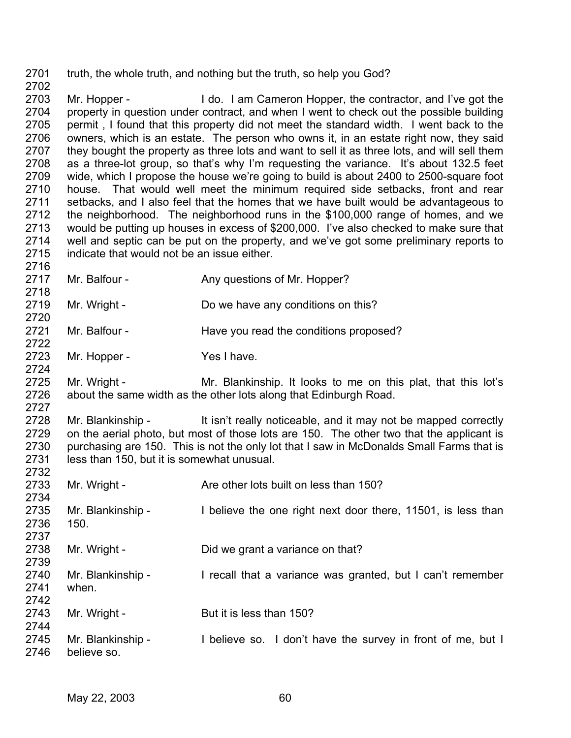2701 2702 truth, the whole truth, and nothing but the truth, so help you God?

2703 2704 2705 2706 2707 2708 2709 2710 2711 2712 2713 2714 2715 Mr. Hopper - I do. I am Cameron Hopper, the contractor, and I've got the property in question under contract, and when I went to check out the possible building permit , I found that this property did not meet the standard width. I went back to the owners, which is an estate. The person who owns it, in an estate right now, they said they bought the property as three lots and want to sell it as three lots, and will sell them as a three-lot group, so that's why I'm requesting the variance. It's about 132.5 feet wide, which I propose the house we're going to build is about 2400 to 2500-square foot house. That would well meet the minimum required side setbacks, front and rear setbacks, and I also feel that the homes that we have built would be advantageous to the neighborhood. The neighborhood runs in the \$100,000 range of homes, and we would be putting up houses in excess of \$200,000. I've also checked to make sure that well and septic can be put on the property, and we've got some preliminary reports to indicate that would not be an issue either.

- 2717 Mr. Balfour - Any questions of Mr. Hopper?
- 2719 Mr. Wright - Do we have any conditions on this?
- 2721 Mr. Balfour - Have you read the conditions proposed?
- 2723 Mr. Hopper - Yes I have.

2716

2718

2720

2722

2724

2727

2725 2726 Mr. Wright - Mr. Blankinship. It looks to me on this plat, that this lot's about the same width as the other lots along that Edinburgh Road.

2728 2729 2730 2731 2732 Mr. Blankinship - It isn't really noticeable, and it may not be mapped correctly on the aerial photo, but most of those lots are 150. The other two that the applicant is purchasing are 150. This is not the only lot that I saw in McDonalds Small Farms that is less than 150, but it is somewhat unusual.

2733 2734 2735 2736 2737 2738 2739 2740 2741 2742 2743 2744 2745 2746 Mr. Wright - Are other lots built on less than 150? Mr. Blankinship - I believe the one right next door there, 11501, is less than 150. Mr. Wright - Did we grant a variance on that? Mr. Blankinship - I recall that a variance was granted, but I can't remember when. Mr. Wright - But it is less than 150? Mr. Blankinship - I believe so. I don't have the survey in front of me, but I believe so.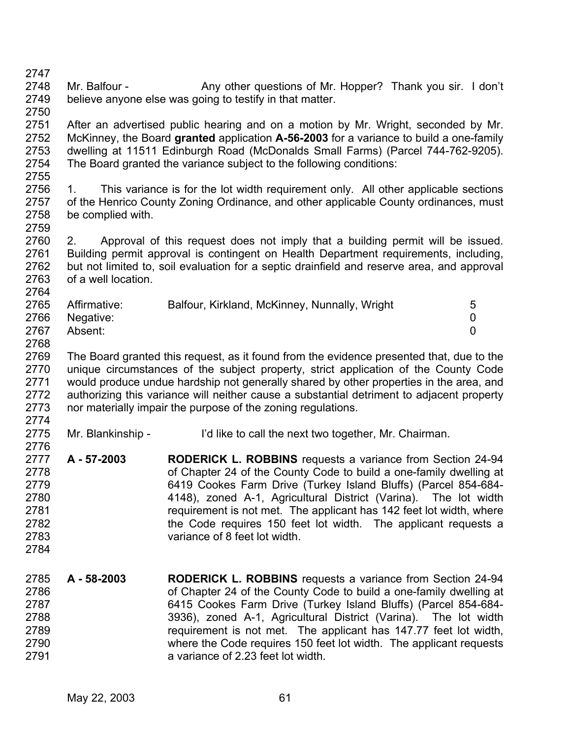2747 2748 2749 2750 2751 2752 2753 2754 2755 2756 2757 2758 2759 2760 2761 2762 2763 2764 2765 2766 2767 2768 2769 2770 2771 2772 2773 2774 2775 2776 2777 2778 2779 2780 2781 2782 2783 2784 2785 2786 2787 2788 2789 2790 2791 Mr. Balfour - Any other questions of Mr. Hopper? Thank you sir. I don't believe anyone else was going to testify in that matter. After an advertised public hearing and on a motion by Mr. Wright, seconded by Mr. McKinney, the Board **granted** application **A-56-2003** for a variance to build a one-family dwelling at 11511 Edinburgh Road (McDonalds Small Farms) (Parcel 744-762-9205). The Board granted the variance subject to the following conditions: 1. This variance is for the lot width requirement only. All other applicable sections of the Henrico County Zoning Ordinance, and other applicable County ordinances, must be complied with. 2. Approval of this request does not imply that a building permit will be issued. Building permit approval is contingent on Health Department requirements, including, but not limited to, soil evaluation for a septic drainfield and reserve area, and approval of a well location. Affirmative: Balfour, Kirkland, McKinney, Nunnally, Wright 5 Negative: 0 Absent: 0 The Board granted this request, as it found from the evidence presented that, due to the unique circumstances of the subject property, strict application of the County Code would produce undue hardship not generally shared by other properties in the area, and authorizing this variance will neither cause a substantial detriment to adjacent property nor materially impair the purpose of the zoning regulations. Mr. Blankinship - I'd like to call the next two together, Mr. Chairman. **A - 57-2003 RODERICK L. ROBBINS** requests a variance from Section 24-94 of Chapter 24 of the County Code to build a one-family dwelling at 6419 Cookes Farm Drive (Turkey Island Bluffs) (Parcel 854-684- 4148), zoned A-1, Agricultural District (Varina). The lot width requirement is not met. The applicant has 142 feet lot width, where the Code requires 150 feet lot width. The applicant requests a variance of 8 feet lot width. **A - 58-2003 RODERICK L. ROBBINS** requests a variance from Section 24-94 of Chapter 24 of the County Code to build a one-family dwelling at 6415 Cookes Farm Drive (Turkey Island Bluffs) (Parcel 854-684- 3936), zoned A-1, Agricultural District (Varina). The lot width requirement is not met. The applicant has 147.77 feet lot width, where the Code requires 150 feet lot width. The applicant requests a variance of 2.23 feet lot width.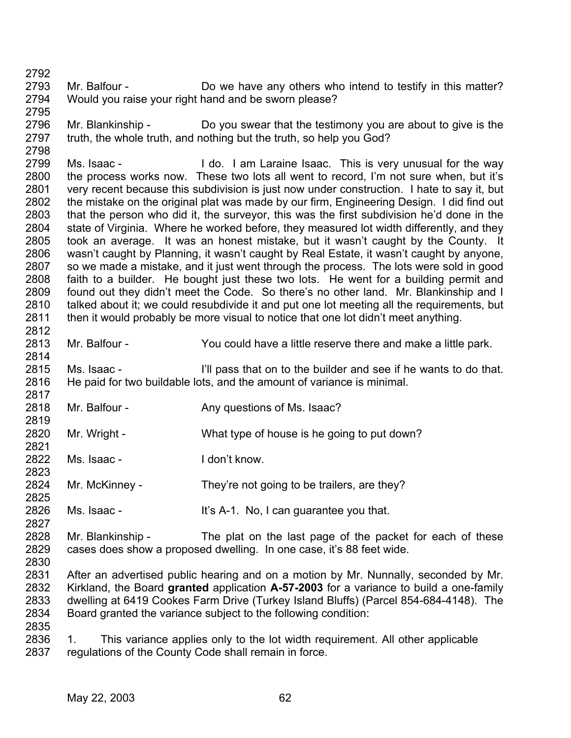2793 2794 2795 Mr. Balfour - **Do** we have any others who intend to testify in this matter? Would you raise your right hand and be sworn please?

2796 2797 2798 Mr. Blankinship - Do you swear that the testimony you are about to give is the truth, the whole truth, and nothing but the truth, so help you God?

2799 2800 2801 2802 2803 2804 2805 2806 2807 2808 2809 2810 2811 2812 Ms. Isaac - I do. I am Laraine Isaac. This is very unusual for the way the process works now. These two lots all went to record, I'm not sure when, but it's very recent because this subdivision is just now under construction. I hate to say it, but the mistake on the original plat was made by our firm, Engineering Design. I did find out that the person who did it, the surveyor, this was the first subdivision he'd done in the state of Virginia. Where he worked before, they measured lot width differently, and they took an average. It was an honest mistake, but it wasn't caught by the County. It wasn't caught by Planning, it wasn't caught by Real Estate, it wasn't caught by anyone, so we made a mistake, and it just went through the process. The lots were sold in good faith to a builder. He bought just these two lots. He went for a building permit and found out they didn't meet the Code. So there's no other land. Mr. Blankinship and I talked about it; we could resubdivide it and put one lot meeting all the requirements, but then it would probably be more visual to notice that one lot didn't meet anything.

2813 Mr. Balfour - You could have a little reserve there and make a little park.

2815 2816 2817 Ms. Isaac - I'll pass that on to the builder and see if he wants to do that. He paid for two buildable lots, and the amount of variance is minimal.

- 2818 Mr. Balfour - Any questions of Ms. Isaac?
- 2820 2821 Mr. Wright - What type of house is he going to put down?
- 2822 2823 Ms. Isaac - I don't know.
- 2824 Mr. McKinney - They're not going to be trailers, are they?
- 2826 Ms. Isaac - It's A-1. No, I can guarantee you that.
- 2828 2829 2830 Mr. Blankinship - The plat on the last page of the packet for each of these cases does show a proposed dwelling. In one case, it's 88 feet wide.
- 2831 2832 2833 2834 After an advertised public hearing and on a motion by Mr. Nunnally, seconded by Mr. Kirkland, the Board **granted** application **A-57-2003** for a variance to build a one-family dwelling at 6419 Cookes Farm Drive (Turkey Island Bluffs) (Parcel 854-684-4148). The Board granted the variance subject to the following condition:
- 2835

2792

2814

2819

2825

2827

2836 2837 1. This variance applies only to the lot width requirement. All other applicable regulations of the County Code shall remain in force.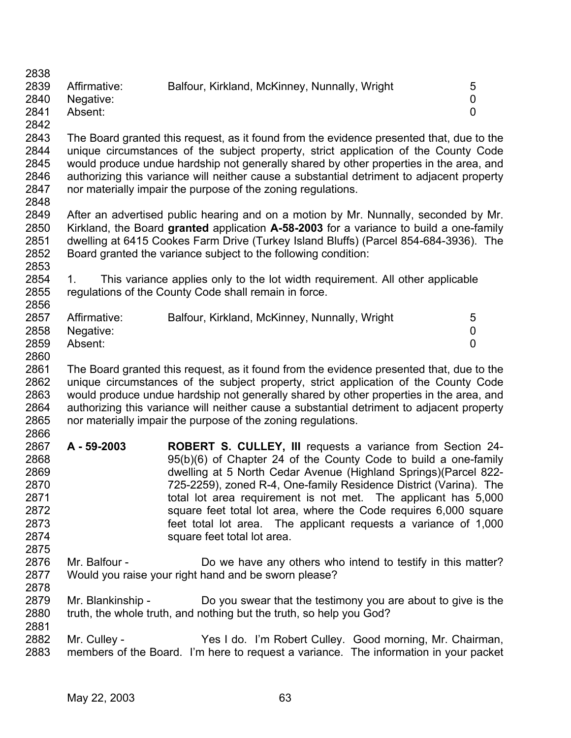| 2838 |                   |                                                                                                                                      |                |
|------|-------------------|--------------------------------------------------------------------------------------------------------------------------------------|----------------|
| 2839 | Affirmative:      | Balfour, Kirkland, McKinney, Nunnally, Wright                                                                                        | 5              |
| 2840 | Negative:         |                                                                                                                                      | $\mathbf 0$    |
| 2841 | Absent:           |                                                                                                                                      | $\overline{0}$ |
| 2842 |                   |                                                                                                                                      |                |
| 2843 |                   | The Board granted this request, as it found from the evidence presented that, due to the                                             |                |
| 2844 |                   | unique circumstances of the subject property, strict application of the County Code                                                  |                |
| 2845 |                   | would produce undue hardship not generally shared by other properties in the area, and                                               |                |
| 2846 |                   | authorizing this variance will neither cause a substantial detriment to adjacent property                                            |                |
| 2847 |                   | nor materially impair the purpose of the zoning regulations.                                                                         |                |
| 2848 |                   |                                                                                                                                      |                |
| 2849 |                   | After an advertised public hearing and on a motion by Mr. Nunnally, seconded by Mr.                                                  |                |
| 2850 |                   | Kirkland, the Board granted application A-58-2003 for a variance to build a one-family                                               |                |
| 2851 |                   | dwelling at 6415 Cookes Farm Drive (Turkey Island Bluffs) (Parcel 854-684-3936). The                                                 |                |
| 2852 |                   | Board granted the variance subject to the following condition:                                                                       |                |
| 2853 |                   |                                                                                                                                      |                |
| 2854 | $1_{-}$           | This variance applies only to the lot width requirement. All other applicable                                                        |                |
| 2855 |                   | regulations of the County Code shall remain in force.                                                                                |                |
| 2856 |                   |                                                                                                                                      |                |
| 2857 | Affirmative:      | Balfour, Kirkland, McKinney, Nunnally, Wright                                                                                        | 5              |
| 2858 | Negative:         |                                                                                                                                      | 0              |
| 2859 | Absent:           |                                                                                                                                      | 0              |
| 2860 |                   |                                                                                                                                      |                |
| 2861 |                   | The Board granted this request, as it found from the evidence presented that, due to the                                             |                |
| 2862 |                   | unique circumstances of the subject property, strict application of the County Code                                                  |                |
| 2863 |                   | would produce undue hardship not generally shared by other properties in the area, and                                               |                |
| 2864 |                   | authorizing this variance will neither cause a substantial detriment to adjacent property                                            |                |
| 2865 |                   | nor materially impair the purpose of the zoning regulations.                                                                         |                |
| 2866 |                   |                                                                                                                                      |                |
| 2867 | A - 59-2003       |                                                                                                                                      |                |
| 2868 |                   | <b>ROBERT S. CULLEY, III</b> requests a variance from Section 24-<br>95(b)(6) of Chapter 24 of the County Code to build a one-family |                |
|      |                   |                                                                                                                                      |                |
| 2869 |                   | dwelling at 5 North Cedar Avenue (Highland Springs)(Parcel 822-                                                                      |                |
| 2870 |                   | 725-2259), zoned R-4, One-family Residence District (Varina). The                                                                    |                |
| 2871 |                   | total lot area requirement is not met. The applicant has 5,000                                                                       |                |
| 2872 |                   | square feet total lot area, where the Code requires 6,000 square                                                                     |                |
| 2873 |                   | feet total lot area. The applicant requests a variance of 1,000                                                                      |                |
| 2874 |                   | square feet total lot area.                                                                                                          |                |
| 2875 |                   |                                                                                                                                      |                |
| 2876 | Mr. Balfour -     | Do we have any others who intend to testify in this matter?                                                                          |                |
| 2877 |                   | Would you raise your right hand and be sworn please?                                                                                 |                |
| 2878 |                   |                                                                                                                                      |                |
| 2879 | Mr. Blankinship - | Do you swear that the testimony you are about to give is the                                                                         |                |
| 2880 |                   | truth, the whole truth, and nothing but the truth, so help you God?                                                                  |                |
| 2881 |                   |                                                                                                                                      |                |
| 2882 | Mr. Culley -      | Yes I do. I'm Robert Culley. Good morning, Mr. Chairman,                                                                             |                |
| 2883 |                   | members of the Board. I'm here to request a variance. The information in your packet                                                 |                |
|      |                   |                                                                                                                                      |                |
|      |                   |                                                                                                                                      |                |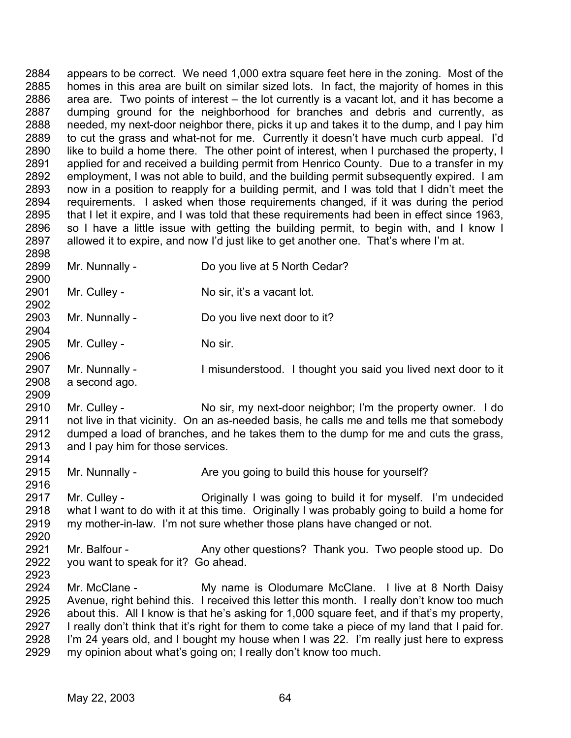2884 2885 2886 2887 2888 2889 2890 2891 2892 2893 2894 2895 2896 2897 2898 appears to be correct. We need 1,000 extra square feet here in the zoning. Most of the homes in this area are built on similar sized lots. In fact, the majority of homes in this area are. Two points of interest – the lot currently is a vacant lot, and it has become a dumping ground for the neighborhood for branches and debris and currently, as needed, my next-door neighbor there, picks it up and takes it to the dump, and I pay him to cut the grass and what-not for me. Currently it doesn't have much curb appeal. I'd like to build a home there. The other point of interest, when I purchased the property, I applied for and received a building permit from Henrico County. Due to a transfer in my employment, I was not able to build, and the building permit subsequently expired. I am now in a position to reapply for a building permit, and I was told that I didn't meet the requirements. I asked when those requirements changed, if it was during the period that I let it expire, and I was told that these requirements had been in effect since 1963, so I have a little issue with getting the building permit, to begin with, and I know I allowed it to expire, and now I'd just like to get another one. That's where I'm at.

- 2899 2900 Mr. Nunnally - Do you live at 5 North Cedar?
- 2901 Mr. Culley - No sir, it's a vacant lot.
- 2903 Mr. Nunnally - Do you live next door to it?
- 2905 Mr. Culley - No sir.

2902

2904

2906

2909

2914

- 2907 2908 Mr. Nunnally - Imisunderstood. I thought you said you lived next door to it a second ago.
- 2910 2911 2912 2913 Mr. Culley - No sir, my next-door neighbor; I'm the property owner. I do not live in that vicinity. On an as-needed basis, he calls me and tells me that somebody dumped a load of branches, and he takes them to the dump for me and cuts the grass, and I pay him for those services.
- 2915 Mr. Nunnally - Are you going to build this house for yourself?
- 2916 2917 2918 2919 Mr. Culley - Criginally I was going to build it for myself. I'm undecided what I want to do with it at this time. Originally I was probably going to build a home for my mother-in-law. I'm not sure whether those plans have changed or not.
- 2921 2922 2923 Mr. Balfour - Any other questions? Thank you. Two people stood up. Do you want to speak for it? Go ahead.
- 2924 2925 2926 2927 2928 2929 Mr. McClane - My name is Olodumare McClane. I live at 8 North Daisy Avenue, right behind this. I received this letter this month. I really don't know too much about this. All I know is that he's asking for 1,000 square feet, and if that's my property, I really don't think that it's right for them to come take a piece of my land that I paid for. I'm 24 years old, and I bought my house when I was 22. I'm really just here to express my opinion about what's going on; I really don't know too much.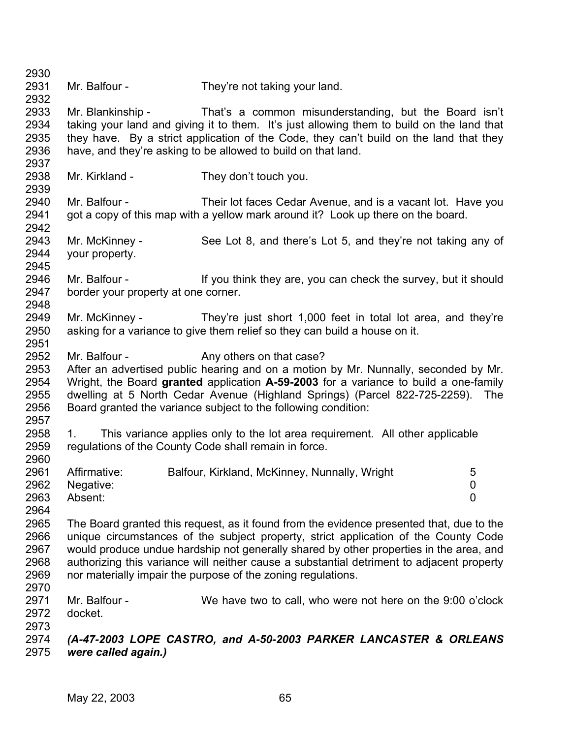2930 2931 2932 2933 2934 2935 2936 2937 2938 2939 2940 2941 2942 2943 2944 2945 2946 2947 2948 2949 2950 2951 2952 2953 2954 2955 2956 2957 2958 2959 2960 2961 2962 2963 2964 2965 2966 2967 2968 2969 2970 2971 2972 2973 2974 2975 Mr. Balfour - They're not taking your land. Mr. Blankinship - That's a common misunderstanding, but the Board isn't taking your land and giving it to them. It's just allowing them to build on the land that they have. By a strict application of the Code, they can't build on the land that they have, and they're asking to be allowed to build on that land. Mr. Kirkland - They don't touch you. Mr. Balfour - Their lot faces Cedar Avenue, and is a vacant lot. Have you got a copy of this map with a yellow mark around it? Look up there on the board. Mr. McKinney - See Lot 8, and there's Lot 5, and they're not taking any of your property. Mr. Balfour - If you think they are, you can check the survey, but it should border your property at one corner. Mr. McKinney - They're just short 1,000 feet in total lot area, and they're asking for a variance to give them relief so they can build a house on it. Mr. Balfour - Any others on that case? After an advertised public hearing and on a motion by Mr. Nunnally, seconded by Mr. Wright, the Board **granted** application **A-59-2003** for a variance to build a one-family dwelling at 5 North Cedar Avenue (Highland Springs) (Parcel 822-725-2259). The Board granted the variance subject to the following condition: 1. This variance applies only to the lot area requirement. All other applicable regulations of the County Code shall remain in force. Affirmative: Balfour, Kirkland, McKinney, Nunnally, Wright 5 Negative: 0 Absent: 0 The Board granted this request, as it found from the evidence presented that, due to the unique circumstances of the subject property, strict application of the County Code would produce undue hardship not generally shared by other properties in the area, and authorizing this variance will neither cause a substantial detriment to adjacent property nor materially impair the purpose of the zoning regulations. Mr. Balfour - We have two to call, who were not here on the 9:00 o'clock docket. *(A-47-2003 LOPE CASTRO, and A-50-2003 PARKER LANCASTER & ORLEANS were called again.)*